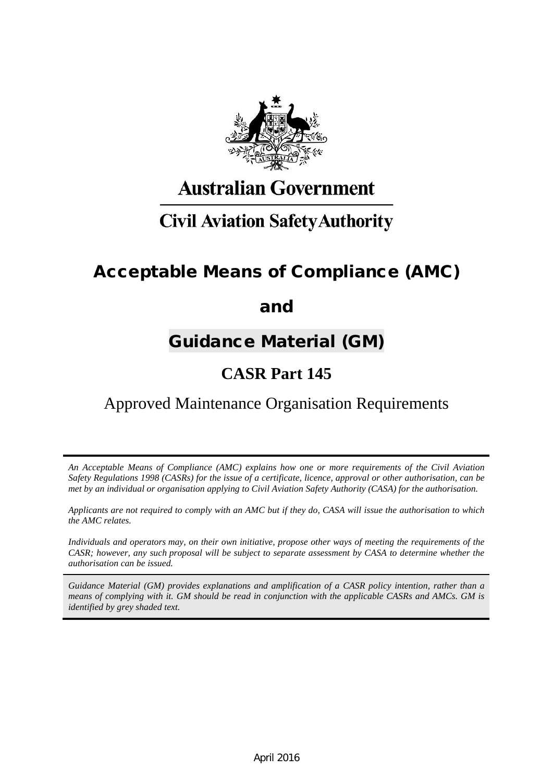

# **Australian Government**

# **Civil Aviation Safety Authority**

# Acceptable Means of Compliance (AMC)

# and

# Guidance Material (GM)

# **CASR Part 145**

# Approved Maintenance Organisation Requirements

*An Acceptable Means of Compliance (AMC) explains how one or more requirements of the Civil Aviation Safety Regulations 1998 (CASRs) for the issue of a certificate, licence, approval or other authorisation, can be met by an individual or organisation applying to Civil Aviation Safety Authority (CASA) for the authorisation.*

*Applicants are not required to comply with an AMC but if they do, CASA will issue the authorisation to which the AMC relates.*

*Individuals and operators may, on their own initiative, propose other ways of meeting the requirements of the CASR; however, any such proposal will be subject to separate assessment by CASA to determine whether the authorisation can be issued.*

*Guidance Material (GM) provides explanations and amplification of a CASR policy intention, rather than a means of complying with it. GM should be read in conjunction with the applicable CASRs and AMCs. GM is identified by grey shaded text.*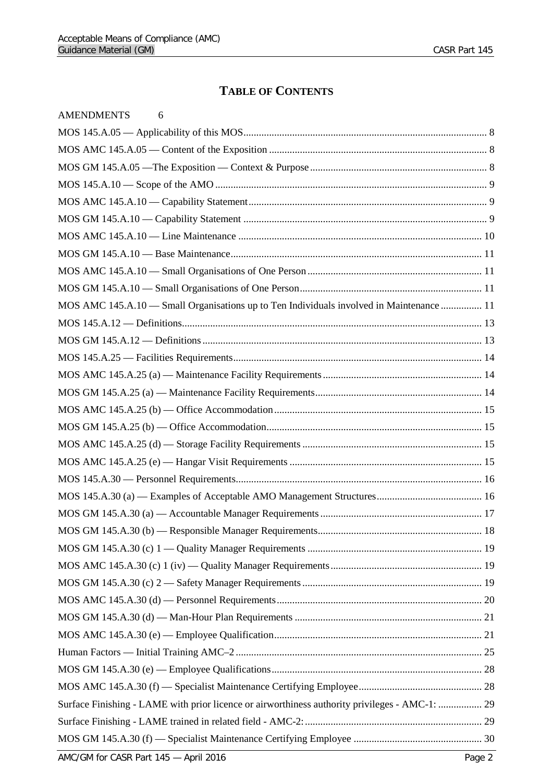## **TABLE OF CONTENTS**

| <b>AMENDMENTS</b><br>6                                                                         |  |
|------------------------------------------------------------------------------------------------|--|
|                                                                                                |  |
|                                                                                                |  |
|                                                                                                |  |
|                                                                                                |  |
|                                                                                                |  |
|                                                                                                |  |
|                                                                                                |  |
|                                                                                                |  |
|                                                                                                |  |
|                                                                                                |  |
| MOS AMC 145.A.10 - Small Organisations up to Ten Individuals involved in Maintenance  11       |  |
|                                                                                                |  |
|                                                                                                |  |
|                                                                                                |  |
|                                                                                                |  |
|                                                                                                |  |
|                                                                                                |  |
|                                                                                                |  |
|                                                                                                |  |
|                                                                                                |  |
|                                                                                                |  |
|                                                                                                |  |
|                                                                                                |  |
|                                                                                                |  |
|                                                                                                |  |
|                                                                                                |  |
|                                                                                                |  |
|                                                                                                |  |
|                                                                                                |  |
|                                                                                                |  |
|                                                                                                |  |
|                                                                                                |  |
|                                                                                                |  |
| Surface Finishing - LAME with prior licence or airworthiness authority privileges - AMC-1:  29 |  |
|                                                                                                |  |
|                                                                                                |  |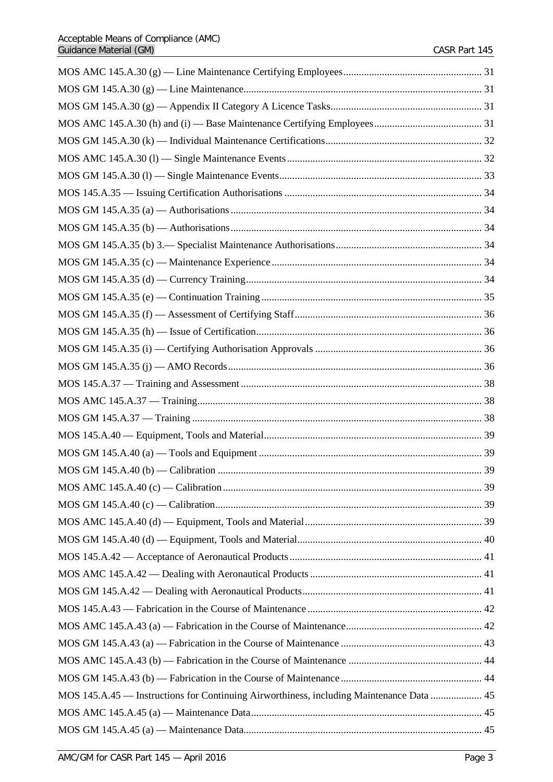| MOS 145.A.45 — Instructions for Continuing Airworthiness, including Maintenance Data  45 |  |
|------------------------------------------------------------------------------------------|--|
|                                                                                          |  |
|                                                                                          |  |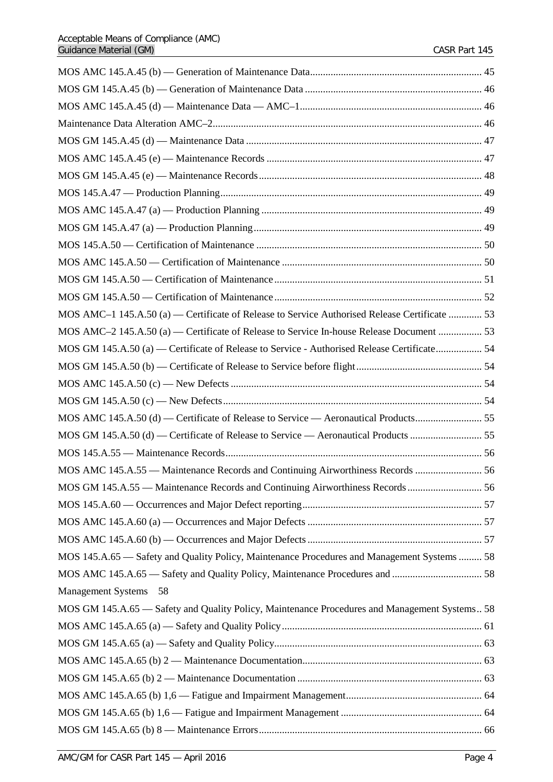| MOS AMC-1 145.A.50 (a) — Certificate of Release to Service Authorised Release Certificate  53 |  |
|-----------------------------------------------------------------------------------------------|--|
| MOS AMC-2 145.A.50 (a) — Certificate of Release to Service In-house Release Document  53      |  |
| MOS GM 145.A.50 (a) — Certificate of Release to Service - Authorised Release Certificate 54   |  |
|                                                                                               |  |
|                                                                                               |  |
|                                                                                               |  |
| MOS AMC 145.A.50 (d) — Certificate of Release to Service — Aeronautical Products 55           |  |
|                                                                                               |  |
|                                                                                               |  |
| MOS AMC 145.A.55 - Maintenance Records and Continuing Airworthiness Records  56               |  |
|                                                                                               |  |
|                                                                                               |  |
|                                                                                               |  |
|                                                                                               |  |
| MOS 145.A.65 - Safety and Quality Policy, Maintenance Procedures and Management Systems  58   |  |
|                                                                                               |  |
| Management Systems 58                                                                         |  |
| MOS GM 145.A.65 - Safety and Quality Policy, Maintenance Procedures and Management Systems 58 |  |
|                                                                                               |  |
|                                                                                               |  |
|                                                                                               |  |
|                                                                                               |  |
|                                                                                               |  |
|                                                                                               |  |
|                                                                                               |  |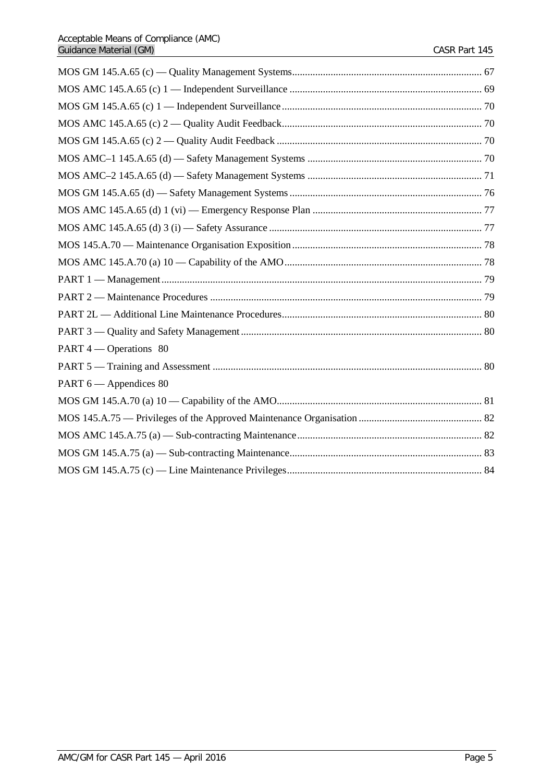| PART 4 — Operations 80 |  |
|------------------------|--|
|                        |  |
| PART 6 — Appendices 80 |  |
|                        |  |
|                        |  |
|                        |  |
|                        |  |
|                        |  |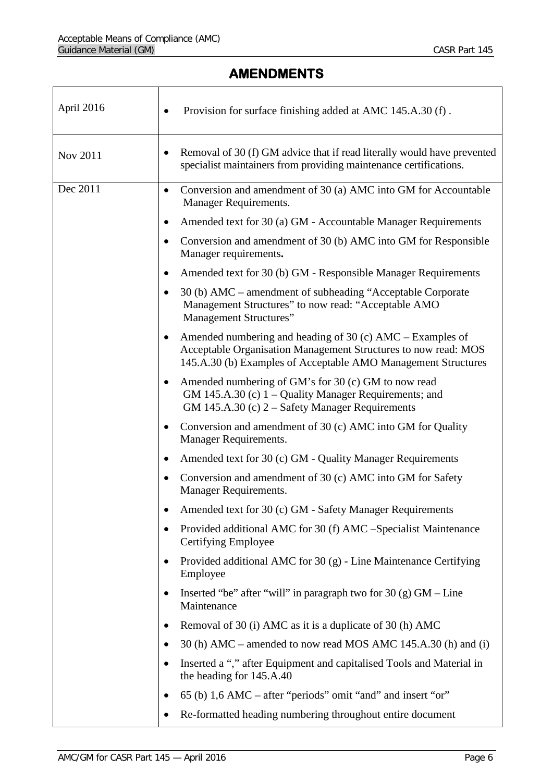# **AMENDMENTS**

<span id="page-5-0"></span>

| April 2016 | Provision for surface finishing added at AMC 145.A.30 (f).                                                                                                                                     |
|------------|------------------------------------------------------------------------------------------------------------------------------------------------------------------------------------------------|
| Nov 2011   | Removal of 30 (f) GM advice that if read literally would have prevented<br>$\bullet$<br>specialist maintainers from providing maintenance certifications.                                      |
| Dec 2011   | Conversion and amendment of 30 (a) AMC into GM for Accountable<br>$\bullet$<br>Manager Requirements.                                                                                           |
|            | Amended text for 30 (a) GM - Accountable Manager Requirements                                                                                                                                  |
|            | Conversion and amendment of 30 (b) AMC into GM for Responsible<br>Manager requirements.                                                                                                        |
|            | Amended text for 30 (b) GM - Responsible Manager Requirements                                                                                                                                  |
|            | 30 (b) AMC – amendment of subheading "Acceptable Corporate<br>Management Structures" to now read: "Acceptable AMO<br>Management Structures"                                                    |
|            | Amended numbering and heading of 30 (c) $AMC - Examples$ of<br>Acceptable Organisation Management Structures to now read: MOS<br>145.A.30 (b) Examples of Acceptable AMO Management Structures |
|            | Amended numbering of GM's for 30 (c) GM to now read<br>$\bullet$<br>GM 145.A.30 (c) $1 -$ Quality Manager Requirements; and<br>GM 145.A.30 (c) 2 – Safety Manager Requirements                 |
|            | Conversion and amendment of 30 (c) AMC into GM for Quality<br>$\bullet$<br><b>Manager Requirements.</b>                                                                                        |
|            | Amended text for 30 (c) GM - Quality Manager Requirements<br>٠                                                                                                                                 |
|            | Conversion and amendment of 30 (c) AMC into GM for Safety<br>Manager Requirements.                                                                                                             |
|            | Amended text for 30 (c) GM - Safety Manager Requirements                                                                                                                                       |
|            | Provided additional AMC for 30 (f) AMC -Specialist Maintenance<br>Certifying Employee                                                                                                          |
|            | Provided additional AMC for 30 (g) - Line Maintenance Certifying<br>Employee                                                                                                                   |
|            | Inserted "be" after "will" in paragraph two for $30 \text{ (g)}$ GM – Line<br>Maintenance                                                                                                      |
|            | Removal of 30 (i) AMC as it is a duplicate of 30 (h) AMC                                                                                                                                       |
|            | 30 (h) AMC – amended to now read MOS AMC 145.A.30 (h) and (i)                                                                                                                                  |
|            | Inserted a "," after Equipment and capitalised Tools and Material in<br>$\bullet$<br>the heading for 145.A.40                                                                                  |
|            | 65 (b) 1,6 AMC – after "periods" omit "and" and insert "or"                                                                                                                                    |
|            | Re-formatted heading numbering throughout entire document                                                                                                                                      |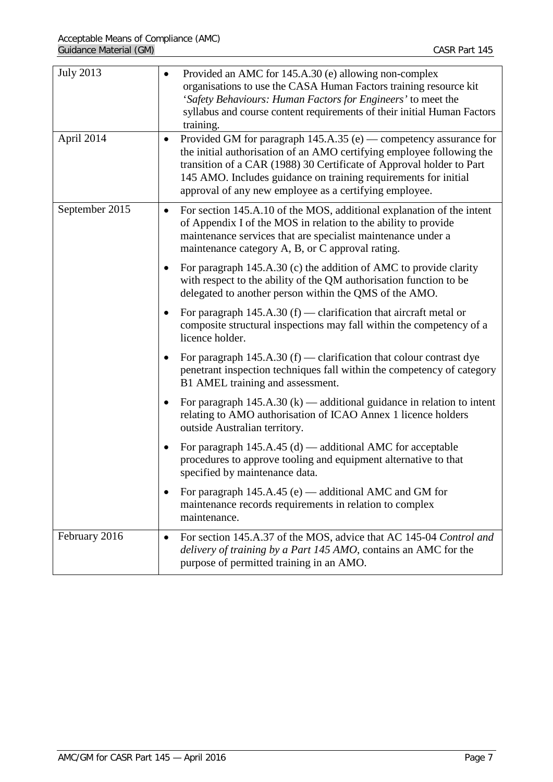| <b>July 2013</b> | Provided an AMC for 145.A.30 (e) allowing non-complex<br>organisations to use the CASA Human Factors training resource kit<br>'Safety Behaviours: Human Factors for Engineers' to meet the<br>syllabus and course content requirements of their initial Human Factors<br>training.                                                                             |
|------------------|----------------------------------------------------------------------------------------------------------------------------------------------------------------------------------------------------------------------------------------------------------------------------------------------------------------------------------------------------------------|
| April 2014       | Provided GM for paragraph $145.A.35$ (e) — competency assurance for<br>$\bullet$<br>the initial authorisation of an AMO certifying employee following the<br>transition of a CAR (1988) 30 Certificate of Approval holder to Part<br>145 AMO. Includes guidance on training requirements for initial<br>approval of any new employee as a certifying employee. |
| September 2015   | For section 145.A.10 of the MOS, additional explanation of the intent<br>$\bullet$<br>of Appendix I of the MOS in relation to the ability to provide<br>maintenance services that are specialist maintenance under a<br>maintenance category A, B, or C approval rating.                                                                                       |
|                  | For paragraph 145.A.30 (c) the addition of AMC to provide clarity<br>with respect to the ability of the QM authorisation function to be<br>delegated to another person within the QMS of the AMO.                                                                                                                                                              |
|                  | For paragraph $145.A.30(f)$ — clarification that aircraft metal or<br>composite structural inspections may fall within the competency of a<br>licence holder.                                                                                                                                                                                                  |
|                  | For paragraph $145.A.30(f)$ - clarification that colour contrast dye<br>penetrant inspection techniques fall within the competency of category<br>B1 AMEL training and assessment.                                                                                                                                                                             |
|                  | For paragraph $145.A.30 (k)$ — additional guidance in relation to intent<br>relating to AMO authorisation of ICAO Annex 1 licence holders<br>outside Australian territory.                                                                                                                                                                                     |
|                  | For paragraph $145.A.45(d)$ — additional AMC for acceptable<br>procedures to approve tooling and equipment alternative to that<br>specified by maintenance data.                                                                                                                                                                                               |
|                  | For paragraph 145.A.45 (e) — additional AMC and GM for<br>maintenance records requirements in relation to complex<br>maintenance.                                                                                                                                                                                                                              |
| February 2016    | For section 145.A.37 of the MOS, advice that AC 145-04 Control and<br>$\bullet$<br>delivery of training by a Part 145 AMO, contains an AMC for the<br>purpose of permitted training in an AMO.                                                                                                                                                                 |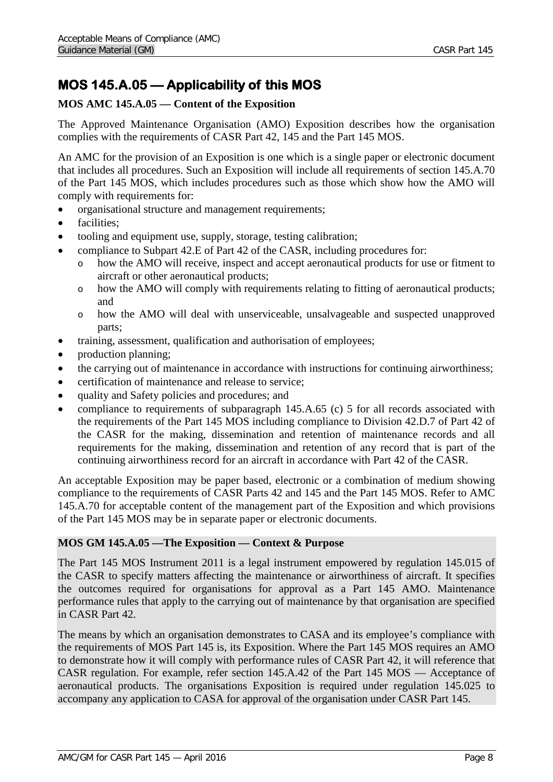# <span id="page-7-0"></span>**MOS 145.A.05 — Applicability of this MOS**

## <span id="page-7-1"></span>**MOS AMC 145.A.05 — Content of the Exposition**

The Approved Maintenance Organisation (AMO) Exposition describes how the organisation complies with the requirements of CASR Part 42, 145 and the Part 145 MOS.

An AMC for the provision of an Exposition is one which is a single paper or electronic document that includes all procedures. Such an Exposition will include all requirements of section 145.A.70 of the Part 145 MOS, which includes procedures such as those which show how the AMO will comply with requirements for:

- organisational structure and management requirements;
- facilities:
- tooling and equipment use, supply, storage, testing calibration;
- compliance to Subpart 42.E of Part 42 of the CASR, including procedures for:
	- o how the AMO will receive, inspect and accept aeronautical products for use or fitment to aircraft or other aeronautical products;
	- o how the AMO will comply with requirements relating to fitting of aeronautical products; and
	- o how the AMO will deal with unserviceable, unsalvageable and suspected unapproved parts;
- training, assessment, qualification and authorisation of employees;
- production planning;
- the carrying out of maintenance in accordance with instructions for continuing airworthiness;
- certification of maintenance and release to service:
- quality and Safety policies and procedures; and
- compliance to requirements of subparagraph 145.A.65 (c) 5 for all records associated with the requirements of the Part 145 MOS including compliance to Division 42.D.7 of Part 42 of the CASR for the making, dissemination and retention of maintenance records and all requirements for the making, dissemination and retention of any record that is part of the continuing airworthiness record for an aircraft in accordance with Part 42 of the CASR.

An acceptable Exposition may be paper based, electronic or a combination of medium showing compliance to the requirements of CASR Parts 42 and 145 and the Part 145 MOS. Refer to AMC 145.A.70 for acceptable content of the management part of the Exposition and which provisions of the Part 145 MOS may be in separate paper or electronic documents.

### <span id="page-7-2"></span>**MOS GM 145.A.05 —The Exposition — Context & Purpose**

The Part 145 MOS Instrument 2011 is a legal instrument empowered by regulation 145.015 of the CASR to specify matters affecting the maintenance or airworthiness of aircraft. It specifies the outcomes required for organisations for approval as a Part 145 AMO. Maintenance performance rules that apply to the carrying out of maintenance by that organisation are specified in CASR Part 42.

The means by which an organisation demonstrates to CASA and its employee's compliance with the requirements of MOS Part 145 is, its Exposition. Where the Part 145 MOS requires an AMO to demonstrate how it will comply with performance rules of CASR Part 42, it will reference that CASR regulation. For example, refer section 145.A.42 of the Part 145 MOS — Acceptance of aeronautical products. The organisations Exposition is required under regulation 145.025 to accompany any application to CASA for approval of the organisation under CASR Part 145.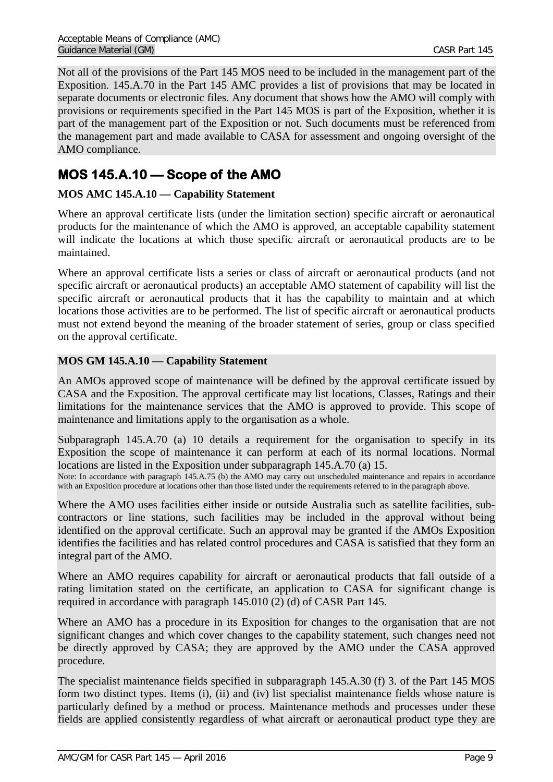Not all of the provisions of the Part 145 MOS need to be included in the management part of the Exposition. 145.A.70 in the Part 145 AMC provides a list of provisions that may be located in separate documents or electronic files. Any document that shows how the AMO will comply with provisions or requirements specified in the Part 145 MOS is part of the Exposition, whether it is part of the management part of the Exposition or not. Such documents must be referenced from the management part and made available to CASA for assessment and ongoing oversight of the AMO compliance.

# <span id="page-8-0"></span>**MOS 145.A.10 — Scope of the AMO**

## <span id="page-8-1"></span>**MOS AMC 145.A.10 — Capability Statement**

Where an approval certificate lists (under the limitation section) specific aircraft or aeronautical products for the maintenance of which the AMO is approved, an acceptable capability statement will indicate the locations at which those specific aircraft or aeronautical products are to be maintained.

Where an approval certificate lists a series or class of aircraft or aeronautical products (and not specific aircraft or aeronautical products) an acceptable AMO statement of capability will list the specific aircraft or aeronautical products that it has the capability to maintain and at which locations those activities are to be performed. The list of specific aircraft or aeronautical products must not extend beyond the meaning of the broader statement of series, group or class specified on the approval certificate.

## <span id="page-8-2"></span>**MOS GM 145.A.10 — Capability Statement**

An AMOs approved scope of maintenance will be defined by the approval certificate issued by CASA and the Exposition. The approval certificate may list locations, Classes, Ratings and their limitations for the maintenance services that the AMO is approved to provide. This scope of maintenance and limitations apply to the organisation as a whole.

Subparagraph 145.A.70 (a) 10 details a requirement for the organisation to specify in its Exposition the scope of maintenance it can perform at each of its normal locations. Normal locations are listed in the Exposition under subparagraph 145.A.70 (a) 15.

Note: In accordance with paragraph 145.A.75 (b) the AMO may carry out unscheduled maintenance and repairs in accordance with an Exposition procedure at locations other than those listed under the requirements referred to in the paragraph above.

Where the AMO uses facilities either inside or outside Australia such as satellite facilities, subcontractors or line stations, such facilities may be included in the approval without being identified on the approval certificate. Such an approval may be granted if the AMOs Exposition identifies the facilities and has related control procedures and CASA is satisfied that they form an integral part of the AMO.

Where an AMO requires capability for aircraft or aeronautical products that fall outside of a rating limitation stated on the certificate, an application to CASA for significant change is required in accordance with paragraph 145.010 (2) (d) of CASR Part 145.

Where an AMO has a procedure in its Exposition for changes to the organisation that are not significant changes and which cover changes to the capability statement, such changes need not be directly approved by CASA; they are approved by the AMO under the CASA approved procedure.

The specialist maintenance fields specified in subparagraph 145.A.30 (f) 3. of the Part 145 MOS form two distinct types. Items (i), (ii) and (iv) list specialist maintenance fields whose nature is particularly defined by a method or process. Maintenance methods and processes under these fields are applied consistently regardless of what aircraft or aeronautical product type they are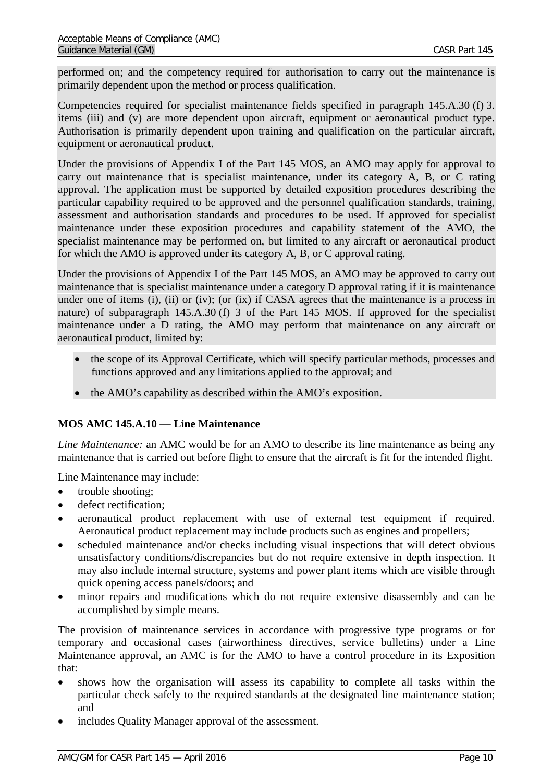performed on; and the competency required for authorisation to carry out the maintenance is primarily dependent upon the method or process qualification.

Competencies required for specialist maintenance fields specified in paragraph 145.A.30 (f) 3. items (iii) and (v) are more dependent upon aircraft, equipment or aeronautical product type. Authorisation is primarily dependent upon training and qualification on the particular aircraft, equipment or aeronautical product.

Under the provisions of Appendix I of the Part 145 MOS, an AMO may apply for approval to carry out maintenance that is specialist maintenance, under its category A, B, or C rating approval. The application must be supported by detailed exposition procedures describing the particular capability required to be approved and the personnel qualification standards, training, assessment and authorisation standards and procedures to be used. If approved for specialist maintenance under these exposition procedures and capability statement of the AMO, the specialist maintenance may be performed on, but limited to any aircraft or aeronautical product for which the AMO is approved under its category A, B, or C approval rating.

Under the provisions of Appendix I of the Part 145 MOS, an AMO may be approved to carry out maintenance that is specialist maintenance under a category D approval rating if it is maintenance under one of items (i), (ii) or (iv); (or (ix) if CASA agrees that the maintenance is a process in nature) of subparagraph 145.A.30 (f) 3 of the Part 145 MOS. If approved for the specialist maintenance under a D rating, the AMO may perform that maintenance on any aircraft or aeronautical product, limited by:

- the scope of its Approval Certificate, which will specify particular methods, processes and functions approved and any limitations applied to the approval; and
- the AMO's capability as described within the AMO's exposition.

## <span id="page-9-0"></span>**MOS AMC 145.A.10 — Line Maintenance**

*Line Maintenance:* an AMC would be for an AMO to describe its line maintenance as being any maintenance that is carried out before flight to ensure that the aircraft is fit for the intended flight.

Line Maintenance may include:

- trouble shooting;
- defect rectification:
- aeronautical product replacement with use of external test equipment if required. Aeronautical product replacement may include products such as engines and propellers;
- scheduled maintenance and/or checks including visual inspections that will detect obvious unsatisfactory conditions/discrepancies but do not require extensive in depth inspection. It may also include internal structure, systems and power plant items which are visible through quick opening access panels/doors; and
- minor repairs and modifications which do not require extensive disassembly and can be accomplished by simple means.

The provision of maintenance services in accordance with progressive type programs or for temporary and occasional cases (airworthiness directives, service bulletins) under a Line Maintenance approval, an AMC is for the AMO to have a control procedure in its Exposition that:

- shows how the organisation will assess its capability to complete all tasks within the particular check safely to the required standards at the designated line maintenance station; and
- includes Quality Manager approval of the assessment.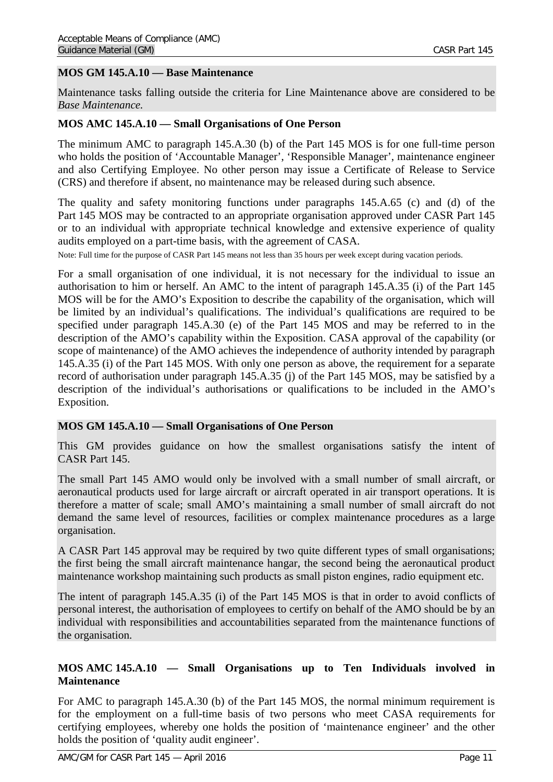### <span id="page-10-0"></span>**MOS GM 145.A.10 — Base Maintenance**

Maintenance tasks falling outside the criteria for Line Maintenance above are considered to be *Base Maintenance.*

#### <span id="page-10-1"></span>**MOS AMC 145.A.10 — Small Organisations of One Person**

The minimum AMC to paragraph 145.A.30 (b) of the Part 145 MOS is for one full-time person who holds the position of 'Accountable Manager', 'Responsible Manager', maintenance engineer and also Certifying Employee. No other person may issue a Certificate of Release to Service (CRS) and therefore if absent, no maintenance may be released during such absence.

The quality and safety monitoring functions under paragraphs 145.A.65 (c) and (d) of the Part 145 MOS may be contracted to an appropriate organisation approved under CASR Part 145 or to an individual with appropriate technical knowledge and extensive experience of quality audits employed on a part-time basis, with the agreement of CASA.

Note: Full time for the purpose of CASR Part 145 means not less than 35 hours per week except during vacation periods.

For a small organisation of one individual, it is not necessary for the individual to issue an authorisation to him or herself. An AMC to the intent of paragraph 145.A.35 (i) of the Part 145 MOS will be for the AMO's Exposition to describe the capability of the organisation, which will be limited by an individual's qualifications. The individual's qualifications are required to be specified under paragraph 145.A.30 (e) of the Part 145 MOS and may be referred to in the description of the AMO's capability within the Exposition. CASA approval of the capability (or scope of maintenance) of the AMO achieves the independence of authority intended by paragraph 145.A.35 (i) of the Part 145 MOS. With only one person as above, the requirement for a separate record of authorisation under paragraph 145.A.35 (j) of the Part 145 MOS, may be satisfied by a description of the individual's authorisations or qualifications to be included in the AMO's Exposition.

#### <span id="page-10-2"></span>**MOS GM 145.A.10 — Small Organisations of One Person**

This GM provides guidance on how the smallest organisations satisfy the intent of CASR Part 145.

The small Part 145 AMO would only be involved with a small number of small aircraft, or aeronautical products used for large aircraft or aircraft operated in air transport operations. It is therefore a matter of scale; small AMO's maintaining a small number of small aircraft do not demand the same level of resources, facilities or complex maintenance procedures as a large organisation.

A CASR Part 145 approval may be required by two quite different types of small organisations; the first being the small aircraft maintenance hangar, the second being the aeronautical product maintenance workshop maintaining such products as small piston engines, radio equipment etc.

The intent of paragraph 145.A.35 (i) of the Part 145 MOS is that in order to avoid conflicts of personal interest, the authorisation of employees to certify on behalf of the AMO should be by an individual with responsibilities and accountabilities separated from the maintenance functions of the organisation.

#### <span id="page-10-3"></span>**MOS AMC 145.A.10 — Small Organisations up to Ten Individuals involved in Maintenance**

For AMC to paragraph 145.A.30 (b) of the Part 145 MOS, the normal minimum requirement is for the employment on a full-time basis of two persons who meet CASA requirements for certifying employees, whereby one holds the position of 'maintenance engineer' and the other holds the position of 'quality audit engineer'.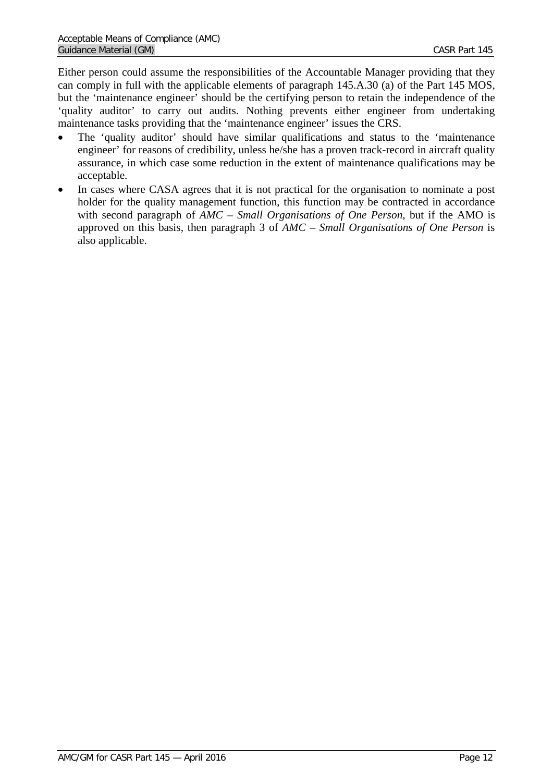Either person could assume the responsibilities of the Accountable Manager providing that they can comply in full with the applicable elements of paragraph 145.A.30 (a) of the Part 145 MOS, but the 'maintenance engineer' should be the certifying person to retain the independence of the 'quality auditor' to carry out audits. Nothing prevents either engineer from undertaking maintenance tasks providing that the 'maintenance engineer' issues the CRS.

- The 'quality auditor' should have similar qualifications and status to the 'maintenance engineer' for reasons of credibility, unless he/she has a proven track-record in aircraft quality assurance, in which case some reduction in the extent of maintenance qualifications may be acceptable.
- In cases where CASA agrees that it is not practical for the organisation to nominate a post holder for the quality management function, this function may be contracted in accordance with second paragraph of *AMC – Small Organisations of One Person*, but if the AMO is approved on this basis, then paragraph 3 of *AMC – Small Organisations of One Person* is also applicable.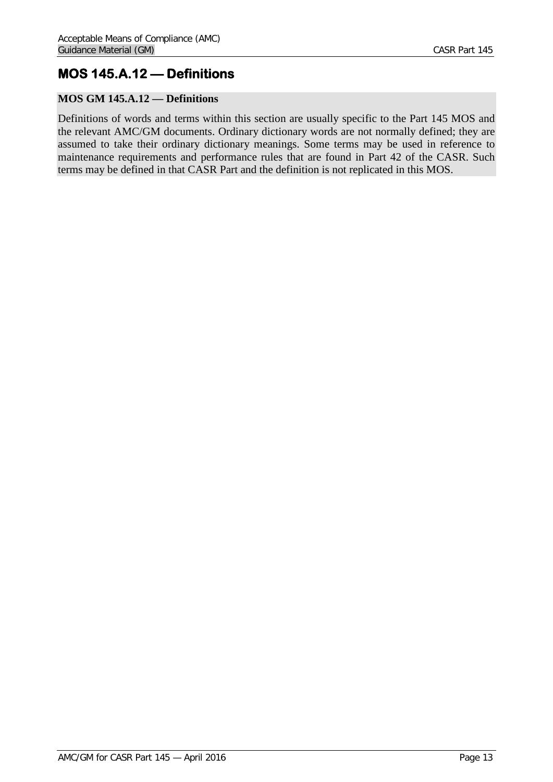## <span id="page-12-0"></span>**MOS 145.A.12 — Definitions**

## <span id="page-12-1"></span>**MOS GM 145.A.12 — Definitions**

Definitions of words and terms within this section are usually specific to the Part 145 MOS and the relevant AMC/GM documents. Ordinary dictionary words are not normally defined; they are assumed to take their ordinary dictionary meanings. Some terms may be used in reference to maintenance requirements and performance rules that are found in Part 42 of the CASR. Such terms may be defined in that CASR Part and the definition is not replicated in this MOS.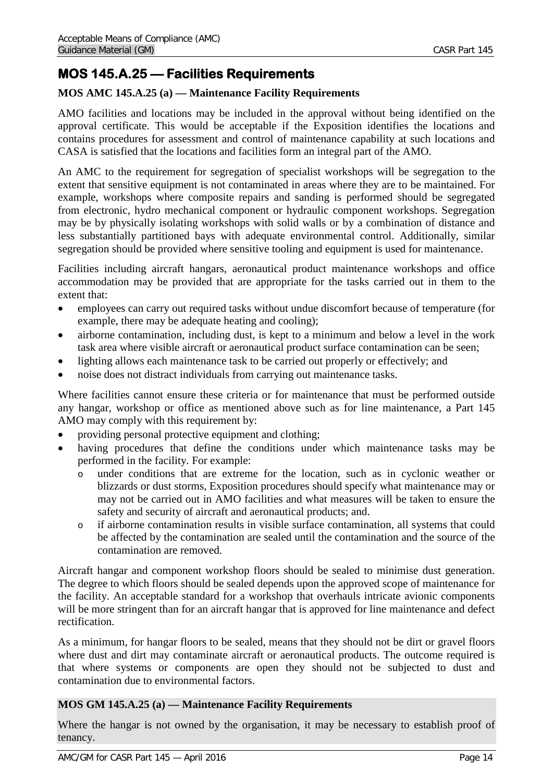## <span id="page-13-0"></span>**MOS 145.A.25 — Facilities Requirements**

## <span id="page-13-1"></span>**MOS AMC 145.A.25 (a) — Maintenance Facility Requirements**

AMO facilities and locations may be included in the approval without being identified on the approval certificate. This would be acceptable if the Exposition identifies the locations and contains procedures for assessment and control of maintenance capability at such locations and CASA is satisfied that the locations and facilities form an integral part of the AMO.

An AMC to the requirement for segregation of specialist workshops will be segregation to the extent that sensitive equipment is not contaminated in areas where they are to be maintained. For example, workshops where composite repairs and sanding is performed should be segregated from electronic, hydro mechanical component or hydraulic component workshops. Segregation may be by physically isolating workshops with solid walls or by a combination of distance and less substantially partitioned bays with adequate environmental control. Additionally, similar segregation should be provided where sensitive tooling and equipment is used for maintenance.

Facilities including aircraft hangars, aeronautical product maintenance workshops and office accommodation may be provided that are appropriate for the tasks carried out in them to the extent that:

- employees can carry out required tasks without undue discomfort because of temperature (for example, there may be adequate heating and cooling);
- airborne contamination, including dust, is kept to a minimum and below a level in the work task area where visible aircraft or aeronautical product surface contamination can be seen;
- lighting allows each maintenance task to be carried out properly or effectively; and
- noise does not distract individuals from carrying out maintenance tasks.

Where facilities cannot ensure these criteria or for maintenance that must be performed outside any hangar, workshop or office as mentioned above such as for line maintenance, a Part 145 AMO may comply with this requirement by:

- providing personal protective equipment and clothing;
- having procedures that define the conditions under which maintenance tasks may be performed in the facility. For example:
	- o under conditions that are extreme for the location, such as in cyclonic weather or blizzards or dust storms, Exposition procedures should specify what maintenance may or may not be carried out in AMO facilities and what measures will be taken to ensure the safety and security of aircraft and aeronautical products; and.
	- o if airborne contamination results in visible surface contamination, all systems that could be affected by the contamination are sealed until the contamination and the source of the contamination are removed.

Aircraft hangar and component workshop floors should be sealed to minimise dust generation. The degree to which floors should be sealed depends upon the approved scope of maintenance for the facility. An acceptable standard for a workshop that overhauls intricate avionic components will be more stringent than for an aircraft hangar that is approved for line maintenance and defect rectification.

As a minimum, for hangar floors to be sealed, means that they should not be dirt or gravel floors where dust and dirt may contaminate aircraft or aeronautical products. The outcome required is that where systems or components are open they should not be subjected to dust and contamination due to environmental factors.

### <span id="page-13-2"></span>**MOS GM 145.A.25 (a) — Maintenance Facility Requirements**

Where the hangar is not owned by the organisation, it may be necessary to establish proof of tenancy.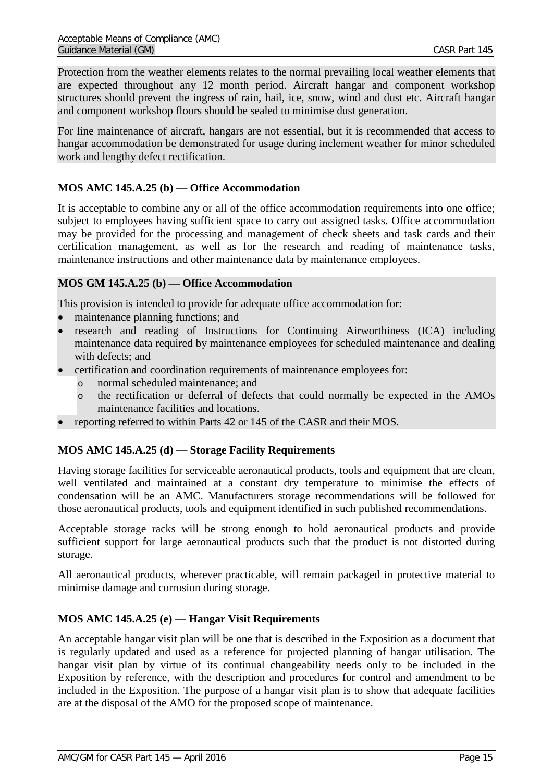Protection from the weather elements relates to the normal prevailing local weather elements that are expected throughout any 12 month period. Aircraft hangar and component workshop structures should prevent the ingress of rain, hail, ice, snow, wind and dust etc. Aircraft hangar and component workshop floors should be sealed to minimise dust generation.

For line maintenance of aircraft, hangars are not essential, but it is recommended that access to hangar accommodation be demonstrated for usage during inclement weather for minor scheduled work and lengthy defect rectification.

## <span id="page-14-0"></span>**MOS AMC 145.A.25 (b) — Office Accommodation**

It is acceptable to combine any or all of the office accommodation requirements into one office; subject to employees having sufficient space to carry out assigned tasks. Office accommodation may be provided for the processing and management of check sheets and task cards and their certification management, as well as for the research and reading of maintenance tasks, maintenance instructions and other maintenance data by maintenance employees.

## <span id="page-14-1"></span>**MOS GM 145.A.25 (b) — Office Accommodation**

This provision is intended to provide for adequate office accommodation for:

- maintenance planning functions; and
- research and reading of Instructions for Continuing Airworthiness (ICA) including maintenance data required by maintenance employees for scheduled maintenance and dealing with defects; and
- certification and coordination requirements of maintenance employees for:
	- o normal scheduled maintenance; and
	- o the rectification or deferral of defects that could normally be expected in the AMOs maintenance facilities and locations.
- reporting referred to within Parts 42 or 145 of the CASR and their MOS.

### <span id="page-14-2"></span>**MOS AMC 145.A.25 (d) — Storage Facility Requirements**

Having storage facilities for serviceable aeronautical products, tools and equipment that are clean, well ventilated and maintained at a constant dry temperature to minimise the effects of condensation will be an AMC. Manufacturers storage recommendations will be followed for those aeronautical products, tools and equipment identified in such published recommendations.

Acceptable storage racks will be strong enough to hold aeronautical products and provide sufficient support for large aeronautical products such that the product is not distorted during storage.

All aeronautical products, wherever practicable, will remain packaged in protective material to minimise damage and corrosion during storage.

### <span id="page-14-3"></span>**MOS AMC 145.A.25 (e) — Hangar Visit Requirements**

An acceptable hangar visit plan will be one that is described in the Exposition as a document that is regularly updated and used as a reference for projected planning of hangar utilisation. The hangar visit plan by virtue of its continual changeability needs only to be included in the Exposition by reference, with the description and procedures for control and amendment to be included in the Exposition. The purpose of a hangar visit plan is to show that adequate facilities are at the disposal of the AMO for the proposed scope of maintenance.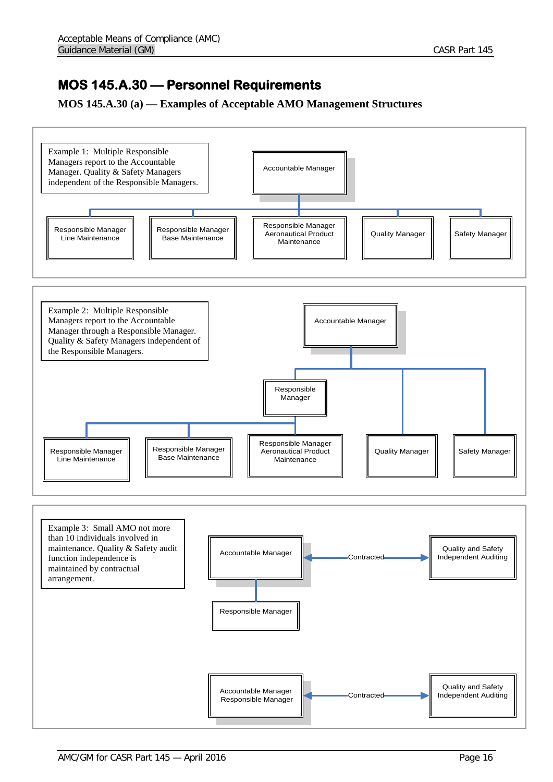## <span id="page-15-0"></span>**MOS 145.A.30 — Personnel Requirements**

## <span id="page-15-1"></span>**MOS 145.A.30 (a) — Examples of Acceptable AMO Management Structures**

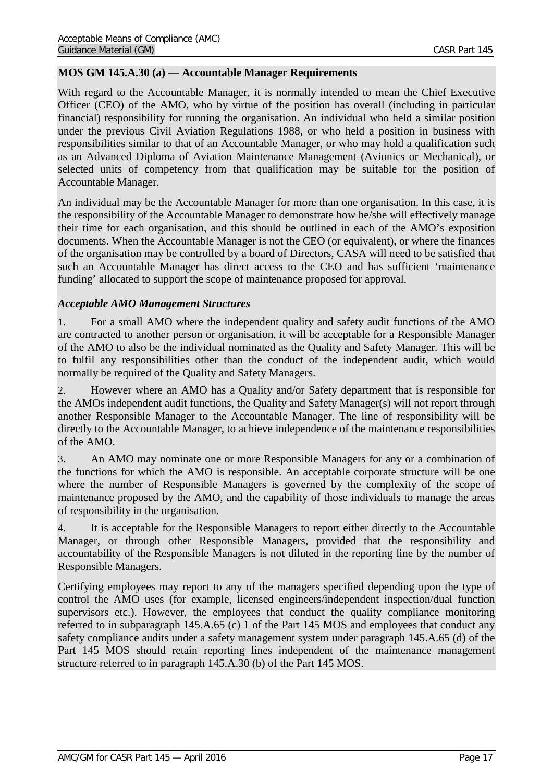### <span id="page-16-0"></span>**MOS GM 145.A.30 (a) — Accountable Manager Requirements**

With regard to the Accountable Manager, it is normally intended to mean the Chief Executive Officer (CEO) of the AMO, who by virtue of the position has overall (including in particular financial) responsibility for running the organisation. An individual who held a similar position under the previous Civil Aviation Regulations 1988, or who held a position in business with responsibilities similar to that of an Accountable Manager, or who may hold a qualification such as an Advanced Diploma of Aviation Maintenance Management (Avionics or Mechanical), or selected units of competency from that qualification may be suitable for the position of Accountable Manager.

An individual may be the Accountable Manager for more than one organisation. In this case, it is the responsibility of the Accountable Manager to demonstrate how he/she will effectively manage their time for each organisation, and this should be outlined in each of the AMO's exposition documents. When the Accountable Manager is not the CEO (or equivalent), or where the finances of the organisation may be controlled by a board of Directors, CASA will need to be satisfied that such an Accountable Manager has direct access to the CEO and has sufficient 'maintenance funding' allocated to support the scope of maintenance proposed for approval.

### *Acceptable AMO Management Structures*

1. For a small AMO where the independent quality and safety audit functions of the AMO are contracted to another person or organisation, it will be acceptable for a Responsible Manager of the AMO to also be the individual nominated as the Quality and Safety Manager. This will be to fulfil any responsibilities other than the conduct of the independent audit, which would normally be required of the Quality and Safety Managers.

2. However where an AMO has a Quality and/or Safety department that is responsible for the AMOs independent audit functions, the Quality and Safety Manager(s) will not report through another Responsible Manager to the Accountable Manager. The line of responsibility will be directly to the Accountable Manager, to achieve independence of the maintenance responsibilities of the AMO.

3. An AMO may nominate one or more Responsible Managers for any or a combination of the functions for which the AMO is responsible. An acceptable corporate structure will be one where the number of Responsible Managers is governed by the complexity of the scope of maintenance proposed by the AMO, and the capability of those individuals to manage the areas of responsibility in the organisation.

4. It is acceptable for the Responsible Managers to report either directly to the Accountable Manager, or through other Responsible Managers, provided that the responsibility and accountability of the Responsible Managers is not diluted in the reporting line by the number of Responsible Managers.

Certifying employees may report to any of the managers specified depending upon the type of control the AMO uses (for example, licensed engineers/independent inspection/dual function supervisors etc.). However, the employees that conduct the quality compliance monitoring referred to in subparagraph 145.A.65 (c) 1 of the Part 145 MOS and employees that conduct any safety compliance audits under a safety management system under paragraph 145.A.65 (d) of the Part 145 MOS should retain reporting lines independent of the maintenance management structure referred to in paragraph 145.A.30 (b) of the Part 145 MOS.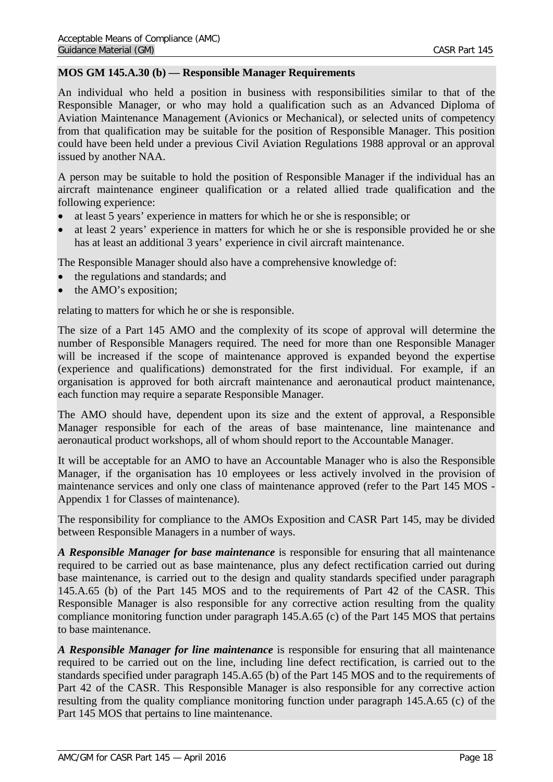### <span id="page-17-0"></span>**MOS GM 145.A.30 (b) — Responsible Manager Requirements**

An individual who held a position in business with responsibilities similar to that of the Responsible Manager, or who may hold a qualification such as an Advanced Diploma of Aviation Maintenance Management (Avionics or Mechanical), or selected units of competency from that qualification may be suitable for the position of Responsible Manager. This position could have been held under a previous Civil Aviation Regulations 1988 approval or an approval issued by another NAA.

A person may be suitable to hold the position of Responsible Manager if the individual has an aircraft maintenance engineer qualification or a related allied trade qualification and the following experience:

- at least 5 years' experience in matters for which he or she is responsible; or
- at least 2 years' experience in matters for which he or she is responsible provided he or she has at least an additional 3 years' experience in civil aircraft maintenance.

The Responsible Manager should also have a comprehensive knowledge of:

- the regulations and standards; and
- the AMO's exposition;

relating to matters for which he or she is responsible.

The size of a Part 145 AMO and the complexity of its scope of approval will determine the number of Responsible Managers required. The need for more than one Responsible Manager will be increased if the scope of maintenance approved is expanded beyond the expertise (experience and qualifications) demonstrated for the first individual. For example, if an organisation is approved for both aircraft maintenance and aeronautical product maintenance, each function may require a separate Responsible Manager.

The AMO should have, dependent upon its size and the extent of approval, a Responsible Manager responsible for each of the areas of base maintenance, line maintenance and aeronautical product workshops, all of whom should report to the Accountable Manager.

It will be acceptable for an AMO to have an Accountable Manager who is also the Responsible Manager, if the organisation has 10 employees or less actively involved in the provision of maintenance services and only one class of maintenance approved (refer to the Part 145 MOS - Appendix 1 for Classes of maintenance).

The responsibility for compliance to the AMOs Exposition and CASR Part 145, may be divided between Responsible Managers in a number of ways.

*A Responsible Manager for base maintenance* is responsible for ensuring that all maintenance required to be carried out as base maintenance, plus any defect rectification carried out during base maintenance, is carried out to the design and quality standards specified under paragraph 145.A.65 (b) of the Part 145 MOS and to the requirements of Part 42 of the CASR. This Responsible Manager is also responsible for any corrective action resulting from the quality compliance monitoring function under paragraph 145.A.65 (c) of the Part 145 MOS that pertains to base maintenance.

*A Responsible Manager for line maintenance* is responsible for ensuring that all maintenance required to be carried out on the line, including line defect rectification, is carried out to the standards specified under paragraph 145.A.65 (b) of the Part 145 MOS and to the requirements of Part 42 of the CASR. This Responsible Manager is also responsible for any corrective action resulting from the quality compliance monitoring function under paragraph 145.A.65 (c) of the Part 145 MOS that pertains to line maintenance.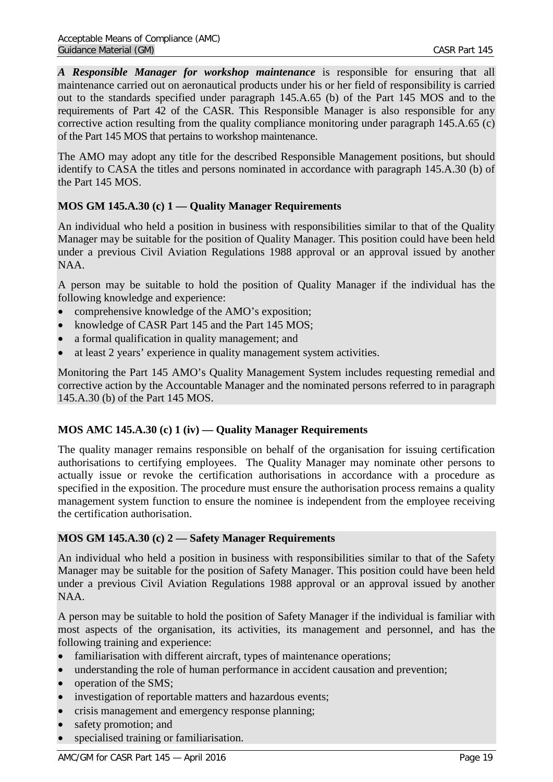*A Responsible Manager for workshop maintenance* is responsible for ensuring that all maintenance carried out on aeronautical products under his or her field of responsibility is carried out to the standards specified under paragraph 145.A.65 (b) of the Part 145 MOS and to the requirements of Part 42 of the CASR. This Responsible Manager is also responsible for any corrective action resulting from the quality compliance monitoring under paragraph 145.A.65 (c) of the Part 145 MOS that pertains to workshop maintenance.

The AMO may adopt any title for the described Responsible Management positions, but should identify to CASA the titles and persons nominated in accordance with paragraph 145.A.30 (b) of the Part 145 MOS.

## <span id="page-18-0"></span>**MOS GM 145.A.30 (c) 1 — Quality Manager Requirements**

An individual who held a position in business with responsibilities similar to that of the Quality Manager may be suitable for the position of Quality Manager. This position could have been held under a previous Civil Aviation Regulations 1988 approval or an approval issued by another NAA.

A person may be suitable to hold the position of Quality Manager if the individual has the following knowledge and experience:

- comprehensive knowledge of the AMO's exposition;
- knowledge of CASR Part 145 and the Part 145 MOS;
- a formal qualification in quality management; and
- at least 2 years' experience in quality management system activities.

Monitoring the Part 145 AMO's Quality Management System includes requesting remedial and corrective action by the Accountable Manager and the nominated persons referred to in paragraph 145.A.30 (b) of the Part 145 MOS.

## <span id="page-18-1"></span>**MOS AMC 145.A.30 (c) 1 (iv) — Quality Manager Requirements**

The quality manager remains responsible on behalf of the organisation for issuing certification authorisations to certifying employees. The Quality Manager may nominate other persons to actually issue or revoke the certification authorisations in accordance with a procedure as specified in the exposition. The procedure must ensure the authorisation process remains a quality management system function to ensure the nominee is independent from the employee receiving the certification authorisation.

### <span id="page-18-2"></span>**MOS GM 145.A.30 (c) 2 — Safety Manager Requirements**

An individual who held a position in business with responsibilities similar to that of the Safety Manager may be suitable for the position of Safety Manager. This position could have been held under a previous Civil Aviation Regulations 1988 approval or an approval issued by another NAA.

A person may be suitable to hold the position of Safety Manager if the individual is familiar with most aspects of the organisation, its activities, its management and personnel, and has the following training and experience:

- familiarisation with different aircraft, types of maintenance operations;
- understanding the role of human performance in accident causation and prevention;
- operation of the SMS;
- investigation of reportable matters and hazardous events;
- crisis management and emergency response planning;
- safety promotion; and
- specialised training or familiarisation.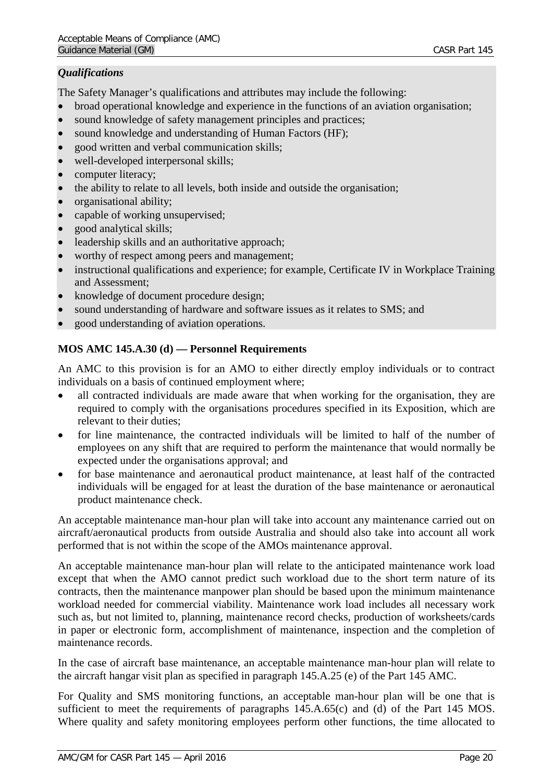## *Qualifications*

The Safety Manager's qualifications and attributes may include the following:

- broad operational knowledge and experience in the functions of an aviation organisation;
- sound knowledge of safety management principles and practices;
- sound knowledge and understanding of Human Factors (HF);
- good written and verbal communication skills;
- well-developed interpersonal skills;
- computer literacy;
- the ability to relate to all levels, both inside and outside the organisation;
- organisational ability;
- capable of working unsupervised;
- good analytical skills;
- leadership skills and an authoritative approach:
- worthy of respect among peers and management;
- instructional qualifications and experience; for example, Certificate IV in Workplace Training and Assessment;
- knowledge of document procedure design;
- sound understanding of hardware and software issues as it relates to SMS; and
- good understanding of aviation operations.

## <span id="page-19-0"></span>**MOS AMC 145.A.30 (d) — Personnel Requirements**

An AMC to this provision is for an AMO to either directly employ individuals or to contract individuals on a basis of continued employment where;

- all contracted individuals are made aware that when working for the organisation, they are required to comply with the organisations procedures specified in its Exposition, which are relevant to their duties;
- for line maintenance, the contracted individuals will be limited to half of the number of employees on any shift that are required to perform the maintenance that would normally be expected under the organisations approval; and
- for base maintenance and aeronautical product maintenance, at least half of the contracted individuals will be engaged for at least the duration of the base maintenance or aeronautical product maintenance check.

An acceptable maintenance man-hour plan will take into account any maintenance carried out on aircraft/aeronautical products from outside Australia and should also take into account all work performed that is not within the scope of the AMOs maintenance approval.

An acceptable maintenance man-hour plan will relate to the anticipated maintenance work load except that when the AMO cannot predict such workload due to the short term nature of its contracts, then the maintenance manpower plan should be based upon the minimum maintenance workload needed for commercial viability. Maintenance work load includes all necessary work such as, but not limited to, planning, maintenance record checks, production of worksheets/cards in paper or electronic form, accomplishment of maintenance, inspection and the completion of maintenance records.

In the case of aircraft base maintenance, an acceptable maintenance man-hour plan will relate to the aircraft hangar visit plan as specified in paragraph 145.A.25 (e) of the Part 145 AMC.

For Quality and SMS monitoring functions, an acceptable man-hour plan will be one that is sufficient to meet the requirements of paragraphs 145.A.65(c) and (d) of the Part 145 MOS. Where quality and safety monitoring employees perform other functions, the time allocated to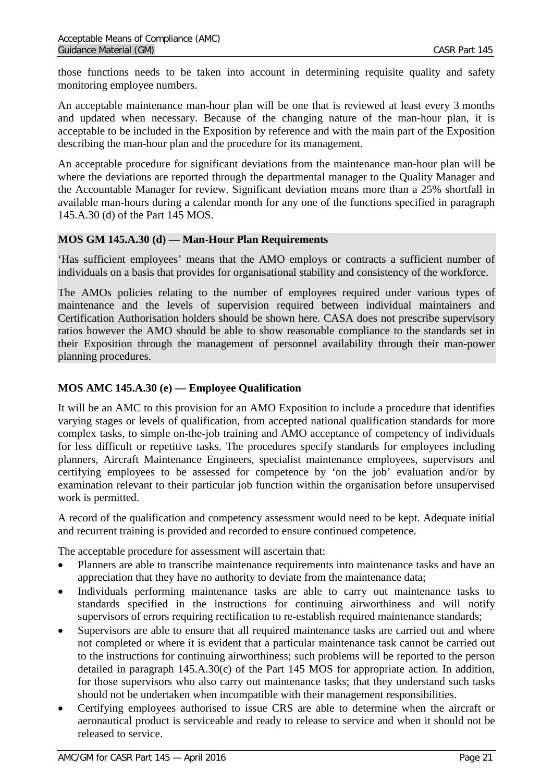those functions needs to be taken into account in determining requisite quality and safety monitoring employee numbers.

An acceptable maintenance man-hour plan will be one that is reviewed at least every 3 months and updated when necessary. Because of the changing nature of the man-hour plan, it is acceptable to be included in the Exposition by reference and with the main part of the Exposition describing the man-hour plan and the procedure for its management.

An acceptable procedure for significant deviations from the maintenance man-hour plan will be where the deviations are reported through the departmental manager to the Quality Manager and the Accountable Manager for review. Significant deviation means more than a 25% shortfall in available man-hours during a calendar month for any one of the functions specified in paragraph 145.A.30 (d) of the Part 145 MOS.

## <span id="page-20-0"></span>**MOS GM 145.A.30 (d) — Man-Hour Plan Requirements**

'Has sufficient employees' means that the AMO employs or contracts a sufficient number of individuals on a basis that provides for organisational stability and consistency of the workforce.

The AMOs policies relating to the number of employees required under various types of maintenance and the levels of supervision required between individual maintainers and Certification Authorisation holders should be shown here. CASA does not prescribe supervisory ratios however the AMO should be able to show reasonable compliance to the standards set in their Exposition through the management of personnel availability through their man-power planning procedures.

## <span id="page-20-1"></span>**MOS AMC 145.A.30 (e) — Employee Qualification**

It will be an AMC to this provision for an AMO Exposition to include a procedure that identifies varying stages or levels of qualification, from accepted national qualification standards for more complex tasks, to simple on-the-job training and AMO acceptance of competency of individuals for less difficult or repetitive tasks. The procedures specify standards for employees including planners, Aircraft Maintenance Engineers, specialist maintenance employees, supervisors and certifying employees to be assessed for competence by 'on the job' evaluation and/or by examination relevant to their particular job function within the organisation before unsupervised work is permitted.

A record of the qualification and competency assessment would need to be kept. Adequate initial and recurrent training is provided and recorded to ensure continued competence.

The acceptable procedure for assessment will ascertain that:

- Planners are able to transcribe maintenance requirements into maintenance tasks and have an appreciation that they have no authority to deviate from the maintenance data;
- Individuals performing maintenance tasks are able to carry out maintenance tasks to standards specified in the instructions for continuing airworthiness and will notify supervisors of errors requiring rectification to re-establish required maintenance standards;
- Supervisors are able to ensure that all required maintenance tasks are carried out and where not completed or where it is evident that a particular maintenance task cannot be carried out to the instructions for continuing airworthiness; such problems will be reported to the person detailed in paragraph 145.A.30(c) of the Part 145 MOS for appropriate action. In addition, for those supervisors who also carry out maintenance tasks; that they understand such tasks should not be undertaken when incompatible with their management responsibilities.
- Certifying employees authorised to issue CRS are able to determine when the aircraft or aeronautical product is serviceable and ready to release to service and when it should not be released to service.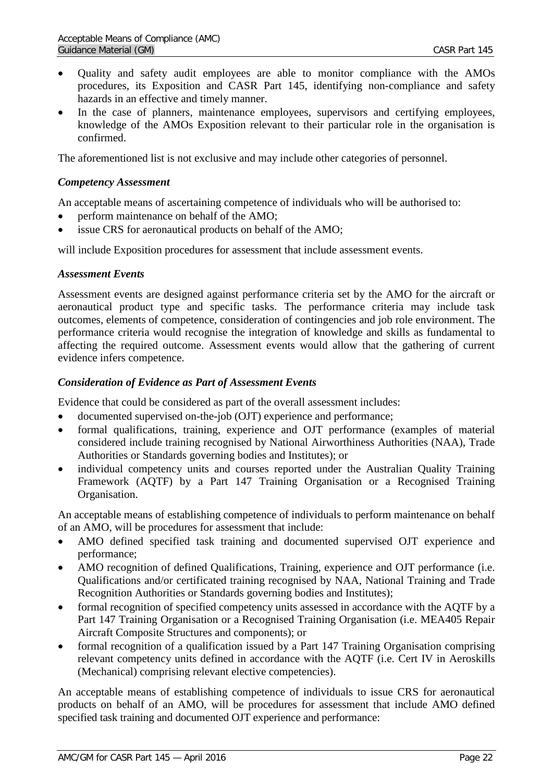- Quality and safety audit employees are able to monitor compliance with the AMOs procedures, its Exposition and CASR Part 145, identifying non-compliance and safety hazards in an effective and timely manner.
- In the case of planners, maintenance employees, supervisors and certifying employees, knowledge of the AMOs Exposition relevant to their particular role in the organisation is confirmed.

The aforementioned list is not exclusive and may include other categories of personnel.

#### *Competency Assessment*

An acceptable means of ascertaining competence of individuals who will be authorised to:

- perform maintenance on behalf of the AMO;
- issue CRS for aeronautical products on behalf of the AMO;

will include Exposition procedures for assessment that include assessment events.

#### *Assessment Events*

Assessment events are designed against performance criteria set by the AMO for the aircraft or aeronautical product type and specific tasks. The performance criteria may include task outcomes, elements of competence, consideration of contingencies and job role environment. The performance criteria would recognise the integration of knowledge and skills as fundamental to affecting the required outcome. Assessment events would allow that the gathering of current evidence infers competence.

#### *Consideration of Evidence as Part of Assessment Events*

Evidence that could be considered as part of the overall assessment includes:

- documented supervised on-the-job (OJT) experience and performance;
- formal qualifications, training, experience and OJT performance (examples of material considered include training recognised by National Airworthiness Authorities (NAA), Trade Authorities or Standards governing bodies and Institutes); or
- individual competency units and courses reported under the Australian Quality Training Framework (AQTF) by a Part 147 Training Organisation or a Recognised Training Organisation.

An acceptable means of establishing competence of individuals to perform maintenance on behalf of an AMO, will be procedures for assessment that include:

- AMO defined specified task training and documented supervised OJT experience and performance;
- AMO recognition of defined Qualifications, Training, experience and OJT performance (i.e. Qualifications and/or certificated training recognised by NAA, National Training and Trade Recognition Authorities or Standards governing bodies and Institutes);
- formal recognition of specified competency units assessed in accordance with the AQTF by a Part 147 Training Organisation or a Recognised Training Organisation (i.e. MEA405 Repair Aircraft Composite Structures and components); or
- formal recognition of a qualification issued by a Part 147 Training Organisation comprising relevant competency units defined in accordance with the AQTF (i.e. Cert IV in Aeroskills (Mechanical) comprising relevant elective competencies).

An acceptable means of establishing competence of individuals to issue CRS for aeronautical products on behalf of an AMO, will be procedures for assessment that include AMO defined specified task training and documented OJT experience and performance: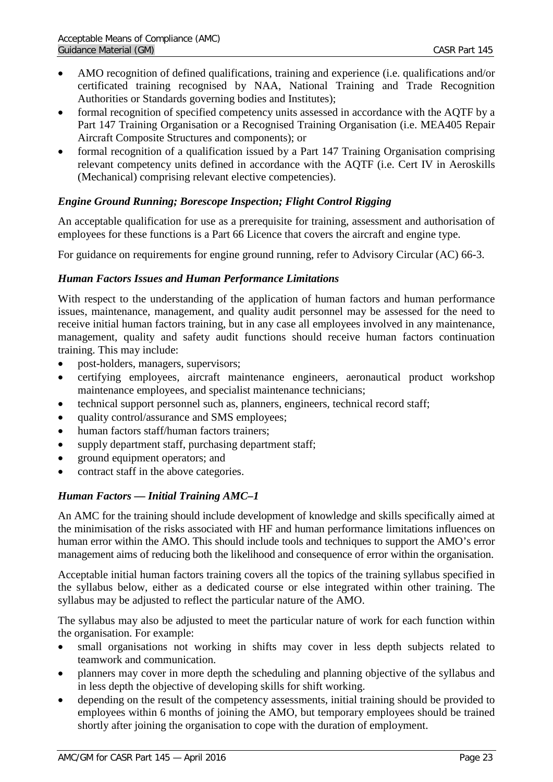- AMO recognition of defined qualifications, training and experience (i.e. qualifications and/or certificated training recognised by NAA, National Training and Trade Recognition Authorities or Standards governing bodies and Institutes);
- formal recognition of specified competency units assessed in accordance with the AQTF by a Part 147 Training Organisation or a Recognised Training Organisation (i.e. MEA405 Repair Aircraft Composite Structures and components); or
- formal recognition of a qualification issued by a Part 147 Training Organisation comprising relevant competency units defined in accordance with the AQTF (i.e. Cert IV in Aeroskills (Mechanical) comprising relevant elective competencies).

## *Engine Ground Running; Borescope Inspection; Flight Control Rigging*

An acceptable qualification for use as a prerequisite for training, assessment and authorisation of employees for these functions is a Part 66 Licence that covers the aircraft and engine type.

For guidance on requirements for engine ground running, refer to Advisory Circular (AC) 66-3.

### *Human Factors Issues and Human Performance Limitations*

With respect to the understanding of the application of human factors and human performance issues, maintenance, management, and quality audit personnel may be assessed for the need to receive initial human factors training, but in any case all employees involved in any maintenance, management, quality and safety audit functions should receive human factors continuation training. This may include:

- post-holders, managers, supervisors;
- certifying employees, aircraft maintenance engineers, aeronautical product workshop maintenance employees, and specialist maintenance technicians;
- technical support personnel such as, planners, engineers, technical record staff;
- quality control/assurance and SMS employees;
- human factors staff/human factors trainers;
- supply department staff, purchasing department staff;
- ground equipment operators; and
- contract staff in the above categories.

### *Human Factors — Initial Training AMC–1*

An AMC for the training should include development of knowledge and skills specifically aimed at the minimisation of the risks associated with HF and human performance limitations influences on human error within the AMO. This should include tools and techniques to support the AMO's error management aims of reducing both the likelihood and consequence of error within the organisation.

Acceptable initial human factors training covers all the topics of the training syllabus specified in the syllabus below, either as a dedicated course or else integrated within other training. The syllabus may be adjusted to reflect the particular nature of the AMO.

The syllabus may also be adjusted to meet the particular nature of work for each function within the organisation. For example:

- small organisations not working in shifts may cover in less depth subjects related to teamwork and communication.
- planners may cover in more depth the scheduling and planning objective of the syllabus and in less depth the objective of developing skills for shift working.
- depending on the result of the competency assessments, initial training should be provided to employees within 6 months of joining the AMO, but temporary employees should be trained shortly after joining the organisation to cope with the duration of employment.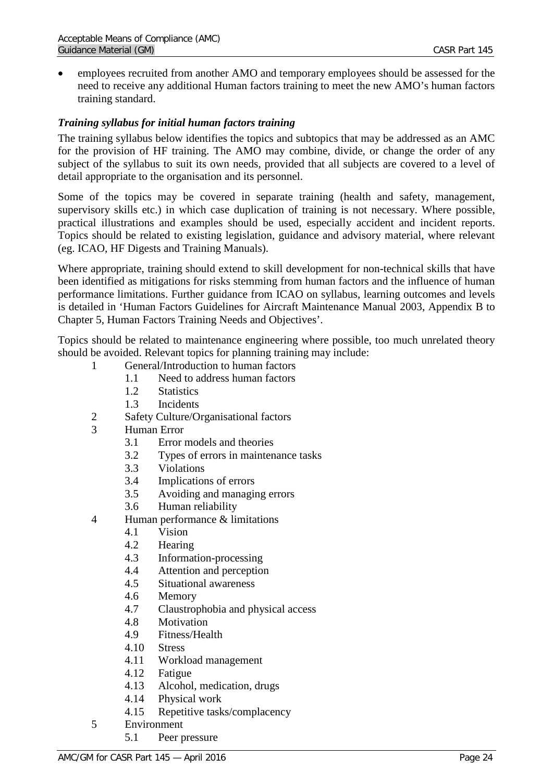• employees recruited from another AMO and temporary employees should be assessed for the need to receive any additional Human factors training to meet the new AMO's human factors training standard.

## *Training syllabus for initial human factors training*

The training syllabus below identifies the topics and subtopics that may be addressed as an AMC for the provision of HF training. The AMO may combine, divide, or change the order of any subject of the syllabus to suit its own needs, provided that all subjects are covered to a level of detail appropriate to the organisation and its personnel.

Some of the topics may be covered in separate training (health and safety, management, supervisory skills etc.) in which case duplication of training is not necessary. Where possible, practical illustrations and examples should be used, especially accident and incident reports. Topics should be related to existing legislation, guidance and advisory material, where relevant (eg. ICAO, HF Digests and Training Manuals).

Where appropriate, training should extend to skill development for non-technical skills that have been identified as mitigations for risks stemming from human factors and the influence of human performance limitations. Further guidance from ICAO on syllabus, learning outcomes and levels is detailed in 'Human Factors Guidelines for Aircraft Maintenance Manual 2003, Appendix B to Chapter 5, Human Factors Training Needs and Objectives'.

Topics should be related to maintenance engineering where possible, too much unrelated theory should be avoided. Relevant topics for planning training may include:

- 1 General/Introduction to human factors
	- 1.1 Need to address human factors
	- 1.2 Statistics
	- 1.3 Incidents
- 2 Safety Culture/Organisational factors
- 3 Human Error
	- 3.1 Error models and theories
	- 3.2 Types of errors in maintenance tasks
	- 3.3 Violations
	- 3.4 Implications of errors
	- 3.5 Avoiding and managing errors
	- 3.6 Human reliability
- 4 Human performance & limitations
	- 4.1 Vision
	- 4.2 Hearing
	- 4.3 Information-processing
	- 4.4 Attention and perception
	- 4.5 Situational awareness
	- 4.6 Memory
	- 4.7 Claustrophobia and physical access
	- 4.8 Motivation
	- 4.9 Fitness/Health
	- 4.10 Stress
	- 4.11 Workload management<br>4.12 Fatigue
	- **Fatigue**
	- 4.13 Alcohol, medication, drugs
	- 4.14 Physical work
	- 4.15 Repetitive tasks/complacency
- 5 Environment
	- 5.1 Peer pressure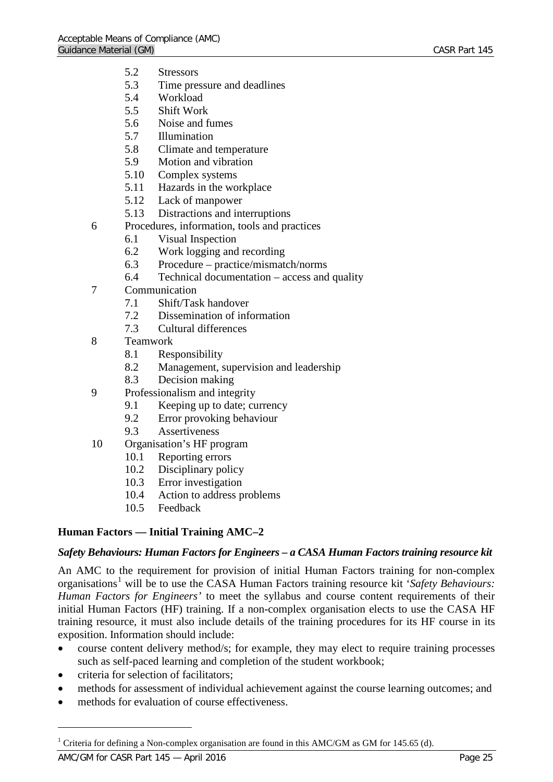- 5.2 Stressors
- 5.3 Time pressure and deadlines
- 5.4 Workload
- 5.5 Shift Work
- 5.6 Noise and fumes
- 5.7 Illumination
- 5.8 Climate and temperature
- 5.9 Motion and vibration
- 5.10 Complex systems
- 5.11 Hazards in the workplace
- 5.12 Lack of manpower
- 5.13 Distractions and interruptions
- 6 Procedures, information, tools and practices
	- 6.1 Visual Inspection
	- 6.2 Work logging and recording
	- 6.3 Procedure practice/mismatch/norms
	- 6.4 Technical documentation access and quality
- 7 Communication
	- 7.1 Shift/Task handover
	- 7.2 Dissemination of information
	- 7.3 Cultural differences
- 8 Teamwork
	- 8.1 Responsibility
	- 8.2 Management, supervision and leadership
	- 8.3 Decision making
- 9 Professionalism and integrity
	- 9.1 Keeping up to date; currency
	- 9.2 Error provoking behaviour
	- 9.3 Assertiveness
- 10 Organisation's HF program
	- 10.1 Reporting errors
	- 10.2 Disciplinary policy
	- 10.3 Error investigation
	- 10.4 Action to address problems
	- 10.5 Feedback

### <span id="page-24-0"></span>**Human Factors — Initial Training AMC–2**

#### *Safety Behaviours: Human Factors for Engineers – a CASA Human Factors training resource kit*

An AMC to the requirement for provision of initial Human Factors training for non-complex organisations<sup>[1](#page-24-1)</sup> will be to use the CASA Human Factors training resource kit '*Safety Behaviours*: *Human Factors for Engineers'* to meet the syllabus and course content requirements of their initial Human Factors (HF) training. If a non-complex organisation elects to use the CASA HF training resource, it must also include details of the training procedures for its HF course in its exposition. Information should include:

- course content delivery method/s; for example, they may elect to require training processes such as self-paced learning and completion of the student workbook;
- criteria for selection of facilitators;
- methods for assessment of individual achievement against the course learning outcomes; and
- methods for evaluation of course effectiveness.

 $\overline{a}$ 

<span id="page-24-1"></span><sup>&</sup>lt;sup>1</sup> Criteria for defining a Non-complex organisation are found in this AMC/GM as GM for 145.65 (d).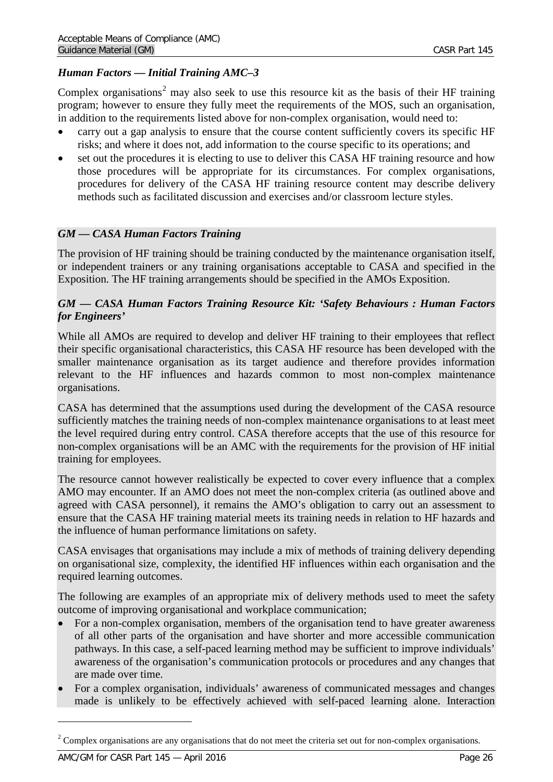## *Human Factors — Initial Training AMC–3*

Complex organisations<sup>[2](#page-25-0)</sup> may also seek to use this resource kit as the basis of their HF training program; however to ensure they fully meet the requirements of the MOS, such an organisation, in addition to the requirements listed above for non-complex organisation, would need to:

- carry out a gap analysis to ensure that the course content sufficiently covers its specific HF risks; and where it does not, add information to the course specific to its operations; and
- set out the procedures it is electing to use to deliver this CASA HF training resource and how those procedures will be appropriate for its circumstances. For complex organisations, procedures for delivery of the CASA HF training resource content may describe delivery methods such as facilitated discussion and exercises and/or classroom lecture styles.

#### *GM — CASA Human Factors Training*

The provision of HF training should be training conducted by the maintenance organisation itself, or independent trainers or any training organisations acceptable to CASA and specified in the Exposition. The HF training arrangements should be specified in the AMOs Exposition.

### *GM — CASA Human Factors Training Resource Kit: 'Safety Behaviours : Human Factors for Engineers'*

While all AMOs are required to develop and deliver HF training to their employees that reflect their specific organisational characteristics, this CASA HF resource has been developed with the smaller maintenance organisation as its target audience and therefore provides information relevant to the HF influences and hazards common to most non-complex maintenance organisations.

CASA has determined that the assumptions used during the development of the CASA resource sufficiently matches the training needs of non-complex maintenance organisations to at least meet the level required during entry control. CASA therefore accepts that the use of this resource for non-complex organisations will be an AMC with the requirements for the provision of HF initial training for employees.

The resource cannot however realistically be expected to cover every influence that a complex AMO may encounter. If an AMO does not meet the non-complex criteria (as outlined above and agreed with CASA personnel), it remains the AMO's obligation to carry out an assessment to ensure that the CASA HF training material meets its training needs in relation to HF hazards and the influence of human performance limitations on safety.

CASA envisages that organisations may include a mix of methods of training delivery depending on organisational size, complexity, the identified HF influences within each organisation and the required learning outcomes.

The following are examples of an appropriate mix of delivery methods used to meet the safety outcome of improving organisational and workplace communication;

- For a non-complex organisation, members of the organisation tend to have greater awareness of all other parts of the organisation and have shorter and more accessible communication pathways. In this case, a self-paced learning method may be sufficient to improve individuals' awareness of the organisation's communication protocols or procedures and any changes that are made over time.
- For a complex organisation, individuals' awareness of communicated messages and changes made is unlikely to be effectively achieved with self-paced learning alone. Interaction

 $\overline{a}$ 

<span id="page-25-0"></span> $2$  Complex organisations are any organisations that do not meet the criteria set out for non-complex organisations.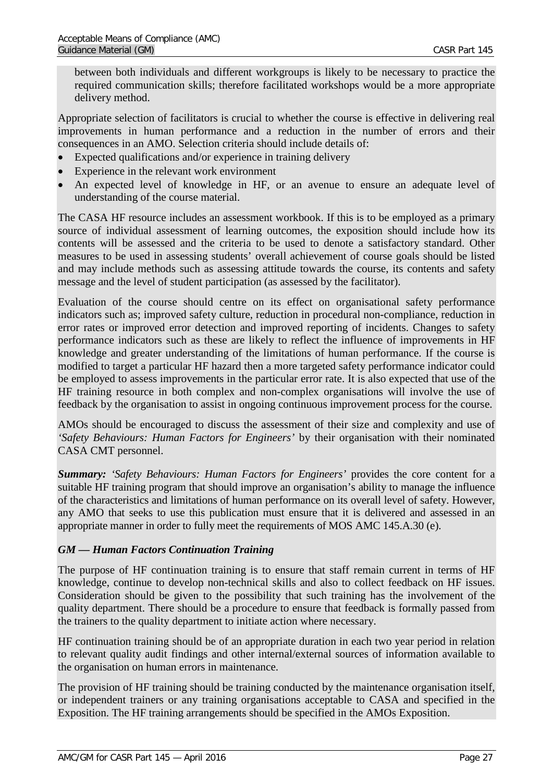between both individuals and different workgroups is likely to be necessary to practice the required communication skills; therefore facilitated workshops would be a more appropriate delivery method.

Appropriate selection of facilitators is crucial to whether the course is effective in delivering real improvements in human performance and a reduction in the number of errors and their consequences in an AMO. Selection criteria should include details of:

- Expected qualifications and/or experience in training delivery
- Experience in the relevant work environment
- An expected level of knowledge in HF, or an avenue to ensure an adequate level of understanding of the course material.

The CASA HF resource includes an assessment workbook. If this is to be employed as a primary source of individual assessment of learning outcomes, the exposition should include how its contents will be assessed and the criteria to be used to denote a satisfactory standard. Other measures to be used in assessing students' overall achievement of course goals should be listed and may include methods such as assessing attitude towards the course, its contents and safety message and the level of student participation (as assessed by the facilitator).

Evaluation of the course should centre on its effect on organisational safety performance indicators such as; improved safety culture, reduction in procedural non-compliance, reduction in error rates or improved error detection and improved reporting of incidents. Changes to safety performance indicators such as these are likely to reflect the influence of improvements in HF knowledge and greater understanding of the limitations of human performance. If the course is modified to target a particular HF hazard then a more targeted safety performance indicator could be employed to assess improvements in the particular error rate. It is also expected that use of the HF training resource in both complex and non-complex organisations will involve the use of feedback by the organisation to assist in ongoing continuous improvement process for the course.

AMOs should be encouraged to discuss the assessment of their size and complexity and use of *'Safety Behaviours: Human Factors for Engineers'* by their organisation with their nominated CASA CMT personnel.

*Summary: 'Safety Behaviours: Human Factors for Engineers'* provides the core content for a suitable HF training program that should improve an organisation's ability to manage the influence of the characteristics and limitations of human performance on its overall level of safety. However, any AMO that seeks to use this publication must ensure that it is delivered and assessed in an appropriate manner in order to fully meet the requirements of MOS AMC 145.A.30 (e).

### *GM — Human Factors Continuation Training*

The purpose of HF continuation training is to ensure that staff remain current in terms of HF knowledge, continue to develop non-technical skills and also to collect feedback on HF issues. Consideration should be given to the possibility that such training has the involvement of the quality department. There should be a procedure to ensure that feedback is formally passed from the trainers to the quality department to initiate action where necessary.

HF continuation training should be of an appropriate duration in each two year period in relation to relevant quality audit findings and other internal/external sources of information available to the organisation on human errors in maintenance.

The provision of HF training should be training conducted by the maintenance organisation itself, or independent trainers or any training organisations acceptable to CASA and specified in the Exposition. The HF training arrangements should be specified in the AMOs Exposition.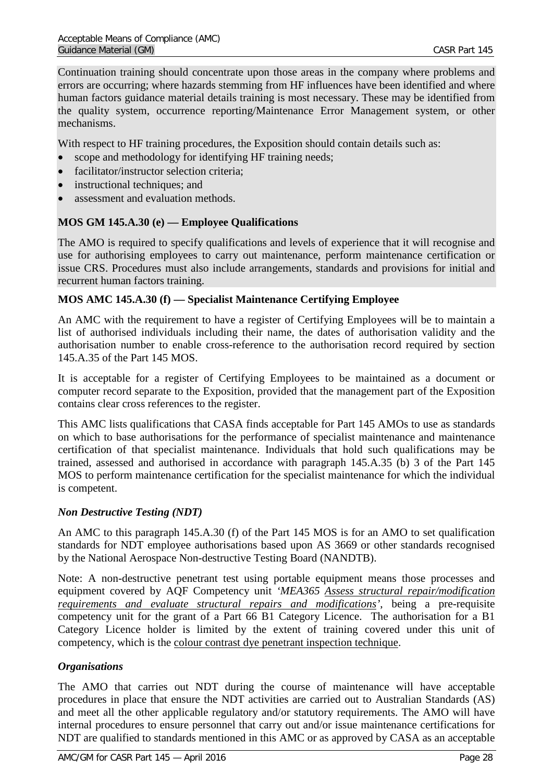Continuation training should concentrate upon those areas in the company where problems and errors are occurring; where hazards stemming from HF influences have been identified and where human factors guidance material details training is most necessary. These may be identified from the quality system, occurrence reporting/Maintenance Error Management system, or other mechanisms.

With respect to HF training procedures, the Exposition should contain details such as:

- scope and methodology for identifying HF training needs;
- facilitator/instructor selection criteria;
- instructional techniques; and
- assessment and evaluation methods.

## <span id="page-27-0"></span>**MOS GM 145.A.30 (e) — Employee Qualifications**

The AMO is required to specify qualifications and levels of experience that it will recognise and use for authorising employees to carry out maintenance, perform maintenance certification or issue CRS. Procedures must also include arrangements, standards and provisions for initial and recurrent human factors training.

### <span id="page-27-1"></span>**MOS AMC 145.A.30 (f) — Specialist Maintenance Certifying Employee**

An AMC with the requirement to have a register of Certifying Employees will be to maintain a list of authorised individuals including their name, the dates of authorisation validity and the authorisation number to enable cross-reference to the authorisation record required by section 145.A.35 of the Part 145 MOS.

It is acceptable for a register of Certifying Employees to be maintained as a document or computer record separate to the Exposition, provided that the management part of the Exposition contains clear cross references to the register.

This AMC lists qualifications that CASA finds acceptable for Part 145 AMOs to use as standards on which to base authorisations for the performance of specialist maintenance and maintenance certification of that specialist maintenance. Individuals that hold such qualifications may be trained, assessed and authorised in accordance with paragraph 145.A.35 (b) 3 of the Part 145 MOS to perform maintenance certification for the specialist maintenance for which the individual is competent.

### *Non Destructive Testing (NDT)*

An AMC to this paragraph 145.A.30 (f) of the Part 145 MOS is for an AMO to set qualification standards for NDT employee authorisations based upon AS 3669 or other standards recognised by the National Aerospace Non-destructive Testing Board (NANDTB).

Note: A non-destructive penetrant test using portable equipment means those processes and equipment covered by AQF Competency unit *'MEA365 Assess structural repair/modification requirements and evaluate structural repairs and modifications'*, being a pre-requisite competency unit for the grant of a Part 66 B1 Category Licence. The authorisation for a B1 Category Licence holder is limited by the extent of training covered under this unit of competency, which is the colour contrast dye penetrant inspection technique.

### *Organisations*

The AMO that carries out NDT during the course of maintenance will have acceptable procedures in place that ensure the NDT activities are carried out to Australian Standards (AS) and meet all the other applicable regulatory and/or statutory requirements. The AMO will have internal procedures to ensure personnel that carry out and/or issue maintenance certifications for NDT are qualified to standards mentioned in this AMC or as approved by CASA as an acceptable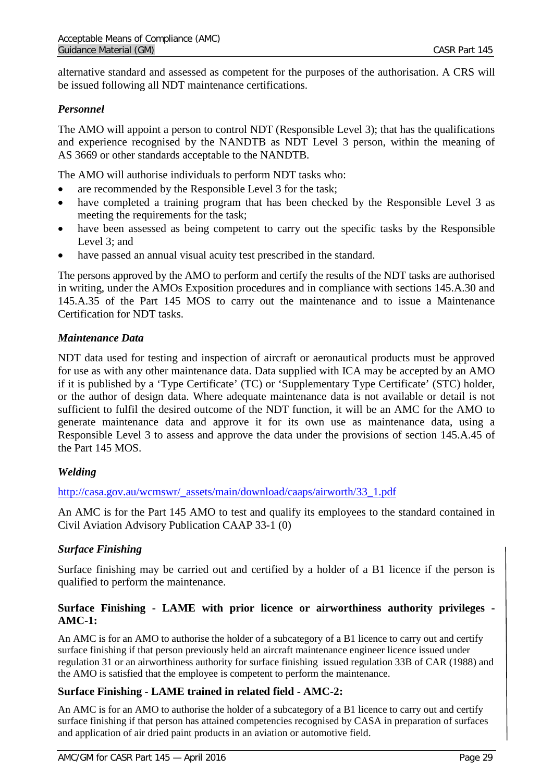alternative standard and assessed as competent for the purposes of the authorisation. A CRS will be issued following all NDT maintenance certifications.

## *Personnel*

The AMO will appoint a person to control NDT (Responsible Level 3); that has the qualifications and experience recognised by the NANDTB as NDT Level 3 person, within the meaning of AS 3669 or other standards acceptable to the NANDTB.

The AMO will authorise individuals to perform NDT tasks who:

- are recommended by the Responsible Level 3 for the task;
- have completed a training program that has been checked by the Responsible Level 3 as meeting the requirements for the task;
- have been assessed as being competent to carry out the specific tasks by the Responsible Level 3: and
- have passed an annual visual acuity test prescribed in the standard.

The persons approved by the AMO to perform and certify the results of the NDT tasks are authorised in writing, under the AMOs Exposition procedures and in compliance with sections 145.A.30 and 145.A.35 of the Part 145 MOS to carry out the maintenance and to issue a Maintenance Certification for NDT tasks.

## *Maintenance Data*

NDT data used for testing and inspection of aircraft or aeronautical products must be approved for use as with any other maintenance data. Data supplied with ICA may be accepted by an AMO if it is published by a 'Type Certificate' (TC) or 'Supplementary Type Certificate' (STC) holder, or the author of design data. Where adequate maintenance data is not available or detail is not sufficient to fulfil the desired outcome of the NDT function, it will be an AMC for the AMO to generate maintenance data and approve it for its own use as maintenance data, using a Responsible Level 3 to assess and approve the data under the provisions of section 145.A.45 of the Part 145 MOS.

## *Welding*

[http://casa.gov.au/wcmswr/\\_assets/main/download/caaps/airworth/33\\_1.pdf](http://casa.gov.au/wcmswr/_assets/main/download/caaps/airworth/33_1.pdf)

An AMC is for the Part 145 AMO to test and qualify its employees to the standard contained in Civil Aviation Advisory Publication CAAP 33-1 (0)

## *Surface Finishing*

Surface finishing may be carried out and certified by a holder of a B1 licence if the person is qualified to perform the maintenance.

## <span id="page-28-0"></span>**Surface Finishing - LAME with prior licence or airworthiness authority privileges - AMC-1:**

An AMC is for an AMO to authorise the holder of a subcategory of a B1 licence to carry out and certify surface finishing if that person previously held an aircraft maintenance engineer licence issued under regulation 31 or an airworthiness authority for surface finishing issued regulation 33B of CAR (1988) and the AMO is satisfied that the employee is competent to perform the maintenance.

### <span id="page-28-1"></span>**Surface Finishing - LAME trained in related field - AMC-2:**

An AMC is for an AMO to authorise the holder of a subcategory of a B1 licence to carry out and certify surface finishing if that person has attained competencies recognised by CASA in preparation of surfaces and application of air dried paint products in an aviation or automotive field.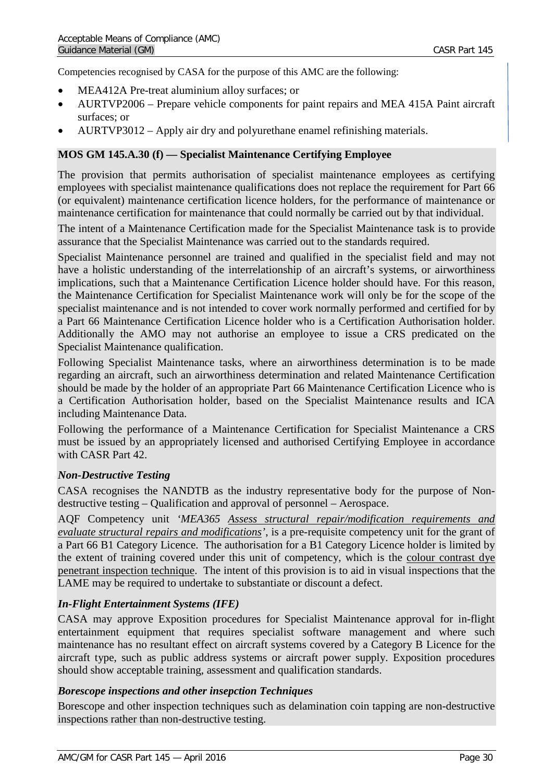Competencies recognised by CASA for the purpose of this AMC are the following:

- MEA412A Pre-treat aluminium alloy surfaces; or
- AURTVP2006 Prepare vehicle components for paint repairs and MEA 415A Paint aircraft surfaces; or
- <span id="page-29-0"></span>• AURTVP3012 – Apply air dry and polyurethane enamel refinishing materials.

## **MOS GM 145.A.30 (f) — Specialist Maintenance Certifying Employee**

The provision that permits authorisation of specialist maintenance employees as certifying employees with specialist maintenance qualifications does not replace the requirement for Part 66 (or equivalent) maintenance certification licence holders, for the performance of maintenance or maintenance certification for maintenance that could normally be carried out by that individual.

The intent of a Maintenance Certification made for the Specialist Maintenance task is to provide assurance that the Specialist Maintenance was carried out to the standards required.

Specialist Maintenance personnel are trained and qualified in the specialist field and may not have a holistic understanding of the interrelationship of an aircraft's systems, or airworthiness implications, such that a Maintenance Certification Licence holder should have. For this reason, the Maintenance Certification for Specialist Maintenance work will only be for the scope of the specialist maintenance and is not intended to cover work normally performed and certified for by a Part 66 Maintenance Certification Licence holder who is a Certification Authorisation holder. Additionally the AMO may not authorise an employee to issue a CRS predicated on the Specialist Maintenance qualification.

Following Specialist Maintenance tasks, where an airworthiness determination is to be made regarding an aircraft, such an airworthiness determination and related Maintenance Certification should be made by the holder of an appropriate Part 66 Maintenance Certification Licence who is a Certification Authorisation holder, based on the Specialist Maintenance results and ICA including Maintenance Data.

Following the performance of a Maintenance Certification for Specialist Maintenance a CRS must be issued by an appropriately licensed and authorised Certifying Employee in accordance with CASR Part 42.

### *Non-Destructive Testing*

CASA recognises the NANDTB as the industry representative body for the purpose of Nondestructive testing – Qualification and approval of personnel – Aerospace.

AQF Competency unit *'MEA365 Assess structural repair/modification requirements and evaluate structural repairs and modifications'*, is a pre-requisite competency unit for the grant of a Part 66 B1 Category Licence. The authorisation for a B1 Category Licence holder is limited by the extent of training covered under this unit of competency, which is the colour contrast dye penetrant inspection technique. The intent of this provision is to aid in visual inspections that the LAME may be required to undertake to substantiate or discount a defect.

## *In-Flight Entertainment Systems (IFE)*

CASA may approve Exposition procedures for Specialist Maintenance approval for in-flight entertainment equipment that requires specialist software management and where such maintenance has no resultant effect on aircraft systems covered by a Category B Licence for the aircraft type, such as public address systems or aircraft power supply. Exposition procedures should show acceptable training, assessment and qualification standards.

### *Borescope inspections and other insepction Techniques*

Borescope and other inspection techniques such as delamination coin tapping are non-destructive inspections rather than non-destructive testing.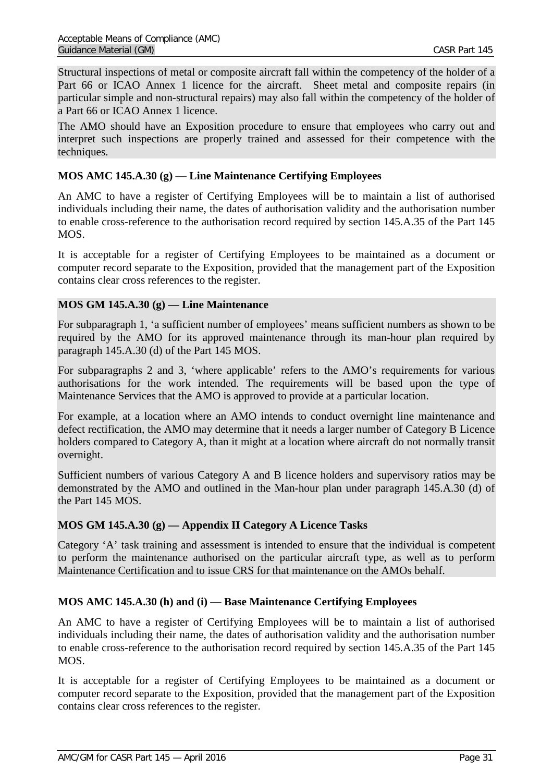Structural inspections of metal or composite aircraft fall within the competency of the holder of a Part 66 or ICAO Annex 1 licence for the aircraft. Sheet metal and composite repairs (in particular simple and non-structural repairs) may also fall within the competency of the holder of a Part 66 or ICAO Annex 1 licence.

The AMO should have an Exposition procedure to ensure that employees who carry out and interpret such inspections are properly trained and assessed for their competence with the techniques.

## <span id="page-30-0"></span>**MOS AMC 145.A.30 (g) — Line Maintenance Certifying Employees**

An AMC to have a register of Certifying Employees will be to maintain a list of authorised individuals including their name, the dates of authorisation validity and the authorisation number to enable cross-reference to the authorisation record required by section 145.A.35 of the Part 145 MOS.

It is acceptable for a register of Certifying Employees to be maintained as a document or computer record separate to the Exposition, provided that the management part of the Exposition contains clear cross references to the register.

## <span id="page-30-1"></span>**MOS GM 145.A.30 (g) — Line Maintenance**

For subparagraph 1, 'a sufficient number of employees' means sufficient numbers as shown to be required by the AMO for its approved maintenance through its man-hour plan required by paragraph 145.A.30 (d) of the Part 145 MOS.

For subparagraphs 2 and 3, 'where applicable' refers to the AMO's requirements for various authorisations for the work intended. The requirements will be based upon the type of Maintenance Services that the AMO is approved to provide at a particular location.

For example, at a location where an AMO intends to conduct overnight line maintenance and defect rectification, the AMO may determine that it needs a larger number of Category B Licence holders compared to Category A, than it might at a location where aircraft do not normally transit overnight.

Sufficient numbers of various Category A and B licence holders and supervisory ratios may be demonstrated by the AMO and outlined in the Man-hour plan under paragraph 145.A.30 (d) of the Part 145 MOS.

### <span id="page-30-2"></span>**MOS GM 145.A.30 (g) — Appendix II Category A Licence Tasks**

Category 'A' task training and assessment is intended to ensure that the individual is competent to perform the maintenance authorised on the particular aircraft type, as well as to perform Maintenance Certification and to issue CRS for that maintenance on the AMOs behalf.

## <span id="page-30-3"></span>**MOS AMC 145.A.30 (h) and (i) — Base Maintenance Certifying Employees**

An AMC to have a register of Certifying Employees will be to maintain a list of authorised individuals including their name, the dates of authorisation validity and the authorisation number to enable cross-reference to the authorisation record required by section 145.A.35 of the Part 145 MOS.

It is acceptable for a register of Certifying Employees to be maintained as a document or computer record separate to the Exposition, provided that the management part of the Exposition contains clear cross references to the register.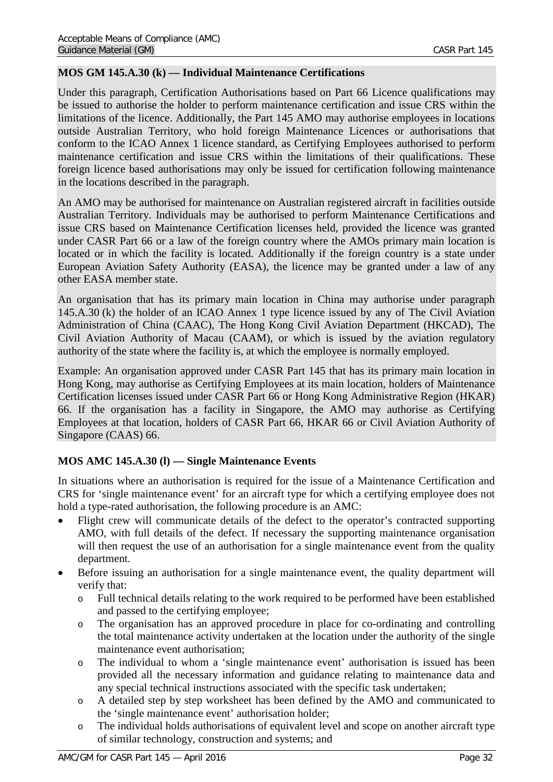## <span id="page-31-0"></span>**MOS GM 145.A.30 (k) — Individual Maintenance Certifications**

Under this paragraph, Certification Authorisations based on Part 66 Licence qualifications may be issued to authorise the holder to perform maintenance certification and issue CRS within the limitations of the licence. Additionally, the Part 145 AMO may authorise employees in locations outside Australian Territory, who hold foreign Maintenance Licences or authorisations that conform to the ICAO Annex 1 licence standard, as Certifying Employees authorised to perform maintenance certification and issue CRS within the limitations of their qualifications. These foreign licence based authorisations may only be issued for certification following maintenance in the locations described in the paragraph.

An AMO may be authorised for maintenance on Australian registered aircraft in facilities outside Australian Territory. Individuals may be authorised to perform Maintenance Certifications and issue CRS based on Maintenance Certification licenses held, provided the licence was granted under CASR Part 66 or a law of the foreign country where the AMOs primary main location is located or in which the facility is located. Additionally if the foreign country is a state under European Aviation Safety Authority (EASA), the licence may be granted under a law of any other EASA member state.

An organisation that has its primary main location in China may authorise under paragraph 145.A.30 (k) the holder of an ICAO Annex 1 type licence issued by any of The Civil Aviation Administration of China (CAAC), The Hong Kong Civil Aviation Department (HKCAD), The Civil Aviation Authority of Macau (CAAM), or which is issued by the aviation regulatory authority of the state where the facility is, at which the employee is normally employed.

Example: An organisation approved under CASR Part 145 that has its primary main location in Hong Kong, may authorise as Certifying Employees at its main location, holders of Maintenance Certification licenses issued under CASR Part 66 or Hong Kong Administrative Region (HKAR) 66. If the organisation has a facility in Singapore, the AMO may authorise as Certifying Employees at that location, holders of CASR Part 66, HKAR 66 or Civil Aviation Authority of Singapore (CAAS) 66.

### <span id="page-31-1"></span>**MOS AMC 145.A.30 (l) — Single Maintenance Events**

In situations where an authorisation is required for the issue of a Maintenance Certification and CRS for 'single maintenance event' for an aircraft type for which a certifying employee does not hold a type-rated authorisation, the following procedure is an AMC:

- Flight crew will communicate details of the defect to the operator's contracted supporting AMO, with full details of the defect. If necessary the supporting maintenance organisation will then request the use of an authorisation for a single maintenance event from the quality department.
- Before issuing an authorisation for a single maintenance event, the quality department will verify that:
	- o Full technical details relating to the work required to be performed have been established and passed to the certifying employee;
	- o The organisation has an approved procedure in place for co-ordinating and controlling the total maintenance activity undertaken at the location under the authority of the single maintenance event authorisation;
	- o The individual to whom a 'single maintenance event' authorisation is issued has been provided all the necessary information and guidance relating to maintenance data and any special technical instructions associated with the specific task undertaken;
	- o A detailed step by step worksheet has been defined by the AMO and communicated to the 'single maintenance event' authorisation holder;
	- o The individual holds authorisations of equivalent level and scope on another aircraft type of similar technology, construction and systems; and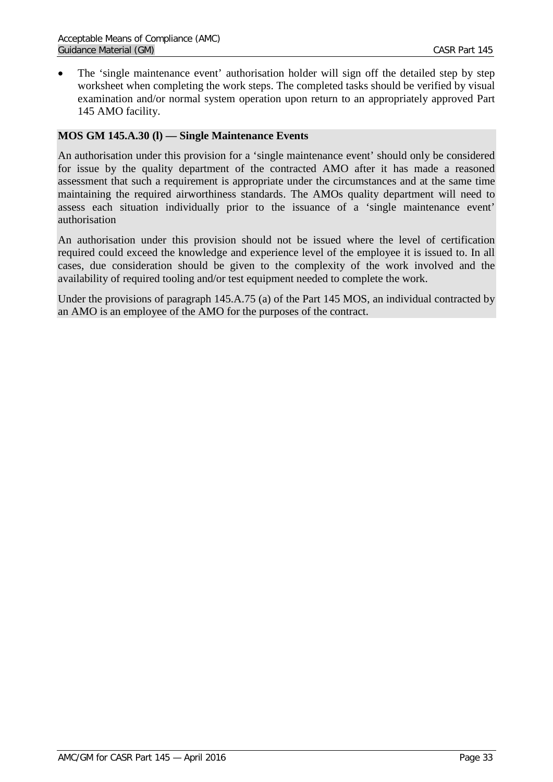• The 'single maintenance event' authorisation holder will sign off the detailed step by step worksheet when completing the work steps. The completed tasks should be verified by visual examination and/or normal system operation upon return to an appropriately approved Part 145 AMO facility.

#### <span id="page-32-0"></span>**MOS GM 145.A.30 (l) — Single Maintenance Events**

An authorisation under this provision for a 'single maintenance event' should only be considered for issue by the quality department of the contracted AMO after it has made a reasoned assessment that such a requirement is appropriate under the circumstances and at the same time maintaining the required airworthiness standards. The AMOs quality department will need to assess each situation individually prior to the issuance of a 'single maintenance event' authorisation

An authorisation under this provision should not be issued where the level of certification required could exceed the knowledge and experience level of the employee it is issued to. In all cases, due consideration should be given to the complexity of the work involved and the availability of required tooling and/or test equipment needed to complete the work.

Under the provisions of paragraph 145.A.75 (a) of the Part 145 MOS, an individual contracted by an AMO is an employee of the AMO for the purposes of the contract.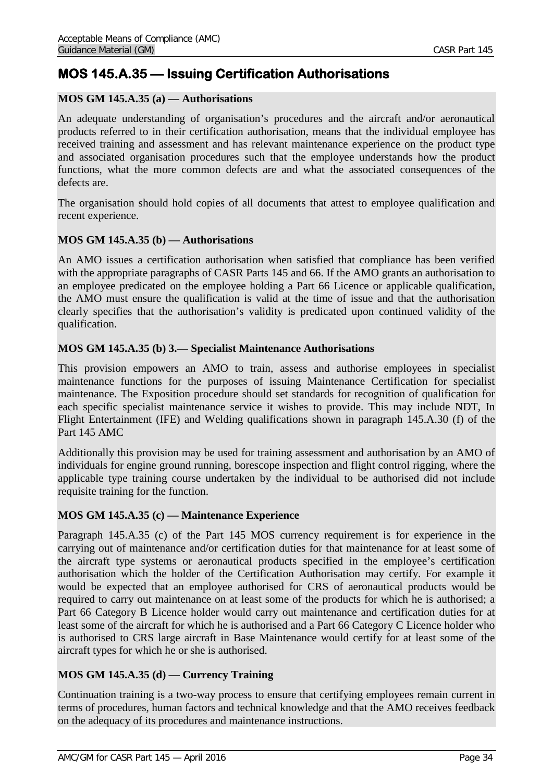## <span id="page-33-0"></span>**MOS 145.A.35 — Issuing Certification Authorisations**

## <span id="page-33-1"></span>**MOS GM 145.A.35 (a) — Authorisations**

An adequate understanding of organisation's procedures and the aircraft and/or aeronautical products referred to in their certification authorisation, means that the individual employee has received training and assessment and has relevant maintenance experience on the product type and associated organisation procedures such that the employee understands how the product functions, what the more common defects are and what the associated consequences of the defects are.

The organisation should hold copies of all documents that attest to employee qualification and recent experience.

### <span id="page-33-2"></span>**MOS GM 145.A.35 (b) — Authorisations**

An AMO issues a certification authorisation when satisfied that compliance has been verified with the appropriate paragraphs of CASR Parts 145 and 66. If the AMO grants an authorisation to an employee predicated on the employee holding a Part 66 Licence or applicable qualification, the AMO must ensure the qualification is valid at the time of issue and that the authorisation clearly specifies that the authorisation's validity is predicated upon continued validity of the qualification.

### <span id="page-33-3"></span>**MOS GM 145.A.35 (b) 3.— Specialist Maintenance Authorisations**

This provision empowers an AMO to train, assess and authorise employees in specialist maintenance functions for the purposes of issuing Maintenance Certification for specialist maintenance. The Exposition procedure should set standards for recognition of qualification for each specific specialist maintenance service it wishes to provide. This may include NDT, In Flight Entertainment (IFE) and Welding qualifications shown in paragraph 145.A.30 (f) of the Part 145 AMC

Additionally this provision may be used for training assessment and authorisation by an AMO of individuals for engine ground running, borescope inspection and flight control rigging, where the applicable type training course undertaken by the individual to be authorised did not include requisite training for the function.

### <span id="page-33-4"></span>**MOS GM 145.A.35 (c) — Maintenance Experience**

Paragraph 145.A.35 (c) of the Part 145 MOS currency requirement is for experience in the carrying out of maintenance and/or certification duties for that maintenance for at least some of the aircraft type systems or aeronautical products specified in the employee's certification authorisation which the holder of the Certification Authorisation may certify. For example it would be expected that an employee authorised for CRS of aeronautical products would be required to carry out maintenance on at least some of the products for which he is authorised; a Part 66 Category B Licence holder would carry out maintenance and certification duties for at least some of the aircraft for which he is authorised and a Part 66 Category C Licence holder who is authorised to CRS large aircraft in Base Maintenance would certify for at least some of the aircraft types for which he or she is authorised.

## <span id="page-33-5"></span>**MOS GM 145.A.35 (d) — Currency Training**

Continuation training is a two-way process to ensure that certifying employees remain current in terms of procedures, human factors and technical knowledge and that the AMO receives feedback on the adequacy of its procedures and maintenance instructions.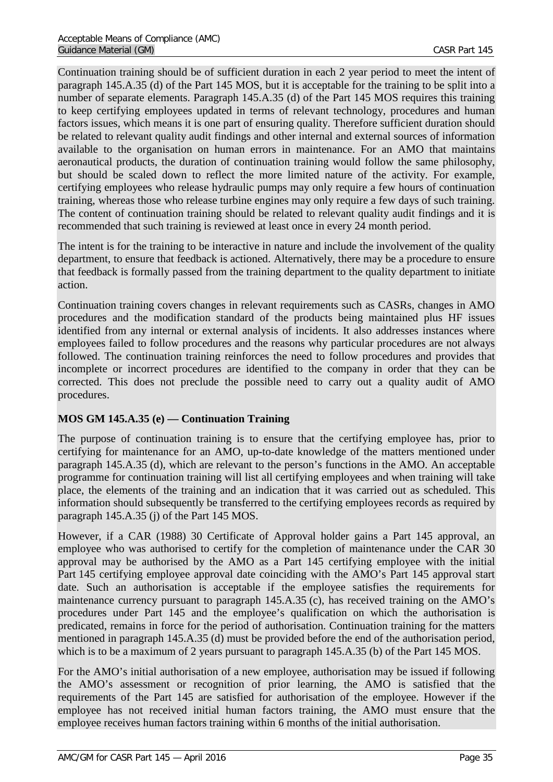Continuation training should be of sufficient duration in each 2 year period to meet the intent of paragraph 145.A.35 (d) of the Part 145 MOS, but it is acceptable for the training to be split into a number of separate elements. Paragraph 145.A.35 (d) of the Part 145 MOS requires this training to keep certifying employees updated in terms of relevant technology, procedures and human factors issues, which means it is one part of ensuring quality. Therefore sufficient duration should be related to relevant quality audit findings and other internal and external sources of information available to the organisation on human errors in maintenance. For an AMO that maintains aeronautical products, the duration of continuation training would follow the same philosophy, but should be scaled down to reflect the more limited nature of the activity. For example, certifying employees who release hydraulic pumps may only require a few hours of continuation training, whereas those who release turbine engines may only require a few days of such training. The content of continuation training should be related to relevant quality audit findings and it is recommended that such training is reviewed at least once in every 24 month period.

The intent is for the training to be interactive in nature and include the involvement of the quality department, to ensure that feedback is actioned. Alternatively, there may be a procedure to ensure that feedback is formally passed from the training department to the quality department to initiate action.

Continuation training covers changes in relevant requirements such as CASRs, changes in AMO procedures and the modification standard of the products being maintained plus HF issues identified from any internal or external analysis of incidents. It also addresses instances where employees failed to follow procedures and the reasons why particular procedures are not always followed. The continuation training reinforces the need to follow procedures and provides that incomplete or incorrect procedures are identified to the company in order that they can be corrected. This does not preclude the possible need to carry out a quality audit of AMO procedures.

## <span id="page-34-0"></span>**MOS GM 145.A.35 (e) — Continuation Training**

The purpose of continuation training is to ensure that the certifying employee has, prior to certifying for maintenance for an AMO, up-to-date knowledge of the matters mentioned under paragraph 145.A.35 (d), which are relevant to the person's functions in the AMO. An acceptable programme for continuation training will list all certifying employees and when training will take place, the elements of the training and an indication that it was carried out as scheduled. This information should subsequently be transferred to the certifying employees records as required by paragraph 145.A.35 (j) of the Part 145 MOS.

However, if a CAR (1988) 30 Certificate of Approval holder gains a Part 145 approval, an employee who was authorised to certify for the completion of maintenance under the CAR 30 approval may be authorised by the AMO as a Part 145 certifying employee with the initial Part 145 certifying employee approval date coinciding with the AMO's Part 145 approval start date. Such an authorisation is acceptable if the employee satisfies the requirements for maintenance currency pursuant to paragraph 145.A.35 (c), has received training on the AMO's procedures under Part 145 and the employee's qualification on which the authorisation is predicated, remains in force for the period of authorisation. Continuation training for the matters mentioned in paragraph 145.A.35 (d) must be provided before the end of the authorisation period, which is to be a maximum of 2 years pursuant to paragraph 145.A.35 (b) of the Part 145 MOS.

For the AMO's initial authorisation of a new employee, authorisation may be issued if following the AMO's assessment or recognition of prior learning, the AMO is satisfied that the requirements of the Part 145 are satisfied for authorisation of the employee. However if the employee has not received initial human factors training, the AMO must ensure that the employee receives human factors training within 6 months of the initial authorisation.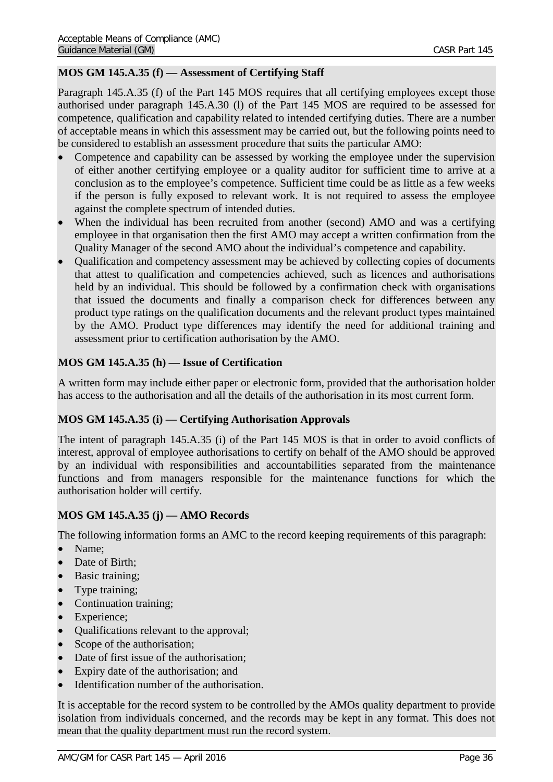## <span id="page-35-0"></span>**MOS GM 145.A.35 (f) — Assessment of Certifying Staff**

Paragraph 145.A.35 (f) of the Part 145 MOS requires that all certifying employees except those authorised under paragraph 145.A.30 (l) of the Part 145 MOS are required to be assessed for competence, qualification and capability related to intended certifying duties. There are a number of acceptable means in which this assessment may be carried out, but the following points need to be considered to establish an assessment procedure that suits the particular AMO:

- Competence and capability can be assessed by working the employee under the supervision of either another certifying employee or a quality auditor for sufficient time to arrive at a conclusion as to the employee's competence. Sufficient time could be as little as a few weeks if the person is fully exposed to relevant work. It is not required to assess the employee against the complete spectrum of intended duties.
- When the individual has been recruited from another (second) AMO and was a certifying employee in that organisation then the first AMO may accept a written confirmation from the Quality Manager of the second AMO about the individual's competence and capability.
- Qualification and competency assessment may be achieved by collecting copies of documents that attest to qualification and competencies achieved, such as licences and authorisations held by an individual. This should be followed by a confirmation check with organisations that issued the documents and finally a comparison check for differences between any product type ratings on the qualification documents and the relevant product types maintained by the AMO. Product type differences may identify the need for additional training and assessment prior to certification authorisation by the AMO.

## <span id="page-35-1"></span>**MOS GM 145.A.35 (h) — Issue of Certification**

A written form may include either paper or electronic form, provided that the authorisation holder has access to the authorisation and all the details of the authorisation in its most current form.

### <span id="page-35-2"></span>**MOS GM 145.A.35 (i) — Certifying Authorisation Approvals**

The intent of paragraph 145.A.35 (i) of the Part 145 MOS is that in order to avoid conflicts of interest, approval of employee authorisations to certify on behalf of the AMO should be approved by an individual with responsibilities and accountabilities separated from the maintenance functions and from managers responsible for the maintenance functions for which the authorisation holder will certify.

### <span id="page-35-3"></span>**MOS GM 145.A.35 (j) — AMO Records**

The following information forms an AMC to the record keeping requirements of this paragraph:

- Name:
- Date of Birth;
- Basic training;
- Type training;
- Continuation training;
- Experience:
- Qualifications relevant to the approval;
- Scope of the authorisation;
- Date of first issue of the authorisation;
- Expiry date of the authorisation; and
- Identification number of the authorisation.

It is acceptable for the record system to be controlled by the AMOs quality department to provide isolation from individuals concerned, and the records may be kept in any format. This does not mean that the quality department must run the record system.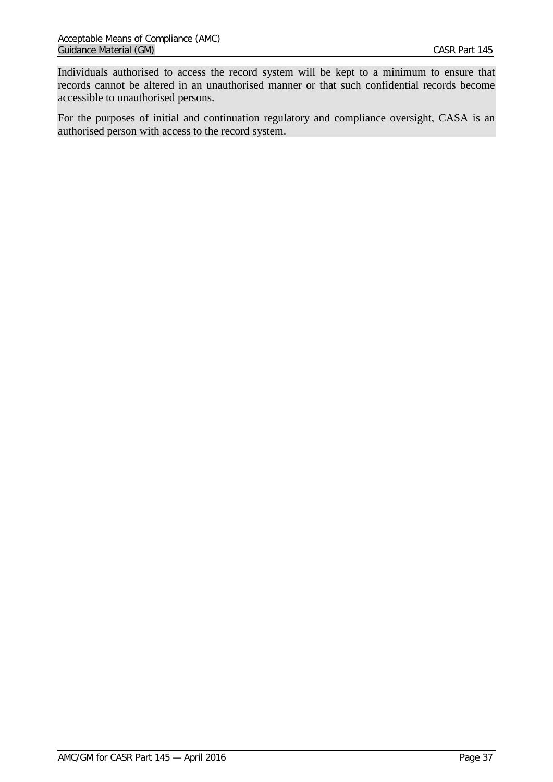Individuals authorised to access the record system will be kept to a minimum to ensure that records cannot be altered in an unauthorised manner or that such confidential records become accessible to unauthorised persons.

For the purposes of initial and continuation regulatory and compliance oversight, CASA is an authorised person with access to the record system.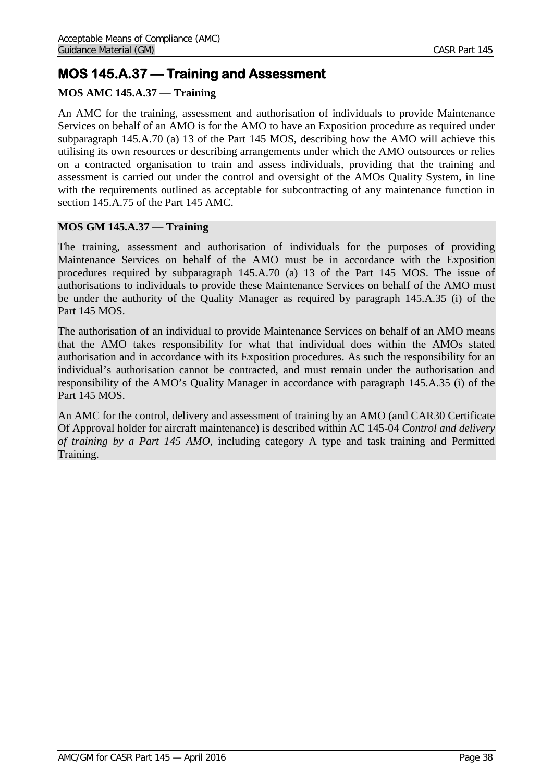# **MOS 145.A.37 — Training and Assessment**

# **MOS AMC 145.A.37 — Training**

An AMC for the training, assessment and authorisation of individuals to provide Maintenance Services on behalf of an AMO is for the AMO to have an Exposition procedure as required under subparagraph 145.A.70 (a) 13 of the Part 145 MOS, describing how the AMO will achieve this utilising its own resources or describing arrangements under which the AMO outsources or relies on a contracted organisation to train and assess individuals, providing that the training and assessment is carried out under the control and oversight of the AMOs Quality System, in line with the requirements outlined as acceptable for subcontracting of any maintenance function in section 145.A.75 of the Part 145 AMC.

# **MOS GM 145.A.37 — Training**

The training, assessment and authorisation of individuals for the purposes of providing Maintenance Services on behalf of the AMO must be in accordance with the Exposition procedures required by subparagraph 145.A.70 (a) 13 of the Part 145 MOS. The issue of authorisations to individuals to provide these Maintenance Services on behalf of the AMO must be under the authority of the Quality Manager as required by paragraph 145.A.35 (i) of the Part 145 MOS.

The authorisation of an individual to provide Maintenance Services on behalf of an AMO means that the AMO takes responsibility for what that individual does within the AMOs stated authorisation and in accordance with its Exposition procedures. As such the responsibility for an individual's authorisation cannot be contracted, and must remain under the authorisation and responsibility of the AMO's Quality Manager in accordance with paragraph 145.A.35 (i) of the Part 145 MOS.

An AMC for the control, delivery and assessment of training by an AMO (and CAR30 Certificate Of Approval holder for aircraft maintenance) is described within AC 145-04 *Control and delivery of training by a Part 145 AMO*, including category A type and task training and Permitted Training.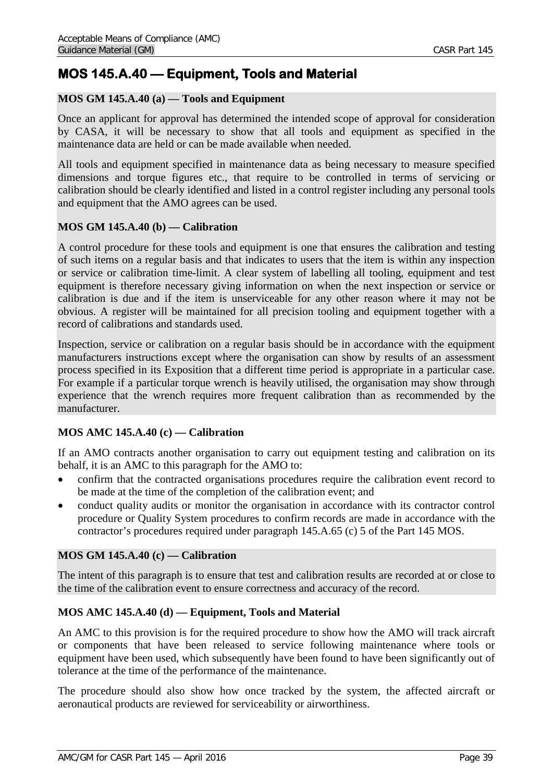# **MOS 145.A.40 — Equipment, Tools and Material**

## **MOS GM 145.A.40 (a) — Tools and Equipment**

Once an applicant for approval has determined the intended scope of approval for consideration by CASA, it will be necessary to show that all tools and equipment as specified in the maintenance data are held or can be made available when needed.

All tools and equipment specified in maintenance data as being necessary to measure specified dimensions and torque figures etc., that require to be controlled in terms of servicing or calibration should be clearly identified and listed in a control register including any personal tools and equipment that the AMO agrees can be used.

## **MOS GM 145.A.40 (b) — Calibration**

A control procedure for these tools and equipment is one that ensures the calibration and testing of such items on a regular basis and that indicates to users that the item is within any inspection or service or calibration time-limit. A clear system of labelling all tooling, equipment and test equipment is therefore necessary giving information on when the next inspection or service or calibration is due and if the item is unserviceable for any other reason where it may not be obvious. A register will be maintained for all precision tooling and equipment together with a record of calibrations and standards used.

Inspection, service or calibration on a regular basis should be in accordance with the equipment manufacturers instructions except where the organisation can show by results of an assessment process specified in its Exposition that a different time period is appropriate in a particular case. For example if a particular torque wrench is heavily utilised, the organisation may show through experience that the wrench requires more frequent calibration than as recommended by the manufacturer.

## **MOS AMC 145.A.40 (c) — Calibration**

If an AMO contracts another organisation to carry out equipment testing and calibration on its behalf, it is an AMC to this paragraph for the AMO to:

- confirm that the contracted organisations procedures require the calibration event record to be made at the time of the completion of the calibration event; and
- conduct quality audits or monitor the organisation in accordance with its contractor control procedure or Quality System procedures to confirm records are made in accordance with the contractor's procedures required under paragraph 145.A.65 (c) 5 of the Part 145 MOS.

### **MOS GM 145.A.40 (c) — Calibration**

The intent of this paragraph is to ensure that test and calibration results are recorded at or close to the time of the calibration event to ensure correctness and accuracy of the record.

## **MOS AMC 145.A.40 (d) — Equipment, Tools and Material**

An AMC to this provision is for the required procedure to show how the AMO will track aircraft or components that have been released to service following maintenance where tools or equipment have been used, which subsequently have been found to have been significantly out of tolerance at the time of the performance of the maintenance.

The procedure should also show how once tracked by the system, the affected aircraft or aeronautical products are reviewed for serviceability or airworthiness.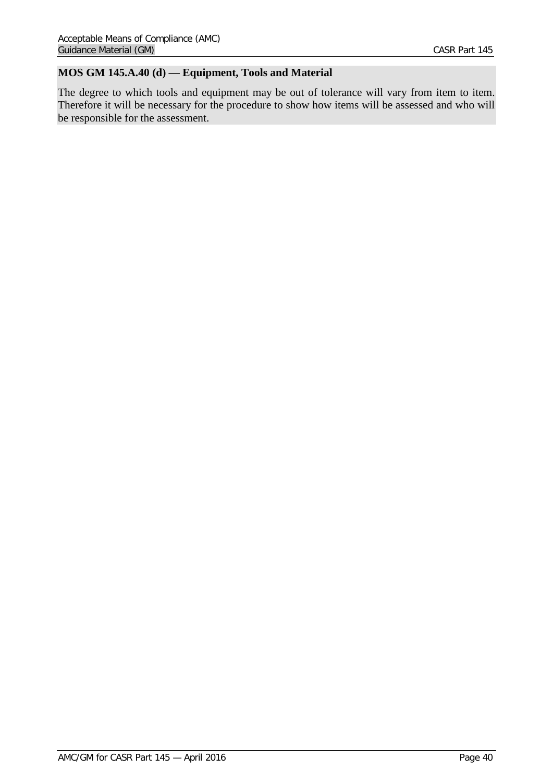# **MOS GM 145.A.40 (d) — Equipment, Tools and Material**

The degree to which tools and equipment may be out of tolerance will vary from item to item. Therefore it will be necessary for the procedure to show how items will be assessed and who will be responsible for the assessment.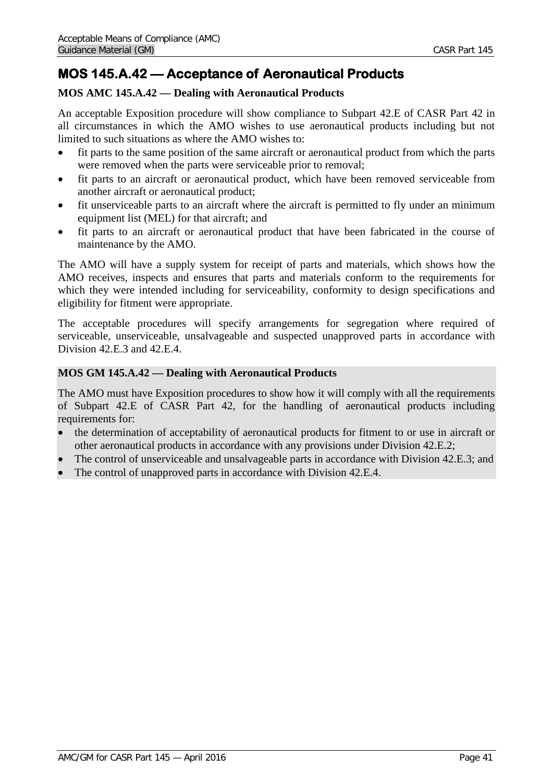# **MOS 145.A.42 — Acceptance of Aeronautical Products**

# **MOS AMC 145.A.42 — Dealing with Aeronautical Products**

An acceptable Exposition procedure will show compliance to Subpart 42.E of CASR Part 42 in all circumstances in which the AMO wishes to use aeronautical products including but not limited to such situations as where the AMO wishes to:

- fit parts to the same position of the same aircraft or aeronautical product from which the parts were removed when the parts were serviceable prior to removal;
- fit parts to an aircraft or aeronautical product, which have been removed serviceable from another aircraft or aeronautical product;
- fit unserviceable parts to an aircraft where the aircraft is permitted to fly under an minimum equipment list (MEL) for that aircraft; and
- fit parts to an aircraft or aeronautical product that have been fabricated in the course of maintenance by the AMO.

The AMO will have a supply system for receipt of parts and materials, which shows how the AMO receives, inspects and ensures that parts and materials conform to the requirements for which they were intended including for serviceability, conformity to design specifications and eligibility for fitment were appropriate.

The acceptable procedures will specify arrangements for segregation where required of serviceable, unserviceable, unsalvageable and suspected unapproved parts in accordance with Division 42.E.3 and 42.E.4.

# **MOS GM 145.A.42 — Dealing with Aeronautical Products**

The AMO must have Exposition procedures to show how it will comply with all the requirements of Subpart 42.E of CASR Part 42, for the handling of aeronautical products including requirements for:

- the determination of acceptability of aeronautical products for fitment to or use in aircraft or other aeronautical products in accordance with any provisions under Division 42.E.2;
- The control of unserviceable and unsalvageable parts in accordance with Division 42.E.3; and
- The control of unapproved parts in accordance with Division 42.E.4.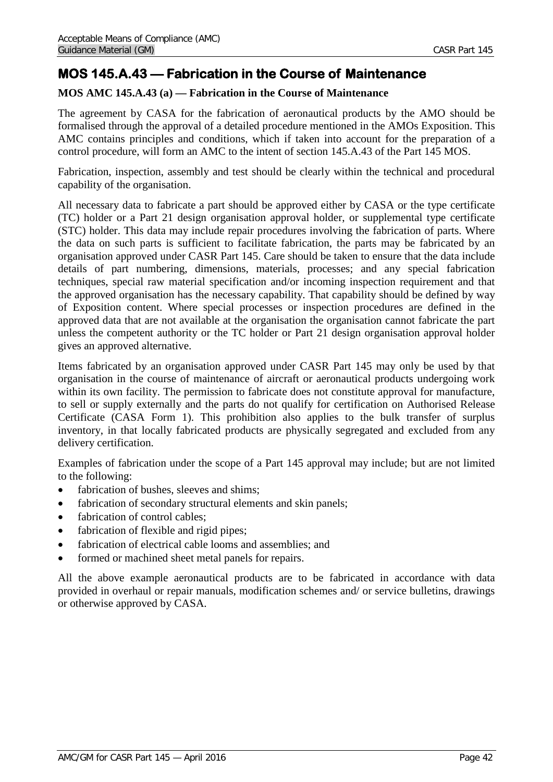# **MOS 145.A.43 — Fabrication in the Course of Maintenance**

# **MOS AMC 145.A.43 (a) — Fabrication in the Course of Maintenance**

The agreement by CASA for the fabrication of aeronautical products by the AMO should be formalised through the approval of a detailed procedure mentioned in the AMOs Exposition. This AMC contains principles and conditions, which if taken into account for the preparation of a control procedure, will form an AMC to the intent of section 145.A.43 of the Part 145 MOS.

Fabrication, inspection, assembly and test should be clearly within the technical and procedural capability of the organisation.

All necessary data to fabricate a part should be approved either by CASA or the type certificate (TC) holder or a Part 21 design organisation approval holder, or supplemental type certificate (STC) holder. This data may include repair procedures involving the fabrication of parts. Where the data on such parts is sufficient to facilitate fabrication, the parts may be fabricated by an organisation approved under CASR Part 145. Care should be taken to ensure that the data include details of part numbering, dimensions, materials, processes; and any special fabrication techniques, special raw material specification and/or incoming inspection requirement and that the approved organisation has the necessary capability. That capability should be defined by way of Exposition content. Where special processes or inspection procedures are defined in the approved data that are not available at the organisation the organisation cannot fabricate the part unless the competent authority or the TC holder or Part 21 design organisation approval holder gives an approved alternative.

Items fabricated by an organisation approved under CASR Part 145 may only be used by that organisation in the course of maintenance of aircraft or aeronautical products undergoing work within its own facility. The permission to fabricate does not constitute approval for manufacture, to sell or supply externally and the parts do not qualify for certification on Authorised Release Certificate (CASA Form 1). This prohibition also applies to the bulk transfer of surplus inventory, in that locally fabricated products are physically segregated and excluded from any delivery certification.

Examples of fabrication under the scope of a Part 145 approval may include; but are not limited to the following:

- fabrication of bushes, sleeves and shims;
- fabrication of secondary structural elements and skin panels;
- fabrication of control cables;
- fabrication of flexible and rigid pipes;
- fabrication of electrical cable looms and assemblies: and
- formed or machined sheet metal panels for repairs.

All the above example aeronautical products are to be fabricated in accordance with data provided in overhaul or repair manuals, modification schemes and/ or service bulletins, drawings or otherwise approved by CASA.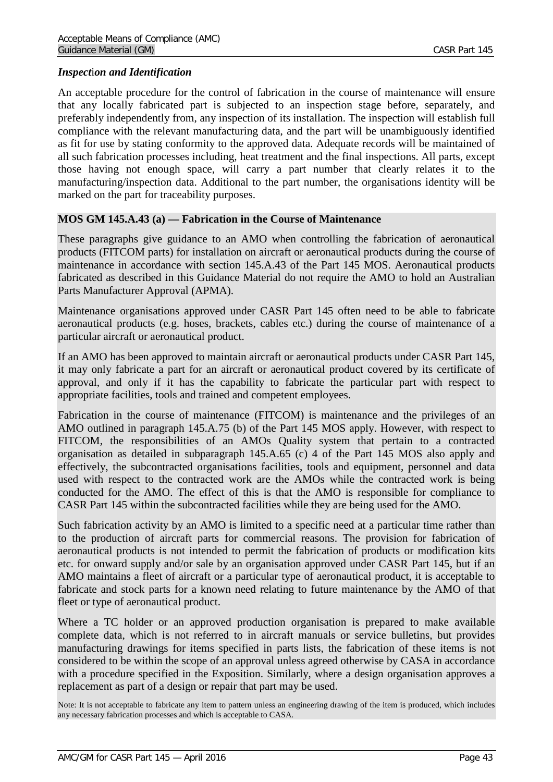## *Inspect*i*on and Identification*

An acceptable procedure for the control of fabrication in the course of maintenance will ensure that any locally fabricated part is subjected to an inspection stage before, separately, and preferably independently from, any inspection of its installation. The inspection will establish full compliance with the relevant manufacturing data, and the part will be unambiguously identified as fit for use by stating conformity to the approved data. Adequate records will be maintained of all such fabrication processes including, heat treatment and the final inspections. All parts, except those having not enough space, will carry a part number that clearly relates it to the manufacturing/inspection data. Additional to the part number, the organisations identity will be marked on the part for traceability purposes.

## **MOS GM 145.A.43 (a) — Fabrication in the Course of Maintenance**

These paragraphs give guidance to an AMO when controlling the fabrication of aeronautical products (FITCOM parts) for installation on aircraft or aeronautical products during the course of maintenance in accordance with section 145.A.43 of the Part 145 MOS. Aeronautical products fabricated as described in this Guidance Material do not require the AMO to hold an Australian Parts Manufacturer Approval (APMA).

Maintenance organisations approved under CASR Part 145 often need to be able to fabricate aeronautical products (e.g. hoses, brackets, cables etc.) during the course of maintenance of a particular aircraft or aeronautical product.

If an AMO has been approved to maintain aircraft or aeronautical products under CASR Part 145, it may only fabricate a part for an aircraft or aeronautical product covered by its certificate of approval, and only if it has the capability to fabricate the particular part with respect to appropriate facilities, tools and trained and competent employees.

Fabrication in the course of maintenance (FITCOM) is maintenance and the privileges of an AMO outlined in paragraph 145.A.75 (b) of the Part 145 MOS apply. However, with respect to FITCOM, the responsibilities of an AMOs Quality system that pertain to a contracted organisation as detailed in subparagraph 145.A.65 (c) 4 of the Part 145 MOS also apply and effectively, the subcontracted organisations facilities, tools and equipment, personnel and data used with respect to the contracted work are the AMOs while the contracted work is being conducted for the AMO. The effect of this is that the AMO is responsible for compliance to CASR Part 145 within the subcontracted facilities while they are being used for the AMO.

Such fabrication activity by an AMO is limited to a specific need at a particular time rather than to the production of aircraft parts for commercial reasons. The provision for fabrication of aeronautical products is not intended to permit the fabrication of products or modification kits etc. for onward supply and/or sale by an organisation approved under CASR Part 145, but if an AMO maintains a fleet of aircraft or a particular type of aeronautical product, it is acceptable to fabricate and stock parts for a known need relating to future maintenance by the AMO of that fleet or type of aeronautical product.

Where a TC holder or an approved production organisation is prepared to make available complete data, which is not referred to in aircraft manuals or service bulletins, but provides manufacturing drawings for items specified in parts lists, the fabrication of these items is not considered to be within the scope of an approval unless agreed otherwise by CASA in accordance with a procedure specified in the Exposition. Similarly, where a design organisation approves a replacement as part of a design or repair that part may be used.

Note: It is not acceptable to fabricate any item to pattern unless an engineering drawing of the item is produced, which includes any necessary fabrication processes and which is acceptable to CASA.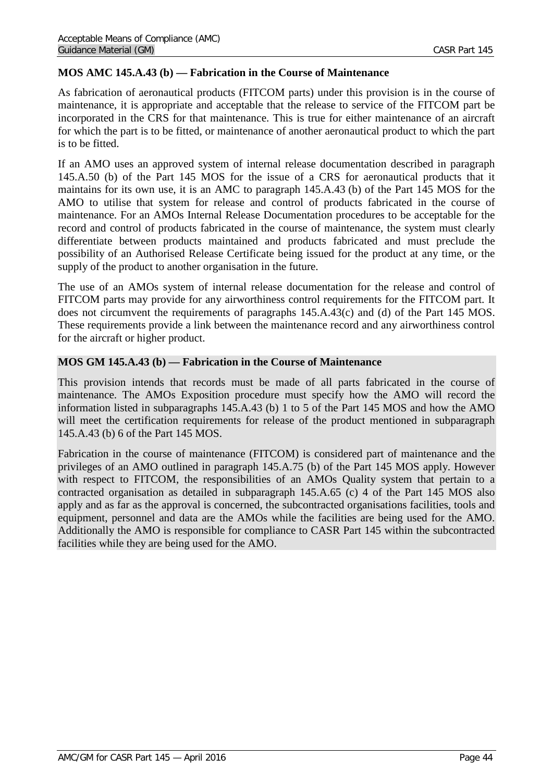# **MOS AMC 145.A.43 (b) — Fabrication in the Course of Maintenance**

As fabrication of aeronautical products (FITCOM parts) under this provision is in the course of maintenance, it is appropriate and acceptable that the release to service of the FITCOM part be incorporated in the CRS for that maintenance. This is true for either maintenance of an aircraft for which the part is to be fitted, or maintenance of another aeronautical product to which the part is to be fitted.

If an AMO uses an approved system of internal release documentation described in paragraph 145.A.50 (b) of the Part 145 MOS for the issue of a CRS for aeronautical products that it maintains for its own use, it is an AMC to paragraph 145.A.43 (b) of the Part 145 MOS for the AMO to utilise that system for release and control of products fabricated in the course of maintenance. For an AMOs Internal Release Documentation procedures to be acceptable for the record and control of products fabricated in the course of maintenance, the system must clearly differentiate between products maintained and products fabricated and must preclude the possibility of an Authorised Release Certificate being issued for the product at any time, or the supply of the product to another organisation in the future.

The use of an AMOs system of internal release documentation for the release and control of FITCOM parts may provide for any airworthiness control requirements for the FITCOM part. It does not circumvent the requirements of paragraphs 145.A.43(c) and (d) of the Part 145 MOS. These requirements provide a link between the maintenance record and any airworthiness control for the aircraft or higher product.

# **MOS GM 145.A.43 (b) — Fabrication in the Course of Maintenance**

This provision intends that records must be made of all parts fabricated in the course of maintenance. The AMOs Exposition procedure must specify how the AMO will record the information listed in subparagraphs 145.A.43 (b) 1 to 5 of the Part 145 MOS and how the AMO will meet the certification requirements for release of the product mentioned in subparagraph 145.A.43 (b) 6 of the Part 145 MOS.

Fabrication in the course of maintenance (FITCOM) is considered part of maintenance and the privileges of an AMO outlined in paragraph 145.A.75 (b) of the Part 145 MOS apply. However with respect to FITCOM, the responsibilities of an AMOs Quality system that pertain to a contracted organisation as detailed in subparagraph 145.A.65 (c) 4 of the Part 145 MOS also apply and as far as the approval is concerned, the subcontracted organisations facilities, tools and equipment, personnel and data are the AMOs while the facilities are being used for the AMO. Additionally the AMO is responsible for compliance to CASR Part 145 within the subcontracted facilities while they are being used for the AMO.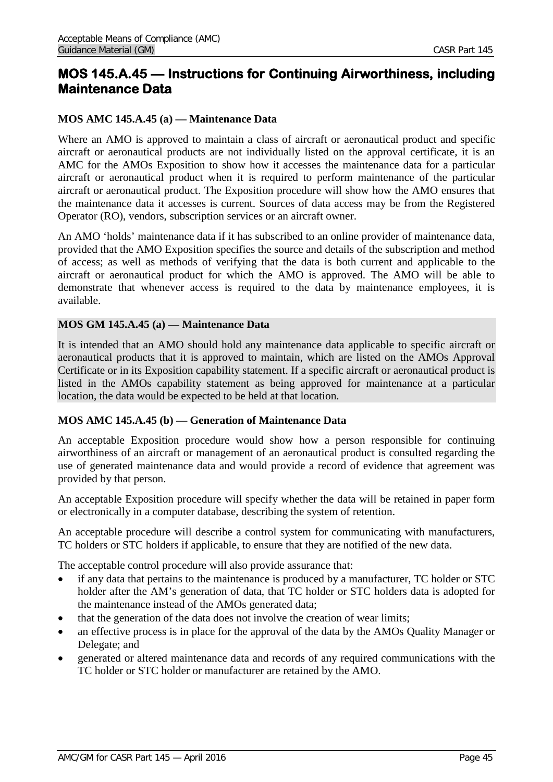# **MOS 145.A.45 — Instructions for Continuing Airworthiness, including Maintenance Data**

# **MOS AMC 145.A.45 (a) — Maintenance Data**

Where an AMO is approved to maintain a class of aircraft or aeronautical product and specific aircraft or aeronautical products are not individually listed on the approval certificate, it is an AMC for the AMOs Exposition to show how it accesses the maintenance data for a particular aircraft or aeronautical product when it is required to perform maintenance of the particular aircraft or aeronautical product. The Exposition procedure will show how the AMO ensures that the maintenance data it accesses is current. Sources of data access may be from the Registered Operator (RO), vendors, subscription services or an aircraft owner.

An AMO 'holds' maintenance data if it has subscribed to an online provider of maintenance data, provided that the AMO Exposition specifies the source and details of the subscription and method of access; as well as methods of verifying that the data is both current and applicable to the aircraft or aeronautical product for which the AMO is approved. The AMO will be able to demonstrate that whenever access is required to the data by maintenance employees, it is available.

## **MOS GM 145.A.45 (a) — Maintenance Data**

It is intended that an AMO should hold any maintenance data applicable to specific aircraft or aeronautical products that it is approved to maintain, which are listed on the AMOs Approval Certificate or in its Exposition capability statement. If a specific aircraft or aeronautical product is listed in the AMOs capability statement as being approved for maintenance at a particular location, the data would be expected to be held at that location.

### **MOS AMC 145.A.45 (b) — Generation of Maintenance Data**

An acceptable Exposition procedure would show how a person responsible for continuing airworthiness of an aircraft or management of an aeronautical product is consulted regarding the use of generated maintenance data and would provide a record of evidence that agreement was provided by that person.

An acceptable Exposition procedure will specify whether the data will be retained in paper form or electronically in a computer database, describing the system of retention.

An acceptable procedure will describe a control system for communicating with manufacturers, TC holders or STC holders if applicable, to ensure that they are notified of the new data.

The acceptable control procedure will also provide assurance that:

- if any data that pertains to the maintenance is produced by a manufacturer, TC holder or STC holder after the AM's generation of data, that TC holder or STC holders data is adopted for the maintenance instead of the AMOs generated data;
- that the generation of the data does not involve the creation of wear limits;
- an effective process is in place for the approval of the data by the AMOs Quality Manager or Delegate; and
- generated or altered maintenance data and records of any required communications with the TC holder or STC holder or manufacturer are retained by the AMO.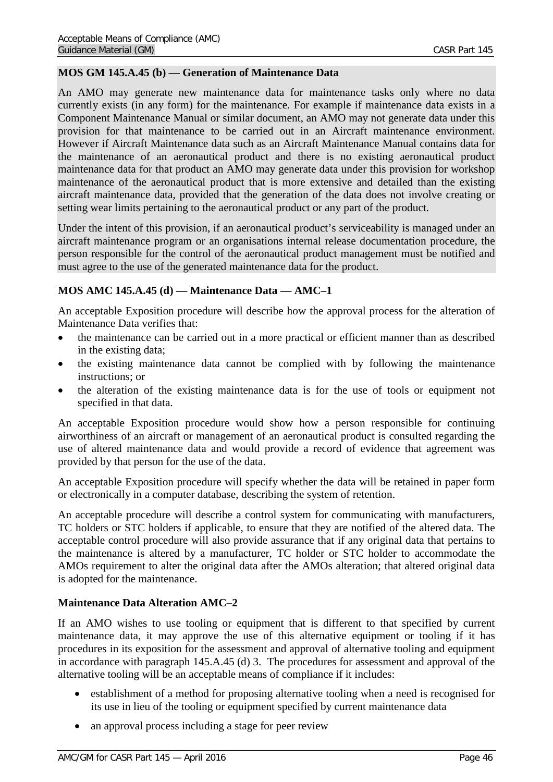## **MOS GM 145.A.45 (b) — Generation of Maintenance Data**

An AMO may generate new maintenance data for maintenance tasks only where no data currently exists (in any form) for the maintenance. For example if maintenance data exists in a Component Maintenance Manual or similar document, an AMO may not generate data under this provision for that maintenance to be carried out in an Aircraft maintenance environment. However if Aircraft Maintenance data such as an Aircraft Maintenance Manual contains data for the maintenance of an aeronautical product and there is no existing aeronautical product maintenance data for that product an AMO may generate data under this provision for workshop maintenance of the aeronautical product that is more extensive and detailed than the existing aircraft maintenance data, provided that the generation of the data does not involve creating or setting wear limits pertaining to the aeronautical product or any part of the product.

Under the intent of this provision, if an aeronautical product's serviceability is managed under an aircraft maintenance program or an organisations internal release documentation procedure, the person responsible for the control of the aeronautical product management must be notified and must agree to the use of the generated maintenance data for the product.

## **MOS AMC 145.A.45 (d) — Maintenance Data — AMC–1**

An acceptable Exposition procedure will describe how the approval process for the alteration of Maintenance Data verifies that:

- the maintenance can be carried out in a more practical or efficient manner than as described in the existing data;
- the existing maintenance data cannot be complied with by following the maintenance instructions; or
- the alteration of the existing maintenance data is for the use of tools or equipment not specified in that data.

An acceptable Exposition procedure would show how a person responsible for continuing airworthiness of an aircraft or management of an aeronautical product is consulted regarding the use of altered maintenance data and would provide a record of evidence that agreement was provided by that person for the use of the data.

An acceptable Exposition procedure will specify whether the data will be retained in paper form or electronically in a computer database, describing the system of retention.

An acceptable procedure will describe a control system for communicating with manufacturers, TC holders or STC holders if applicable, to ensure that they are notified of the altered data. The acceptable control procedure will also provide assurance that if any original data that pertains to the maintenance is altered by a manufacturer, TC holder or STC holder to accommodate the AMOs requirement to alter the original data after the AMOs alteration; that altered original data is adopted for the maintenance.

## **Maintenance Data Alteration AMC–2**

If an AMO wishes to use tooling or equipment that is different to that specified by current maintenance data, it may approve the use of this alternative equipment or tooling if it has procedures in its exposition for the assessment and approval of alternative tooling and equipment in accordance with paragraph 145.A.45 (d) 3. The procedures for assessment and approval of the alternative tooling will be an acceptable means of compliance if it includes:

- establishment of a method for proposing alternative tooling when a need is recognised for its use in lieu of the tooling or equipment specified by current maintenance data
- an approval process including a stage for peer review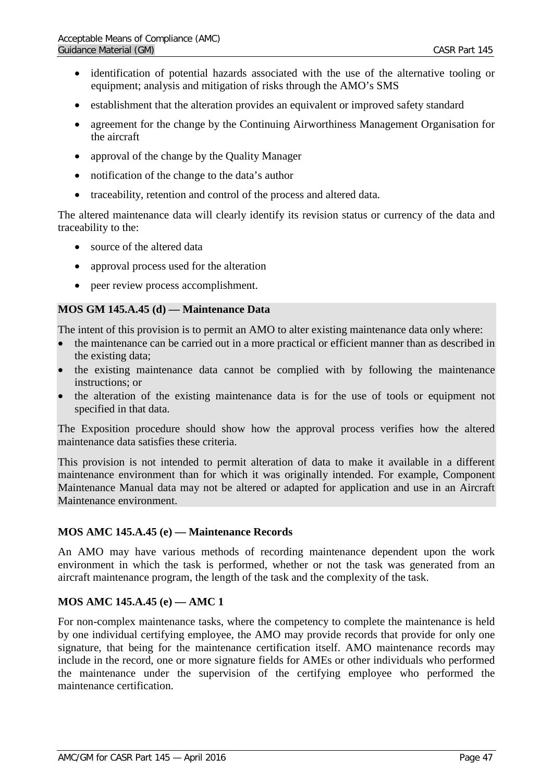- identification of potential hazards associated with the use of the alternative tooling or equipment; analysis and mitigation of risks through the AMO's SMS
- establishment that the alteration provides an equivalent or improved safety standard
- agreement for the change by the Continuing Airworthiness Management Organisation for the aircraft
- approval of the change by the Quality Manager
- notification of the change to the data's author
- traceability, retention and control of the process and altered data.

The altered maintenance data will clearly identify its revision status or currency of the data and traceability to the:

- source of the altered data
- approval process used for the alteration
- peer review process accomplishment.

### **MOS GM 145.A.45 (d) — Maintenance Data**

The intent of this provision is to permit an AMO to alter existing maintenance data only where:

- the maintenance can be carried out in a more practical or efficient manner than as described in the existing data;
- the existing maintenance data cannot be complied with by following the maintenance instructions; or
- the alteration of the existing maintenance data is for the use of tools or equipment not specified in that data.

The Exposition procedure should show how the approval process verifies how the altered maintenance data satisfies these criteria.

This provision is not intended to permit alteration of data to make it available in a different maintenance environment than for which it was originally intended. For example, Component Maintenance Manual data may not be altered or adapted for application and use in an Aircraft Maintenance environment.

### **MOS AMC 145.A.45 (e) — Maintenance Records**

An AMO may have various methods of recording maintenance dependent upon the work environment in which the task is performed, whether or not the task was generated from an aircraft maintenance program, the length of the task and the complexity of the task.

## **MOS AMC 145.A.45 (e) — AMC 1**

For non-complex maintenance tasks, where the competency to complete the maintenance is held by one individual certifying employee, the AMO may provide records that provide for only one signature, that being for the maintenance certification itself. AMO maintenance records may include in the record, one or more signature fields for AMEs or other individuals who performed the maintenance under the supervision of the certifying employee who performed the maintenance certification.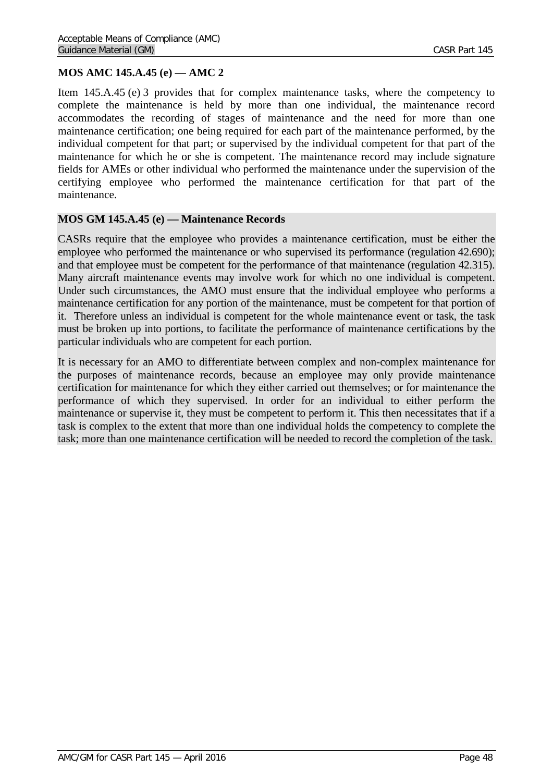# **MOS AMC 145.A.45 (e) — AMC 2**

Item 145.A.45 (e) 3 provides that for complex maintenance tasks, where the competency to complete the maintenance is held by more than one individual, the maintenance record accommodates the recording of stages of maintenance and the need for more than one maintenance certification; one being required for each part of the maintenance performed, by the individual competent for that part; or supervised by the individual competent for that part of the maintenance for which he or she is competent. The maintenance record may include signature fields for AMEs or other individual who performed the maintenance under the supervision of the certifying employee who performed the maintenance certification for that part of the maintenance.

### **MOS GM 145.A.45 (e) — Maintenance Records**

CASRs require that the employee who provides a maintenance certification, must be either the employee who performed the maintenance or who supervised its performance (regulation 42.690); and that employee must be competent for the performance of that maintenance (regulation 42.315). Many aircraft maintenance events may involve work for which no one individual is competent. Under such circumstances, the AMO must ensure that the individual employee who performs a maintenance certification for any portion of the maintenance, must be competent for that portion of it. Therefore unless an individual is competent for the whole maintenance event or task, the task must be broken up into portions, to facilitate the performance of maintenance certifications by the particular individuals who are competent for each portion.

It is necessary for an AMO to differentiate between complex and non-complex maintenance for the purposes of maintenance records, because an employee may only provide maintenance certification for maintenance for which they either carried out themselves; or for maintenance the performance of which they supervised. In order for an individual to either perform the maintenance or supervise it, they must be competent to perform it. This then necessitates that if a task is complex to the extent that more than one individual holds the competency to complete the task; more than one maintenance certification will be needed to record the completion of the task.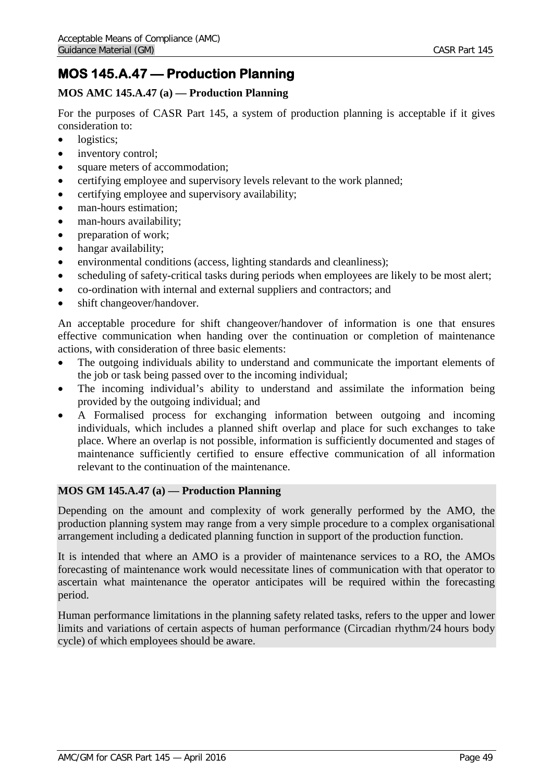# **MOS 145.A.47 — Production Planning**

# **MOS AMC 145.A.47 (a) — Production Planning**

For the purposes of CASR Part 145, a system of production planning is acceptable if it gives consideration to:

- logistics:
- inventory control;
- square meters of accommodation;
- certifying employee and supervisory levels relevant to the work planned;
- certifying employee and supervisory availability;
- man-hours estimation:
- man-hours availability:
- preparation of work;
- hangar availability;
- environmental conditions (access, lighting standards and cleanliness);
- scheduling of safety-critical tasks during periods when employees are likely to be most alert;
- co-ordination with internal and external suppliers and contractors; and
- shift changeover/handover.

An acceptable procedure for shift changeover/handover of information is one that ensures effective communication when handing over the continuation or completion of maintenance actions, with consideration of three basic elements:

- The outgoing individuals ability to understand and communicate the important elements of the job or task being passed over to the incoming individual;
- The incoming individual's ability to understand and assimilate the information being provided by the outgoing individual; and
- A Formalised process for exchanging information between outgoing and incoming individuals, which includes a planned shift overlap and place for such exchanges to take place. Where an overlap is not possible, information is sufficiently documented and stages of maintenance sufficiently certified to ensure effective communication of all information relevant to the continuation of the maintenance.

## **MOS GM 145.A.47 (a) — Production Planning**

Depending on the amount and complexity of work generally performed by the AMO, the production planning system may range from a very simple procedure to a complex organisational arrangement including a dedicated planning function in support of the production function.

It is intended that where an AMO is a provider of maintenance services to a RO, the AMOs forecasting of maintenance work would necessitate lines of communication with that operator to ascertain what maintenance the operator anticipates will be required within the forecasting period.

Human performance limitations in the planning safety related tasks, refers to the upper and lower limits and variations of certain aspects of human performance (Circadian rhythm/24 hours body cycle) of which employees should be aware.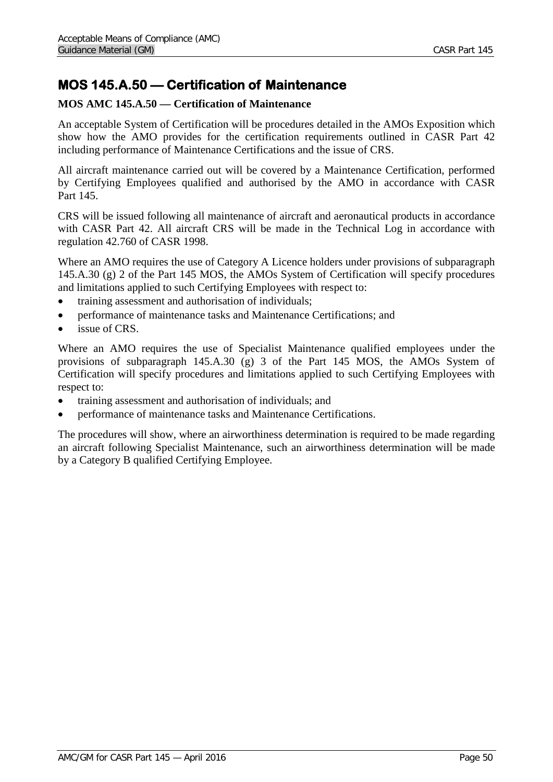# **MOS 145.A.50 — Certification of Maintenance**

# **MOS AMC 145.A.50 — Certification of Maintenance**

An acceptable System of Certification will be procedures detailed in the AMOs Exposition which show how the AMO provides for the certification requirements outlined in CASR Part 42 including performance of Maintenance Certifications and the issue of CRS.

All aircraft maintenance carried out will be covered by a Maintenance Certification, performed by Certifying Employees qualified and authorised by the AMO in accordance with CASR Part 145.

CRS will be issued following all maintenance of aircraft and aeronautical products in accordance with CASR Part 42. All aircraft CRS will be made in the Technical Log in accordance with regulation 42.760 of CASR 1998.

Where an AMO requires the use of Category A Licence holders under provisions of subparagraph 145.A.30 (g) 2 of the Part 145 MOS, the AMOs System of Certification will specify procedures and limitations applied to such Certifying Employees with respect to:

- training assessment and authorisation of individuals;
- performance of maintenance tasks and Maintenance Certifications; and
- issue of CRS.

Where an AMO requires the use of Specialist Maintenance qualified employees under the provisions of subparagraph  $145.A.30$  (g) 3 of the Part 145 MOS, the AMOs System of Certification will specify procedures and limitations applied to such Certifying Employees with respect to:

- training assessment and authorisation of individuals; and
- performance of maintenance tasks and Maintenance Certifications.

The procedures will show, where an airworthiness determination is required to be made regarding an aircraft following Specialist Maintenance, such an airworthiness determination will be made by a Category B qualified Certifying Employee.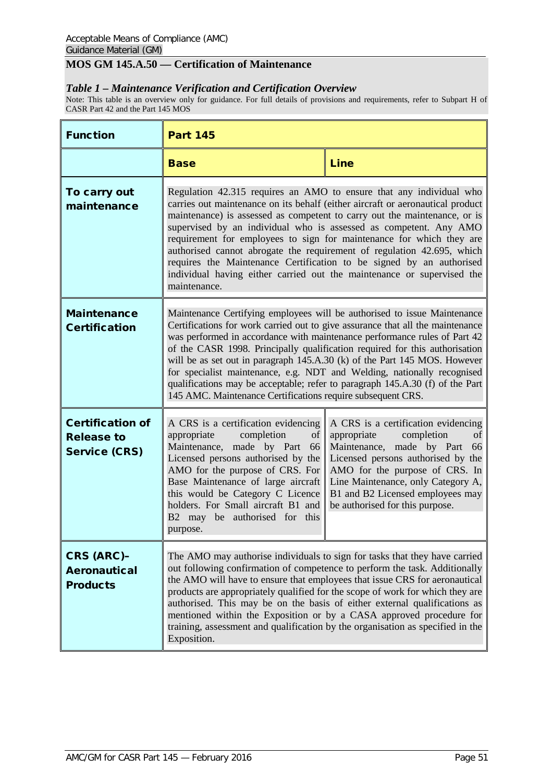# **MOS GM 145.A.50 — Certification of Maintenance**

### *Table 1 – Maintenance Verification and Certification Overview*

Note: This table is an overview only for guidance. For full details of provisions and requirements, refer to Subpart H of CASR Part 42 and the Part 145 MOS

| <b>Function</b>                                                      | <b>Part 145</b>                                                                                                                                                                                                                                                                                                                                                                                                                                                                                                                                                                                                                |                                                                                                                                                                                                                                                                                                |
|----------------------------------------------------------------------|--------------------------------------------------------------------------------------------------------------------------------------------------------------------------------------------------------------------------------------------------------------------------------------------------------------------------------------------------------------------------------------------------------------------------------------------------------------------------------------------------------------------------------------------------------------------------------------------------------------------------------|------------------------------------------------------------------------------------------------------------------------------------------------------------------------------------------------------------------------------------------------------------------------------------------------|
|                                                                      | <b>Base</b>                                                                                                                                                                                                                                                                                                                                                                                                                                                                                                                                                                                                                    | <b>Line</b>                                                                                                                                                                                                                                                                                    |
| To carry out<br>maintenance                                          | Regulation 42.315 requires an AMO to ensure that any individual who<br>carries out maintenance on its behalf (either aircraft or aeronautical product<br>maintenance) is assessed as competent to carry out the maintenance, or is<br>supervised by an individual who is assessed as competent. Any AMO<br>requirement for employees to sign for maintenance for which they are<br>authorised cannot abrogate the requirement of regulation 42.695, which<br>requires the Maintenance Certification to be signed by an authorised<br>individual having either carried out the maintenance or supervised the<br>maintenance.    |                                                                                                                                                                                                                                                                                                |
| <b>Maintenance</b><br><b>Certification</b>                           | Maintenance Certifying employees will be authorised to issue Maintenance<br>Certifications for work carried out to give assurance that all the maintenance<br>was performed in accordance with maintenance performance rules of Part 42<br>of the CASR 1998. Principally qualification required for this authorisation<br>will be as set out in paragraph 145.A.30 (k) of the Part 145 MOS. However<br>for specialist maintenance, e.g. NDT and Welding, nationally recognised<br>qualifications may be acceptable; refer to paragraph 145.A.30 (f) of the Part<br>145 AMC. Maintenance Certifications require subsequent CRS. |                                                                                                                                                                                                                                                                                                |
| <b>Certification of</b><br><b>Release to</b><br><b>Service (CRS)</b> | A CRS is a certification evidencing<br>appropriate<br>completion<br>of<br>Maintenance, made by Part<br>66<br>Licensed persons authorised by the<br>AMO for the purpose of CRS. For<br>Base Maintenance of large aircraft<br>this would be Category C Licence<br>holders. For Small aircraft B1 and<br>B2 may be authorised for this<br>purpose.                                                                                                                                                                                                                                                                                | A CRS is a certification evidencing<br>appropriate<br>completion<br>of<br>Maintenance, made by Part<br>66<br>Licensed persons authorised by the<br>AMO for the purpose of CRS. In<br>Line Maintenance, only Category A,<br>B1 and B2 Licensed employees may<br>be authorised for this purpose. |
| <b>CRS (ARC)-</b><br><b>Aeronautical</b><br><b>Products</b>          | The AMO may authorise individuals to sign for tasks that they have carried<br>out following confirmation of competence to perform the task. Additionally<br>the AMO will have to ensure that employees that issue CRS for aeronautical<br>products are appropriately qualified for the scope of work for which they are<br>authorised. This may be on the basis of either external qualifications as<br>mentioned within the Exposition or by a CASA approved procedure for<br>training, assessment and qualification by the organisation as specified in the<br>Exposition.                                                   |                                                                                                                                                                                                                                                                                                |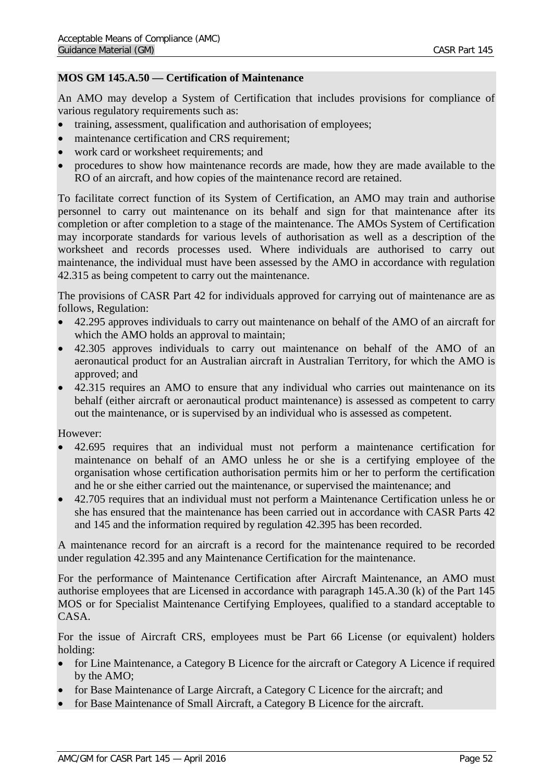## **MOS GM 145.A.50 — Certification of Maintenance**

An AMO may develop a System of Certification that includes provisions for compliance of various regulatory requirements such as:

- training, assessment, qualification and authorisation of employees;
- maintenance certification and CRS requirement;
- work card or worksheet requirements; and
- procedures to show how maintenance records are made, how they are made available to the RO of an aircraft, and how copies of the maintenance record are retained.

To facilitate correct function of its System of Certification, an AMO may train and authorise personnel to carry out maintenance on its behalf and sign for that maintenance after its completion or after completion to a stage of the maintenance. The AMOs System of Certification may incorporate standards for various levels of authorisation as well as a description of the worksheet and records processes used. Where individuals are authorised to carry out maintenance, the individual must have been assessed by the AMO in accordance with regulation 42.315 as being competent to carry out the maintenance.

The provisions of CASR Part 42 for individuals approved for carrying out of maintenance are as follows, Regulation:

- 42.295 approves individuals to carry out maintenance on behalf of the AMO of an aircraft for which the AMO holds an approval to maintain;
- 42.305 approves individuals to carry out maintenance on behalf of the AMO of an aeronautical product for an Australian aircraft in Australian Territory, for which the AMO is approved; and
- 42.315 requires an AMO to ensure that any individual who carries out maintenance on its behalf (either aircraft or aeronautical product maintenance) is assessed as competent to carry out the maintenance, or is supervised by an individual who is assessed as competent.

However:

- 42.695 requires that an individual must not perform a maintenance certification for maintenance on behalf of an AMO unless he or she is a certifying employee of the organisation whose certification authorisation permits him or her to perform the certification and he or she either carried out the maintenance, or supervised the maintenance; and
- 42.705 requires that an individual must not perform a Maintenance Certification unless he or she has ensured that the maintenance has been carried out in accordance with CASR Parts 42 and 145 and the information required by regulation 42.395 has been recorded.

A maintenance record for an aircraft is a record for the maintenance required to be recorded under regulation 42.395 and any Maintenance Certification for the maintenance.

For the performance of Maintenance Certification after Aircraft Maintenance, an AMO must authorise employees that are Licensed in accordance with paragraph 145.A.30 (k) of the Part 145 MOS or for Specialist Maintenance Certifying Employees, qualified to a standard acceptable to CASA.

For the issue of Aircraft CRS, employees must be Part 66 License (or equivalent) holders holding:

- for Line Maintenance, a Category B Licence for the aircraft or Category A Licence if required by the AMO;
- for Base Maintenance of Large Aircraft, a Category C Licence for the aircraft; and
- for Base Maintenance of Small Aircraft, a Category B Licence for the aircraft.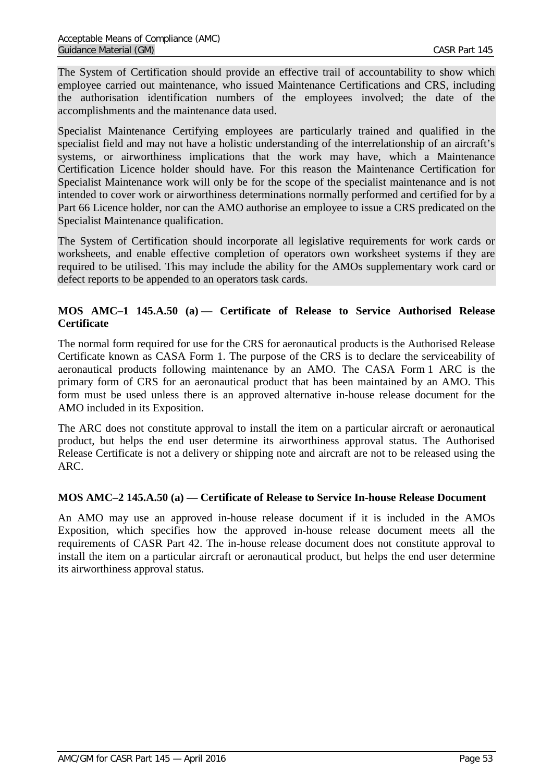The System of Certification should provide an effective trail of accountability to show which employee carried out maintenance, who issued Maintenance Certifications and CRS, including the authorisation identification numbers of the employees involved; the date of the accomplishments and the maintenance data used.

Specialist Maintenance Certifying employees are particularly trained and qualified in the specialist field and may not have a holistic understanding of the interrelationship of an aircraft's systems, or airworthiness implications that the work may have, which a Maintenance Certification Licence holder should have. For this reason the Maintenance Certification for Specialist Maintenance work will only be for the scope of the specialist maintenance and is not intended to cover work or airworthiness determinations normally performed and certified for by a Part 66 Licence holder, nor can the AMO authorise an employee to issue a CRS predicated on the Specialist Maintenance qualification.

The System of Certification should incorporate all legislative requirements for work cards or worksheets, and enable effective completion of operators own worksheet systems if they are required to be utilised. This may include the ability for the AMOs supplementary work card or defect reports to be appended to an operators task cards.

# **MOS AMC–1 145.A.50 (a) — Certificate of Release to Service Authorised Release Certificate**

The normal form required for use for the CRS for aeronautical products is the Authorised Release Certificate known as CASA Form 1. The purpose of the CRS is to declare the serviceability of aeronautical products following maintenance by an AMO. The CASA Form 1 ARC is the primary form of CRS for an aeronautical product that has been maintained by an AMO. This form must be used unless there is an approved alternative in-house release document for the AMO included in its Exposition.

The ARC does not constitute approval to install the item on a particular aircraft or aeronautical product, but helps the end user determine its airworthiness approval status. The Authorised Release Certificate is not a delivery or shipping note and aircraft are not to be released using the ARC.

## **MOS AMC–2 145.A.50 (a) — Certificate of Release to Service In-house Release Document**

An AMO may use an approved in-house release document if it is included in the AMOs Exposition, which specifies how the approved in-house release document meets all the requirements of CASR Part 42. The in-house release document does not constitute approval to install the item on a particular aircraft or aeronautical product, but helps the end user determine its airworthiness approval status.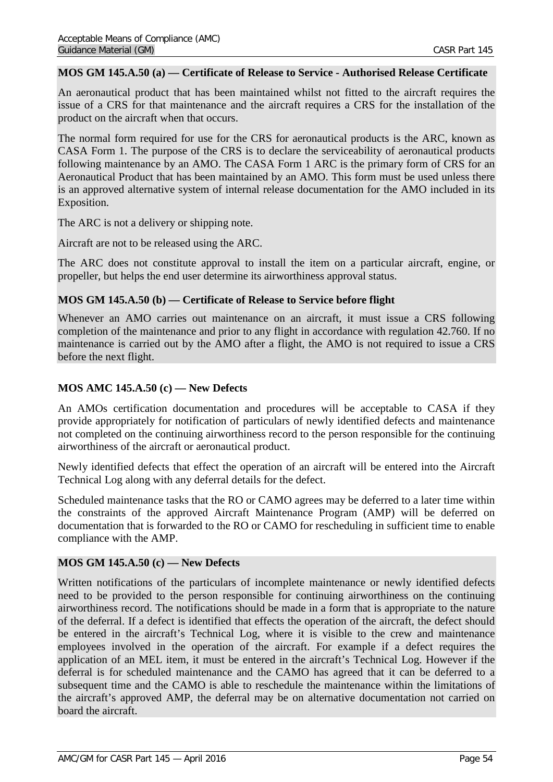### **MOS GM 145.A.50 (a) — Certificate of Release to Service - Authorised Release Certificate**

An aeronautical product that has been maintained whilst not fitted to the aircraft requires the issue of a CRS for that maintenance and the aircraft requires a CRS for the installation of the product on the aircraft when that occurs.

The normal form required for use for the CRS for aeronautical products is the ARC, known as CASA Form 1. The purpose of the CRS is to declare the serviceability of aeronautical products following maintenance by an AMO. The CASA Form 1 ARC is the primary form of CRS for an Aeronautical Product that has been maintained by an AMO. This form must be used unless there is an approved alternative system of internal release documentation for the AMO included in its Exposition.

The ARC is not a delivery or shipping note.

Aircraft are not to be released using the ARC.

The ARC does not constitute approval to install the item on a particular aircraft, engine, or propeller, but helps the end user determine its airworthiness approval status.

### **MOS GM 145.A.50 (b) — Certificate of Release to Service before flight**

Whenever an AMO carries out maintenance on an aircraft, it must issue a CRS following completion of the maintenance and prior to any flight in accordance with regulation 42.760. If no maintenance is carried out by the AMO after a flight, the AMO is not required to issue a CRS before the next flight.

## **MOS AMC 145.A.50 (c) — New Defects**

An AMOs certification documentation and procedures will be acceptable to CASA if they provide appropriately for notification of particulars of newly identified defects and maintenance not completed on the continuing airworthiness record to the person responsible for the continuing airworthiness of the aircraft or aeronautical product.

Newly identified defects that effect the operation of an aircraft will be entered into the Aircraft Technical Log along with any deferral details for the defect.

Scheduled maintenance tasks that the RO or CAMO agrees may be deferred to a later time within the constraints of the approved Aircraft Maintenance Program (AMP) will be deferred on documentation that is forwarded to the RO or CAMO for rescheduling in sufficient time to enable compliance with the AMP.

### **MOS GM 145.A.50 (c) — New Defects**

Written notifications of the particulars of incomplete maintenance or newly identified defects need to be provided to the person responsible for continuing airworthiness on the continuing airworthiness record. The notifications should be made in a form that is appropriate to the nature of the deferral. If a defect is identified that effects the operation of the aircraft, the defect should be entered in the aircraft's Technical Log, where it is visible to the crew and maintenance employees involved in the operation of the aircraft. For example if a defect requires the application of an MEL item, it must be entered in the aircraft's Technical Log. However if the deferral is for scheduled maintenance and the CAMO has agreed that it can be deferred to a subsequent time and the CAMO is able to reschedule the maintenance within the limitations of the aircraft's approved AMP, the deferral may be on alternative documentation not carried on board the aircraft.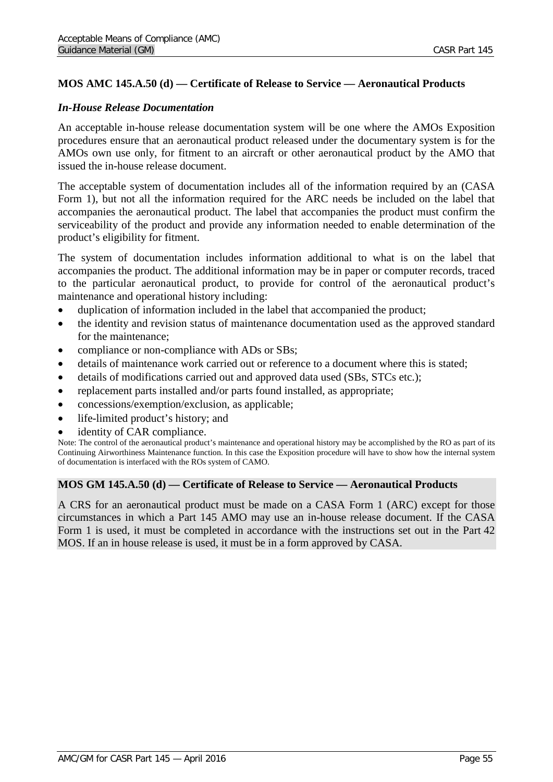# **MOS AMC 145.A.50 (d) — Certificate of Release to Service — Aeronautical Products**

### *In-House Release Documentation*

An acceptable in-house release documentation system will be one where the AMOs Exposition procedures ensure that an aeronautical product released under the documentary system is for the AMOs own use only, for fitment to an aircraft or other aeronautical product by the AMO that issued the in-house release document.

The acceptable system of documentation includes all of the information required by an (CASA Form 1), but not all the information required for the ARC needs be included on the label that accompanies the aeronautical product. The label that accompanies the product must confirm the serviceability of the product and provide any information needed to enable determination of the product's eligibility for fitment.

The system of documentation includes information additional to what is on the label that accompanies the product. The additional information may be in paper or computer records, traced to the particular aeronautical product, to provide for control of the aeronautical product's maintenance and operational history including:

- duplication of information included in the label that accompanied the product;
- the identity and revision status of maintenance documentation used as the approved standard for the maintenance;
- compliance or non-compliance with ADs or SBs;
- details of maintenance work carried out or reference to a document where this is stated;
- details of modifications carried out and approved data used (SBs, STCs etc.);
- replacement parts installed and/or parts found installed, as appropriate;
- concessions/exemption/exclusion, as applicable;
- life-limited product's history; and
- identity of CAR compliance.

Note: The control of the aeronautical product's maintenance and operational history may be accomplished by the RO as part of its Continuing Airworthiness Maintenance function. In this case the Exposition procedure will have to show how the internal system of documentation is interfaced with the ROs system of CAMO.

### **MOS GM 145.A.50 (d) — Certificate of Release to Service — Aeronautical Products**

A CRS for an aeronautical product must be made on a CASA Form 1 (ARC) except for those circumstances in which a Part 145 AMO may use an in-house release document. If the CASA Form 1 is used, it must be completed in accordance with the instructions set out in the Part 42 MOS. If an in house release is used, it must be in a form approved by CASA.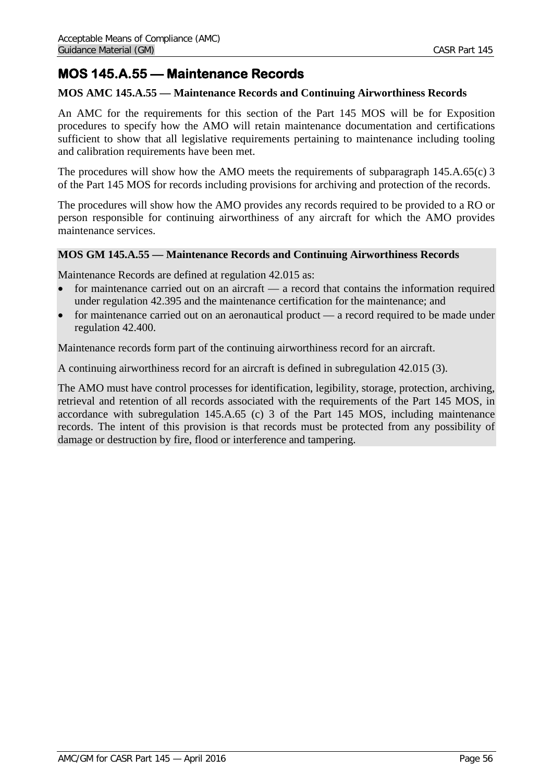# **MOS 145.A.55 — Maintenance Records**

## **MOS AMC 145.A.55 — Maintenance Records and Continuing Airworthiness Records**

An AMC for the requirements for this section of the Part 145 MOS will be for Exposition procedures to specify how the AMO will retain maintenance documentation and certifications sufficient to show that all legislative requirements pertaining to maintenance including tooling and calibration requirements have been met.

The procedures will show how the AMO meets the requirements of subparagraph 145.A.65(c) 3 of the Part 145 MOS for records including provisions for archiving and protection of the records.

The procedures will show how the AMO provides any records required to be provided to a RO or person responsible for continuing airworthiness of any aircraft for which the AMO provides maintenance services.

## **MOS GM 145.A.55 — Maintenance Records and Continuing Airworthiness Records**

Maintenance Records are defined at regulation 42.015 as:

- for maintenance carried out on an aircraft a record that contains the information required under regulation 42.395 and the maintenance certification for the maintenance; and
- for maintenance carried out on an aeronautical product a record required to be made under regulation 42.400.

Maintenance records form part of the continuing airworthiness record for an aircraft.

A continuing airworthiness record for an aircraft is defined in subregulation 42.015 (3).

The AMO must have control processes for identification, legibility, storage, protection, archiving, retrieval and retention of all records associated with the requirements of the Part 145 MOS, in accordance with subregulation 145.A.65 (c) 3 of the Part 145 MOS, including maintenance records. The intent of this provision is that records must be protected from any possibility of damage or destruction by fire, flood or interference and tampering.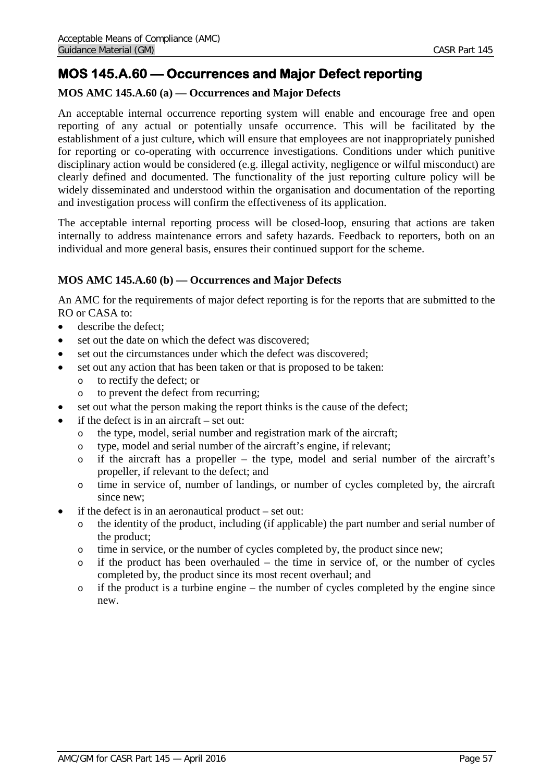# **MOS 145.A.60 — Occurrences and Major Defect reporting**

# **MOS AMC 145.A.60 (a) — Occurrences and Major Defects**

An acceptable internal occurrence reporting system will enable and encourage free and open reporting of any actual or potentially unsafe occurrence. This will be facilitated by the establishment of a just culture, which will ensure that employees are not inappropriately punished for reporting or co-operating with occurrence investigations. Conditions under which punitive disciplinary action would be considered (e.g. illegal activity, negligence or wilful misconduct) are clearly defined and documented. The functionality of the just reporting culture policy will be widely disseminated and understood within the organisation and documentation of the reporting and investigation process will confirm the effectiveness of its application.

The acceptable internal reporting process will be closed-loop, ensuring that actions are taken internally to address maintenance errors and safety hazards. Feedback to reporters, both on an individual and more general basis, ensures their continued support for the scheme.

# **MOS AMC 145.A.60 (b) — Occurrences and Major Defects**

An AMC for the requirements of major defect reporting is for the reports that are submitted to the RO or CASA to:

- describe the defect:
- set out the date on which the defect was discovered;
- set out the circumstances under which the defect was discovered:
- set out any action that has been taken or that is proposed to be taken:
	- o to rectify the defect; or
	- o to prevent the defect from recurring;
- set out what the person making the report thinks is the cause of the defect;
- if the defect is in an aircraft  $-$  set out:
	- o the type, model, serial number and registration mark of the aircraft;
	- o type, model and serial number of the aircraft's engine, if relevant;
	- o if the aircraft has a propeller the type, model and serial number of the aircraft's propeller, if relevant to the defect; and
	- o time in service of, number of landings, or number of cycles completed by, the aircraft since new;
- if the defect is in an aeronautical product  $-$  set out:
	- o the identity of the product, including (if applicable) the part number and serial number of the product;
	- o time in service, or the number of cycles completed by, the product since new;
	- o if the product has been overhauled the time in service of, or the number of cycles completed by, the product since its most recent overhaul; and
	- o if the product is a turbine engine the number of cycles completed by the engine since new.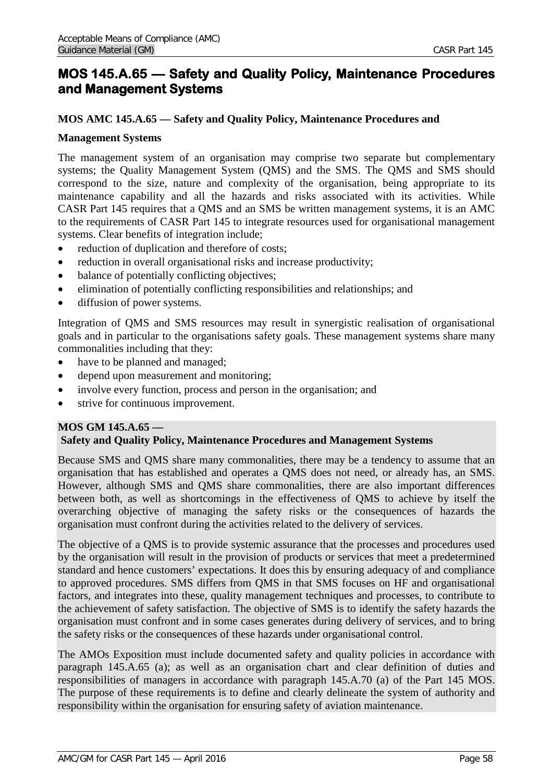# **MOS 145.A.65 — Safety and Quality Policy, Maintenance Procedures and Management Systems**

## **MOS AMC 145.A.65 — Safety and Quality Policy, Maintenance Procedures and**

### **Management Systems**

The management system of an organisation may comprise two separate but complementary systems; the Quality Management System (QMS) and the SMS. The QMS and SMS should correspond to the size, nature and complexity of the organisation, being appropriate to its maintenance capability and all the hazards and risks associated with its activities. While CASR Part 145 requires that a QMS and an SMS be written management systems, it is an AMC to the requirements of CASR Part 145 to integrate resources used for organisational management systems. Clear benefits of integration include;

- reduction of duplication and therefore of costs;
- reduction in overall organisational risks and increase productivity;
- balance of potentially conflicting objectives;
- elimination of potentially conflicting responsibilities and relationships; and
- diffusion of power systems.

Integration of QMS and SMS resources may result in synergistic realisation of organisational goals and in particular to the organisations safety goals. These management systems share many commonalities including that they:

- have to be planned and managed;
- depend upon measurement and monitoring;
- involve every function, process and person in the organisation; and
- strive for continuous improvement.

### **MOS GM 145.A.65 — Safety and Quality Policy, Maintenance Procedures and Management Systems**

Because SMS and QMS share many commonalities, there may be a tendency to assume that an organisation that has established and operates a QMS does not need, or already has, an SMS. However, although SMS and QMS share commonalities, there are also important differences between both, as well as shortcomings in the effectiveness of QMS to achieve by itself the overarching objective of managing the safety risks or the consequences of hazards the organisation must confront during the activities related to the delivery of services.

The objective of a QMS is to provide systemic assurance that the processes and procedures used by the organisation will result in the provision of products or services that meet a predetermined standard and hence customers' expectations. It does this by ensuring adequacy of and compliance to approved procedures. SMS differs from QMS in that SMS focuses on HF and organisational factors, and integrates into these, quality management techniques and processes, to contribute to the achievement of safety satisfaction. The objective of SMS is to identify the safety hazards the organisation must confront and in some cases generates during delivery of services, and to bring the safety risks or the consequences of these hazards under organisational control.

The AMOs Exposition must include documented safety and quality policies in accordance with paragraph 145.A.65 (a); as well as an organisation chart and clear definition of duties and responsibilities of managers in accordance with paragraph 145.A.70 (a) of the Part 145 MOS. The purpose of these requirements is to define and clearly delineate the system of authority and responsibility within the organisation for ensuring safety of aviation maintenance.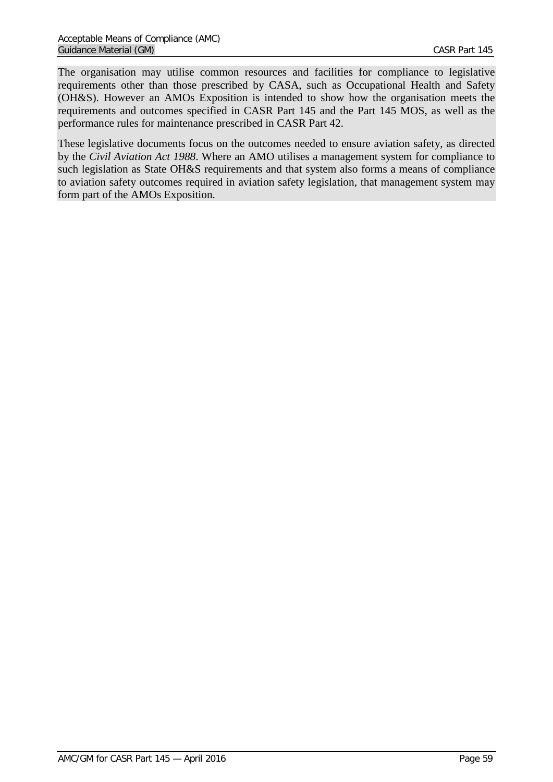The organisation may utilise common resources and facilities for compliance to legislative requirements other than those prescribed by CASA, such as Occupational Health and Safety (OH&S). However an AMOs Exposition is intended to show how the organisation meets the requirements and outcomes specified in CASR Part 145 and the Part 145 MOS, as well as the performance rules for maintenance prescribed in CASR Part 42.

These legislative documents focus on the outcomes needed to ensure aviation safety, as directed by the *Civil Aviation Act 1988*. Where an AMO utilises a management system for compliance to such legislation as State OH&S requirements and that system also forms a means of compliance to aviation safety outcomes required in aviation safety legislation, that management system may form part of the AMOs Exposition.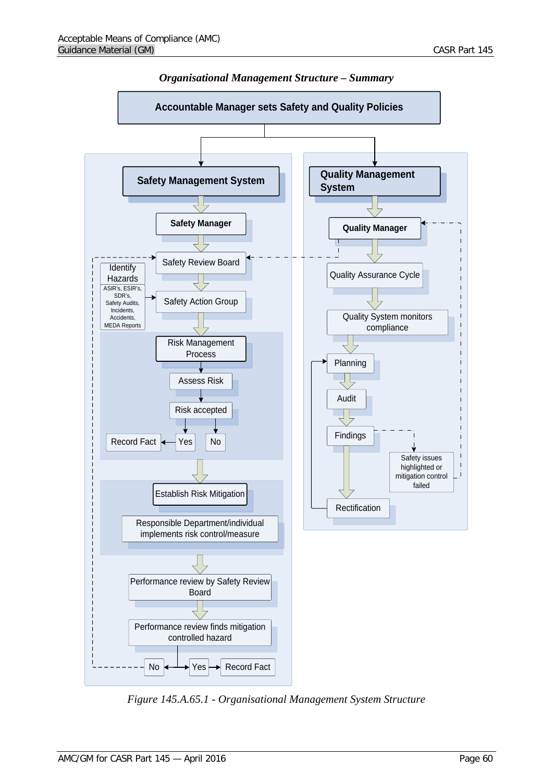**Identify** Hazards ASIR's, ESIR's, Safety Review Board



*Organisational Management Structure – Summary*



*Figure 145.A.65.1 - Organisational Management System Structure*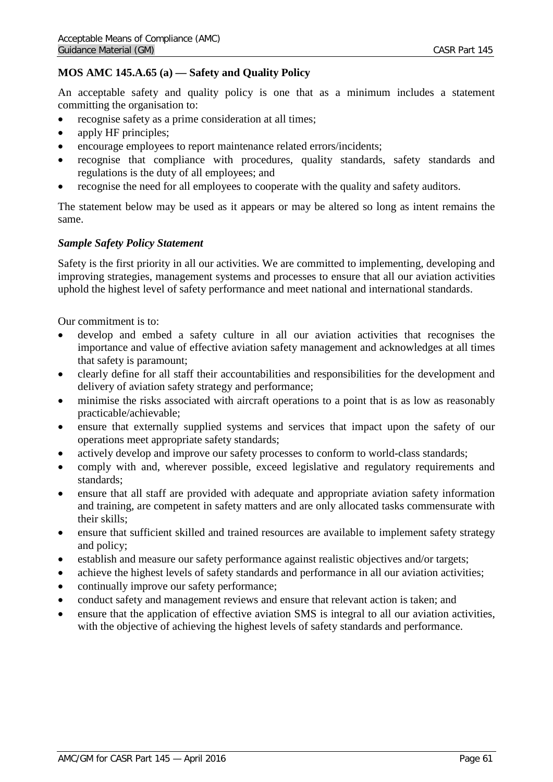# **MOS AMC 145.A.65 (a) — Safety and Quality Policy**

An acceptable safety and quality policy is one that as a minimum includes a statement committing the organisation to:

- recognise safety as a prime consideration at all times;
- apply HF principles;
- encourage employees to report maintenance related errors/incidents;
- recognise that compliance with procedures, quality standards, safety standards and regulations is the duty of all employees; and
- recognise the need for all employees to cooperate with the quality and safety auditors.

The statement below may be used as it appears or may be altered so long as intent remains the same.

# *Sample Safety Policy Statement*

Safety is the first priority in all our activities. We are committed to implementing, developing and improving strategies, management systems and processes to ensure that all our aviation activities uphold the highest level of safety performance and meet national and international standards.

Our commitment is to:

- develop and embed a safety culture in all our aviation activities that recognises the importance and value of effective aviation safety management and acknowledges at all times that safety is paramount;
- clearly define for all staff their accountabilities and responsibilities for the development and delivery of aviation safety strategy and performance;
- minimise the risks associated with aircraft operations to a point that is as low as reasonably practicable/achievable;
- ensure that externally supplied systems and services that impact upon the safety of our operations meet appropriate safety standards;
- actively develop and improve our safety processes to conform to world-class standards;
- comply with and, wherever possible, exceed legislative and regulatory requirements and standards;
- ensure that all staff are provided with adequate and appropriate aviation safety information and training, are competent in safety matters and are only allocated tasks commensurate with their skills;
- ensure that sufficient skilled and trained resources are available to implement safety strategy and policy;
- establish and measure our safety performance against realistic objectives and/or targets;
- achieve the highest levels of safety standards and performance in all our aviation activities;
- continually improve our safety performance;
- conduct safety and management reviews and ensure that relevant action is taken; and
- ensure that the application of effective aviation SMS is integral to all our aviation activities, with the objective of achieving the highest levels of safety standards and performance.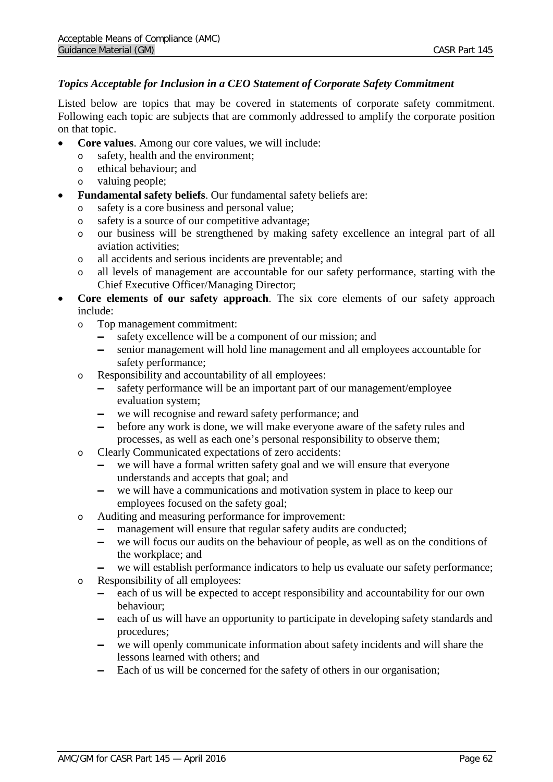## *Topics Acceptable for Inclusion in a CEO Statement of Corporate Safety Commitment*

Listed below are topics that may be covered in statements of corporate safety commitment. Following each topic are subjects that are commonly addressed to amplify the corporate position on that topic.

- **Core values**. Among our core values, we will include:
	- o safety, health and the environment;
	- o ethical behaviour; and
	- o valuing people;
- **Fundamental safety beliefs**. Our fundamental safety beliefs are:
	- o safety is a core business and personal value;
	- o safety is a source of our competitive advantage;
	- o our business will be strengthened by making safety excellence an integral part of all aviation activities;
	- o all accidents and serious incidents are preventable; and
	- o all levels of management are accountable for our safety performance, starting with the Chief Executive Officer/Managing Director;
- **Core elements of our safety approach**. The six core elements of our safety approach include:
	- o Top management commitment:
		- ▬ safety excellence will be a component of our mission; and
		- ▬ senior management will hold line management and all employees accountable for safety performance;
	- o Responsibility and accountability of all employees:
		- ▬ safety performance will be an important part of our management/employee evaluation system;
		- ▬ we will recognise and reward safety performance; and
		- ▬ before any work is done, we will make everyone aware of the safety rules and processes, as well as each one's personal responsibility to observe them;
	- o Clearly Communicated expectations of zero accidents:
		- we will have a formal written safety goal and we will ensure that everyone understands and accepts that goal; and
		- we will have a communications and motivation system in place to keep our employees focused on the safety goal;
	- o Auditing and measuring performance for improvement:
		- management will ensure that regular safety audits are conducted;<br>- we will focus our audits on the behaviour of people, as well as on
		- we will focus our audits on the behaviour of people, as well as on the conditions of the workplace; and
		- we will establish performance indicators to help us evaluate our safety performance;
	- o Responsibility of all employees:
		- ▬ each of us will be expected to accept responsibility and accountability for our own behaviour;
		- ▬ each of us will have an opportunity to participate in developing safety standards and procedures;
		- ▬ we will openly communicate information about safety incidents and will share the lessons learned with others; and
		- ▬ Each of us will be concerned for the safety of others in our organisation;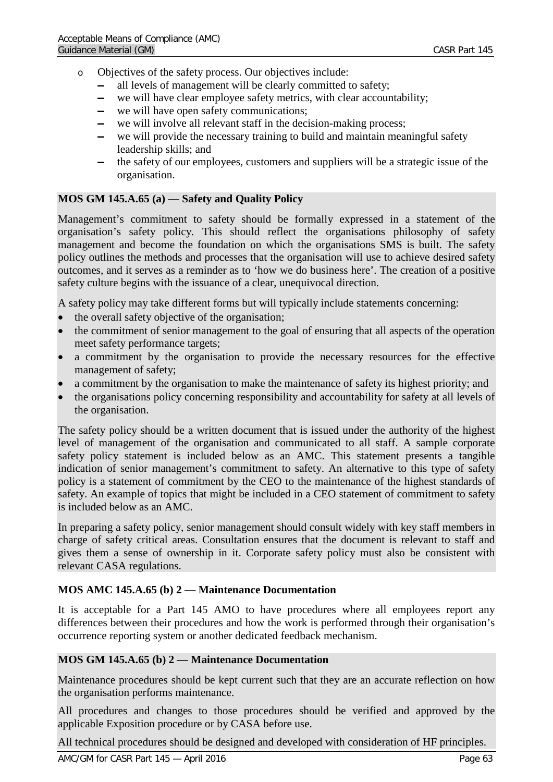- o Objectives of the safety process. Our objectives include:
	- all levels of management will be clearly committed to safety;<br>
	we will have clear employee safety metrics with clear account
	- we will have clear employee safety metrics, with clear accountability;<br>- we will have onen safety communications:
	- we will have open safety communications;
	- we will involve all relevant staff in the decision-making process;
	- we will provide the necessary training to build and maintain meaningful safety leadership skills; and
	- ▬ the safety of our employees, customers and suppliers will be a strategic issue of the organisation.

# **MOS GM 145.A.65 (a) — Safety and Quality Policy**

Management's commitment to safety should be formally expressed in a statement of the organisation's safety policy*.* This should reflect the organisations philosophy of safety management and become the foundation on which the organisations SMS is built. The safety policy outlines the methods and processes that the organisation will use to achieve desired safety outcomes, and it serves as a reminder as to 'how we do business here'. The creation of a positive safety culture begins with the issuance of a clear, unequivocal direction.

A safety policy may take different forms but will typically include statements concerning:

- the overall safety objective of the organisation;
- the commitment of senior management to the goal of ensuring that all aspects of the operation meet safety performance targets;
- a commitment by the organisation to provide the necessary resources for the effective management of safety;
- a commitment by the organisation to make the maintenance of safety its highest priority; and
- the organisations policy concerning responsibility and accountability for safety at all levels of the organisation.

The safety policy should be a written document that is issued under the authority of the highest level of management of the organisation and communicated to all staff. A sample corporate safety policy statement is included below as an AMC. This statement presents a tangible indication of senior management's commitment to safety. An alternative to this type of safety policy is a statement of commitment by the CEO to the maintenance of the highest standards of safety. An example of topics that might be included in a CEO statement of commitment to safety is included below as an AMC.

In preparing a safety policy, senior management should consult widely with key staff members in charge of safety critical areas. Consultation ensures that the document is relevant to staff and gives them a sense of ownership in it. Corporate safety policy must also be consistent with relevant CASA regulations.

## **MOS AMC 145.A.65 (b) 2 — Maintenance Documentation**

It is acceptable for a Part 145 AMO to have procedures where all employees report any differences between their procedures and how the work is performed through their organisation's occurrence reporting system or another dedicated feedback mechanism.

## **MOS GM 145.A.65 (b) 2 — Maintenance Documentation**

Maintenance procedures should be kept current such that they are an accurate reflection on how the organisation performs maintenance.

All procedures and changes to those procedures should be verified and approved by the applicable Exposition procedure or by CASA before use.

All technical procedures should be designed and developed with consideration of HF principles.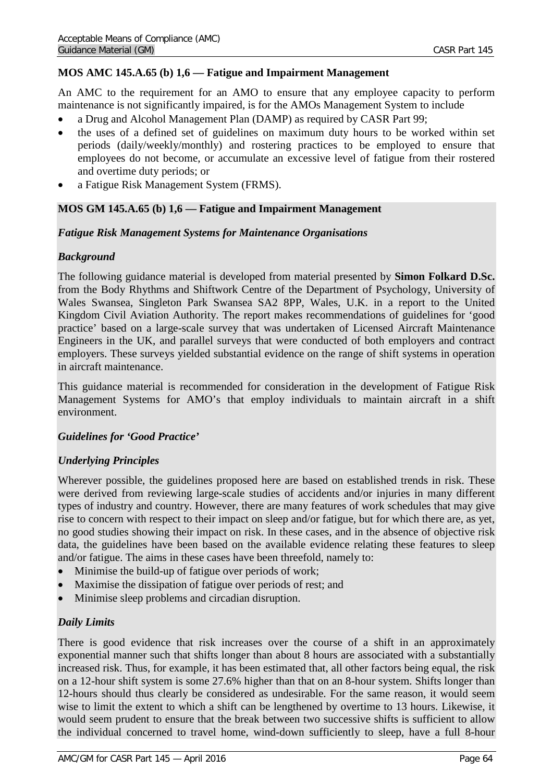# **MOS AMC 145.A.65 (b) 1,6 — Fatigue and Impairment Management**

An AMC to the requirement for an AMO to ensure that any employee capacity to perform maintenance is not significantly impaired, is for the AMOs Management System to include

- a Drug and Alcohol Management Plan (DAMP) as required by CASR Part 99;
- the uses of a defined set of guidelines on maximum duty hours to be worked within set periods (daily/weekly/monthly) and rostering practices to be employed to ensure that employees do not become, or accumulate an excessive level of fatigue from their rostered and overtime duty periods; or
- a Fatigue Risk Management System (FRMS).

## **MOS GM 145.A.65 (b) 1,6 — Fatigue and Impairment Management**

### *Fatigue Risk Management Systems for Maintenance Organisations*

## *Background*

The following guidance material is developed from material presented by **Simon Folkard D.Sc.**  from the Body Rhythms and Shiftwork Centre of the Department of Psychology, University of Wales Swansea, Singleton Park Swansea SA2 8PP, Wales, U.K. in a report to the United Kingdom Civil Aviation Authority. The report makes recommendations of guidelines for 'good practice' based on a large-scale survey that was undertaken of Licensed Aircraft Maintenance Engineers in the UK, and parallel surveys that were conducted of both employers and contract employers. These surveys yielded substantial evidence on the range of shift systems in operation in aircraft maintenance.

This guidance material is recommended for consideration in the development of Fatigue Risk Management Systems for AMO's that employ individuals to maintain aircraft in a shift environment.

## *Guidelines for 'Good Practice'*

## *Underlying Principles*

Wherever possible, the guidelines proposed here are based on established trends in risk. These were derived from reviewing large-scale studies of accidents and/or injuries in many different types of industry and country. However, there are many features of work schedules that may give rise to concern with respect to their impact on sleep and/or fatigue, but for which there are, as yet, no good studies showing their impact on risk. In these cases, and in the absence of objective risk data, the guidelines have been based on the available evidence relating these features to sleep and/or fatigue. The aims in these cases have been threefold, namely to:

- Minimise the build-up of fatigue over periods of work;
- Maximise the dissipation of fatigue over periods of rest; and
- Minimise sleep problems and circadian disruption.

## *Daily Limits*

There is good evidence that risk increases over the course of a shift in an approximately exponential manner such that shifts longer than about 8 hours are associated with a substantially increased risk. Thus, for example, it has been estimated that, all other factors being equal, the risk on a 12-hour shift system is some 27.6% higher than that on an 8-hour system. Shifts longer than 12-hours should thus clearly be considered as undesirable. For the same reason, it would seem wise to limit the extent to which a shift can be lengthened by overtime to 13 hours. Likewise, it would seem prudent to ensure that the break between two successive shifts is sufficient to allow the individual concerned to travel home, wind-down sufficiently to sleep, have a full 8-hour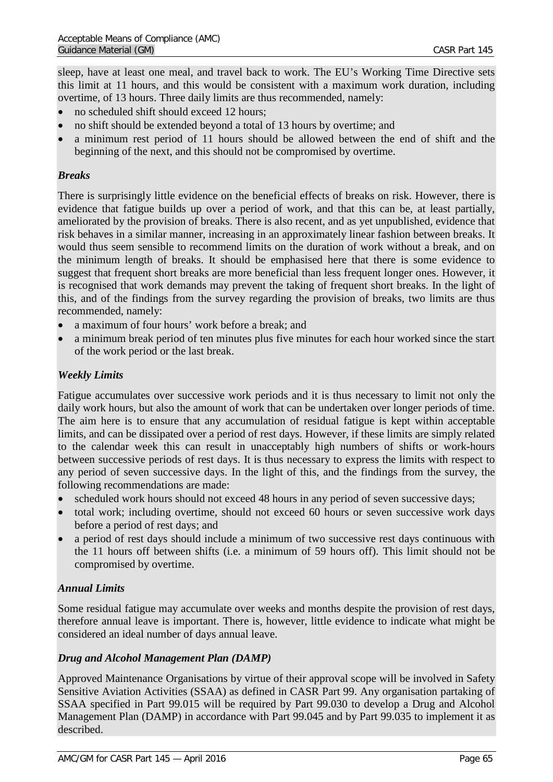sleep, have at least one meal, and travel back to work. The EU's Working Time Directive sets this limit at 11 hours, and this would be consistent with a maximum work duration, including overtime, of 13 hours. Three daily limits are thus recommended, namely:

- no scheduled shift should exceed 12 hours;
- no shift should be extended beyond a total of 13 hours by overtime; and
- a minimum rest period of 11 hours should be allowed between the end of shift and the beginning of the next, and this should not be compromised by overtime.

# *Breaks*

There is surprisingly little evidence on the beneficial effects of breaks on risk. However, there is evidence that fatigue builds up over a period of work, and that this can be, at least partially, ameliorated by the provision of breaks. There is also recent, and as yet unpublished, evidence that risk behaves in a similar manner, increasing in an approximately linear fashion between breaks. It would thus seem sensible to recommend limits on the duration of work without a break, and on the minimum length of breaks. It should be emphasised here that there is some evidence to suggest that frequent short breaks are more beneficial than less frequent longer ones. However, it is recognised that work demands may prevent the taking of frequent short breaks. In the light of this, and of the findings from the survey regarding the provision of breaks, two limits are thus recommended, namely:

- a maximum of four hours' work before a break; and
- a minimum break period of ten minutes plus five minutes for each hour worked since the start of the work period or the last break.

# *Weekly Limits*

Fatigue accumulates over successive work periods and it is thus necessary to limit not only the daily work hours, but also the amount of work that can be undertaken over longer periods of time. The aim here is to ensure that any accumulation of residual fatigue is kept within acceptable limits, and can be dissipated over a period of rest days. However, if these limits are simply related to the calendar week this can result in unacceptably high numbers of shifts or work-hours between successive periods of rest days. It is thus necessary to express the limits with respect to any period of seven successive days. In the light of this, and the findings from the survey, the following recommendations are made:

- scheduled work hours should not exceed 48 hours in any period of seven successive days;
- total work; including overtime, should not exceed 60 hours or seven successive work days before a period of rest days; and
- a period of rest days should include a minimum of two successive rest days continuous with the 11 hours off between shifts (i.e. a minimum of 59 hours off). This limit should not be compromised by overtime.

# *Annual Limits*

Some residual fatigue may accumulate over weeks and months despite the provision of rest days, therefore annual leave is important. There is, however, little evidence to indicate what might be considered an ideal number of days annual leave.

# *Drug and Alcohol Management Plan (DAMP)*

Approved Maintenance Organisations by virtue of their approval scope will be involved in Safety Sensitive Aviation Activities (SSAA) as defined in CASR Part 99. Any organisation partaking of SSAA specified in Part 99.015 will be required by Part 99.030 to develop a Drug and Alcohol Management Plan (DAMP) in accordance with Part 99.045 and by Part 99.035 to implement it as described.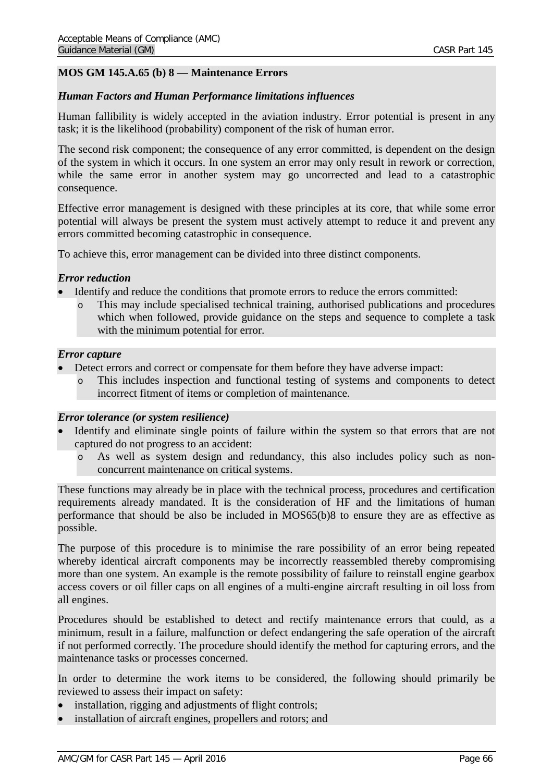# **MOS GM 145.A.65 (b) 8 — Maintenance Errors**

### *Human Factors and Human Performance limitations influences*

Human fallibility is widely accepted in the aviation industry. Error potential is present in any task; it is the likelihood (probability) component of the risk of human error.

The second risk component; the consequence of any error committed, is dependent on the design of the system in which it occurs. In one system an error may only result in rework or correction, while the same error in another system may go uncorrected and lead to a catastrophic consequence.

Effective error management is designed with these principles at its core, that while some error potential will always be present the system must actively attempt to reduce it and prevent any errors committed becoming catastrophic in consequence.

To achieve this, error management can be divided into three distinct components.

### *Error reduction*

- Identify and reduce the conditions that promote errors to reduce the errors committed:
	- o This may include specialised technical training, authorised publications and procedures which when followed, provide guidance on the steps and sequence to complete a task with the minimum potential for error.

### *Error capture*

- Detect errors and correct or compensate for them before they have adverse impact:
	- o This includes inspection and functional testing of systems and components to detect incorrect fitment of items or completion of maintenance.

### *Error tolerance (or system resilience)*

- Identify and eliminate single points of failure within the system so that errors that are not captured do not progress to an accident:
	- o As well as system design and redundancy, this also includes policy such as nonconcurrent maintenance on critical systems.

These functions may already be in place with the technical process, procedures and certification requirements already mandated. It is the consideration of HF and the limitations of human performance that should be also be included in MOS65(b)8 to ensure they are as effective as possible.

The purpose of this procedure is to minimise the rare possibility of an error being repeated whereby identical aircraft components may be incorrectly reassembled thereby compromising more than one system. An example is the remote possibility of failure to reinstall engine gearbox access covers or oil filler caps on all engines of a multi-engine aircraft resulting in oil loss from all engines.

Procedures should be established to detect and rectify maintenance errors that could, as a minimum, result in a failure, malfunction or defect endangering the safe operation of the aircraft if not performed correctly. The procedure should identify the method for capturing errors, and the maintenance tasks or processes concerned.

In order to determine the work items to be considered, the following should primarily be reviewed to assess their impact on safety:

- installation, rigging and adjustments of flight controls;
- installation of aircraft engines, propellers and rotors; and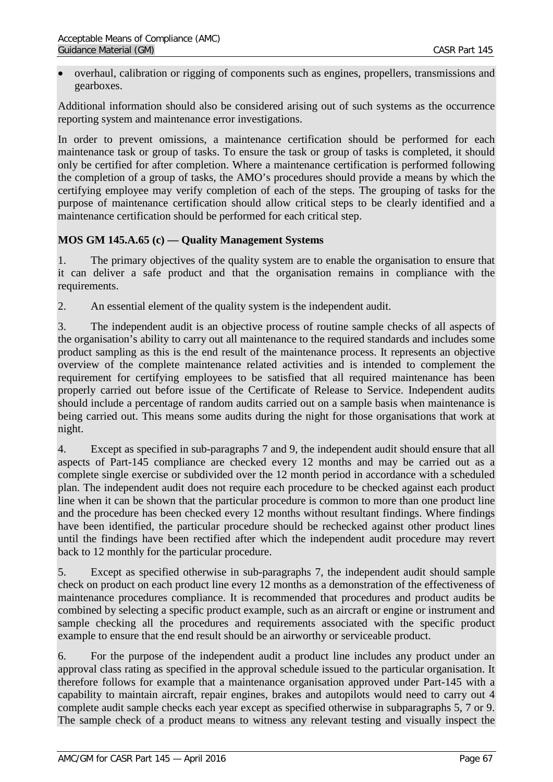• overhaul, calibration or rigging of components such as engines, propellers, transmissions and gearboxes.

Additional information should also be considered arising out of such systems as the occurrence reporting system and maintenance error investigations.

In order to prevent omissions, a maintenance certification should be performed for each maintenance task or group of tasks. To ensure the task or group of tasks is completed, it should only be certified for after completion. Where a maintenance certification is performed following the completion of a group of tasks, the AMO's procedures should provide a means by which the certifying employee may verify completion of each of the steps. The grouping of tasks for the purpose of maintenance certification should allow critical steps to be clearly identified and a maintenance certification should be performed for each critical step.

# **MOS GM 145.A.65 (c) — Quality Management Systems**

1. The primary objectives of the quality system are to enable the organisation to ensure that it can deliver a safe product and that the organisation remains in compliance with the requirements.

2. An essential element of the quality system is the independent audit.

3. The independent audit is an objective process of routine sample checks of all aspects of the organisation's ability to carry out all maintenance to the required standards and includes some product sampling as this is the end result of the maintenance process. It represents an objective overview of the complete maintenance related activities and is intended to complement the requirement for certifying employees to be satisfied that all required maintenance has been properly carried out before issue of the Certificate of Release to Service. Independent audits should include a percentage of random audits carried out on a sample basis when maintenance is being carried out. This means some audits during the night for those organisations that work at night.

4. Except as specified in sub-paragraphs 7 and 9, the independent audit should ensure that all aspects of Part-145 compliance are checked every 12 months and may be carried out as a complete single exercise or subdivided over the 12 month period in accordance with a scheduled plan. The independent audit does not require each procedure to be checked against each product line when it can be shown that the particular procedure is common to more than one product line and the procedure has been checked every 12 months without resultant findings. Where findings have been identified, the particular procedure should be rechecked against other product lines until the findings have been rectified after which the independent audit procedure may revert back to 12 monthly for the particular procedure.

5. Except as specified otherwise in sub-paragraphs 7, the independent audit should sample check on product on each product line every 12 months as a demonstration of the effectiveness of maintenance procedures compliance. It is recommended that procedures and product audits be combined by selecting a specific product example, such as an aircraft or engine or instrument and sample checking all the procedures and requirements associated with the specific product example to ensure that the end result should be an airworthy or serviceable product.

6. For the purpose of the independent audit a product line includes any product under an approval class rating as specified in the approval schedule issued to the particular organisation. It therefore follows for example that a maintenance organisation approved under Part-145 with a capability to maintain aircraft, repair engines, brakes and autopilots would need to carry out 4 complete audit sample checks each year except as specified otherwise in subparagraphs 5, 7 or 9. The sample check of a product means to witness any relevant testing and visually inspect the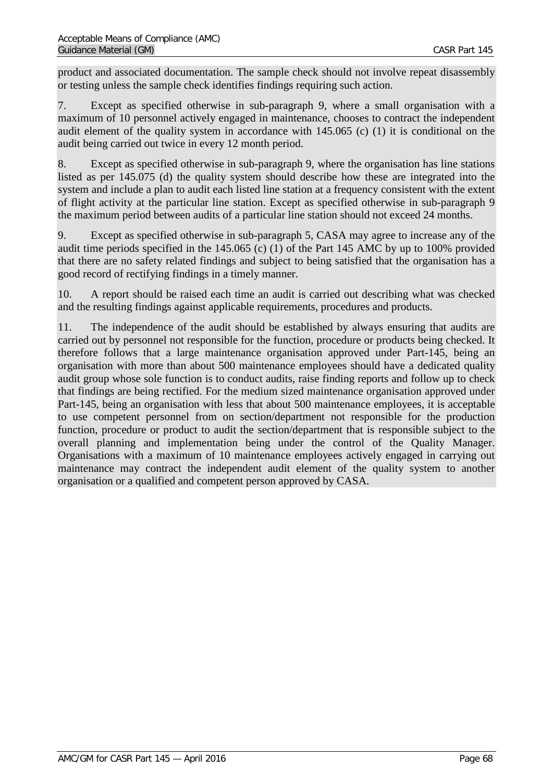product and associated documentation. The sample check should not involve repeat disassembly or testing unless the sample check identifies findings requiring such action.

7. Except as specified otherwise in sub-paragraph 9, where a small organisation with a maximum of 10 personnel actively engaged in maintenance, chooses to contract the independent audit element of the quality system in accordance with 145.065 (c) (1) it is conditional on the audit being carried out twice in every 12 month period.

8. Except as specified otherwise in sub-paragraph 9, where the organisation has line stations listed as per 145.075 (d) the quality system should describe how these are integrated into the system and include a plan to audit each listed line station at a frequency consistent with the extent of flight activity at the particular line station. Except as specified otherwise in sub-paragraph 9 the maximum period between audits of a particular line station should not exceed 24 months.

9. Except as specified otherwise in sub-paragraph 5, CASA may agree to increase any of the audit time periods specified in the 145.065 (c) (1) of the Part 145 AMC by up to 100% provided that there are no safety related findings and subject to being satisfied that the organisation has a good record of rectifying findings in a timely manner.

10. A report should be raised each time an audit is carried out describing what was checked and the resulting findings against applicable requirements, procedures and products.

11. The independence of the audit should be established by always ensuring that audits are carried out by personnel not responsible for the function, procedure or products being checked. It therefore follows that a large maintenance organisation approved under Part-145, being an organisation with more than about 500 maintenance employees should have a dedicated quality audit group whose sole function is to conduct audits, raise finding reports and follow up to check that findings are being rectified. For the medium sized maintenance organisation approved under Part-145, being an organisation with less that about 500 maintenance employees, it is acceptable to use competent personnel from on section/department not responsible for the production function, procedure or product to audit the section/department that is responsible subject to the overall planning and implementation being under the control of the Quality Manager. Organisations with a maximum of 10 maintenance employees actively engaged in carrying out maintenance may contract the independent audit element of the quality system to another organisation or a qualified and competent person approved by CASA.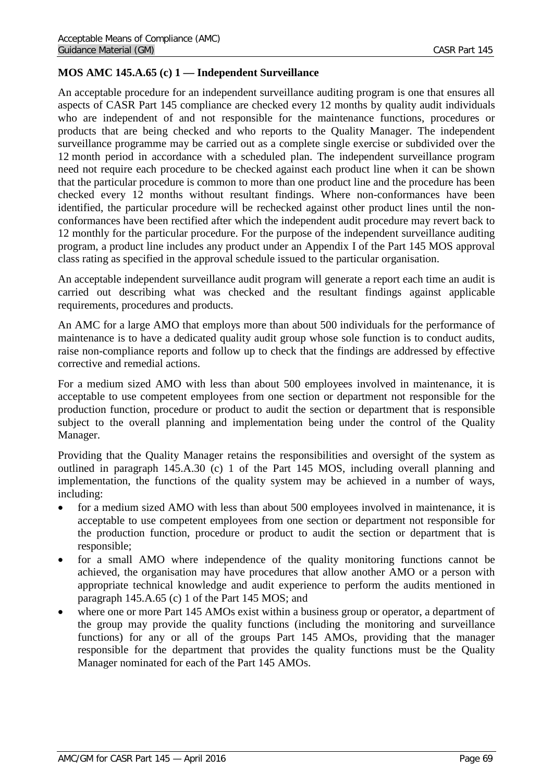# **MOS AMC 145.A.65 (c) 1 — Independent Surveillance**

An acceptable procedure for an independent surveillance auditing program is one that ensures all aspects of CASR Part 145 compliance are checked every 12 months by quality audit individuals who are independent of and not responsible for the maintenance functions, procedures or products that are being checked and who reports to the Quality Manager. The independent surveillance programme may be carried out as a complete single exercise or subdivided over the 12 month period in accordance with a scheduled plan. The independent surveillance program need not require each procedure to be checked against each product line when it can be shown that the particular procedure is common to more than one product line and the procedure has been checked every 12 months without resultant findings. Where non-conformances have been identified, the particular procedure will be rechecked against other product lines until the nonconformances have been rectified after which the independent audit procedure may revert back to 12 monthly for the particular procedure. For the purpose of the independent surveillance auditing program, a product line includes any product under an Appendix I of the Part 145 MOS approval class rating as specified in the approval schedule issued to the particular organisation.

An acceptable independent surveillance audit program will generate a report each time an audit is carried out describing what was checked and the resultant findings against applicable requirements, procedures and products.

An AMC for a large AMO that employs more than about 500 individuals for the performance of maintenance is to have a dedicated quality audit group whose sole function is to conduct audits, raise non-compliance reports and follow up to check that the findings are addressed by effective corrective and remedial actions.

For a medium sized AMO with less than about 500 employees involved in maintenance, it is acceptable to use competent employees from one section or department not responsible for the production function, procedure or product to audit the section or department that is responsible subject to the overall planning and implementation being under the control of the Quality Manager.

Providing that the Quality Manager retains the responsibilities and oversight of the system as outlined in paragraph 145.A.30 (c) 1 of the Part 145 MOS, including overall planning and implementation, the functions of the quality system may be achieved in a number of ways, including:

- for a medium sized AMO with less than about 500 employees involved in maintenance, it is acceptable to use competent employees from one section or department not responsible for the production function, procedure or product to audit the section or department that is responsible;
- for a small AMO where independence of the quality monitoring functions cannot be achieved, the organisation may have procedures that allow another AMO or a person with appropriate technical knowledge and audit experience to perform the audits mentioned in paragraph 145.A.65 (c) 1 of the Part 145 MOS; and
- where one or more Part 145 AMOs exist within a business group or operator, a department of the group may provide the quality functions (including the monitoring and surveillance functions) for any or all of the groups Part 145 AMOs, providing that the manager responsible for the department that provides the quality functions must be the Quality Manager nominated for each of the Part 145 AMOs.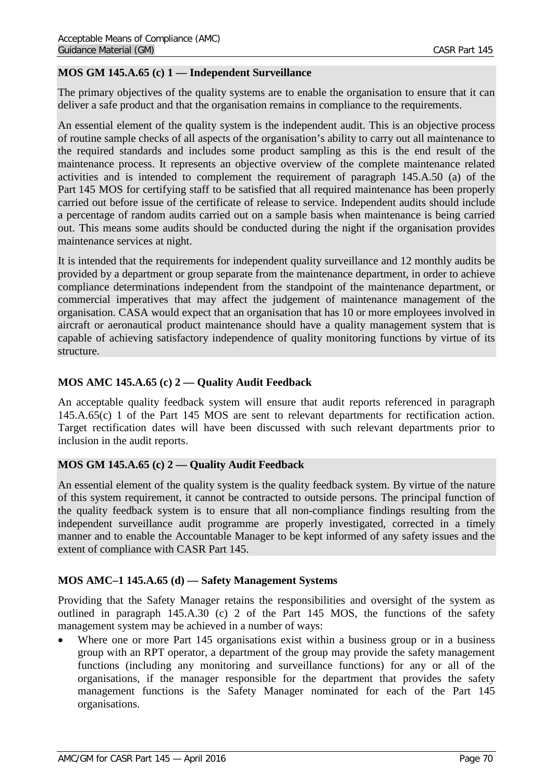## **MOS GM 145.A.65 (c) 1 — Independent Surveillance**

The primary objectives of the quality systems are to enable the organisation to ensure that it can deliver a safe product and that the organisation remains in compliance to the requirements.

An essential element of the quality system is the independent audit. This is an objective process of routine sample checks of all aspects of the organisation's ability to carry out all maintenance to the required standards and includes some product sampling as this is the end result of the maintenance process. It represents an objective overview of the complete maintenance related activities and is intended to complement the requirement of paragraph 145.A.50 (a) of the Part 145 MOS for certifying staff to be satisfied that all required maintenance has been properly carried out before issue of the certificate of release to service. Independent audits should include a percentage of random audits carried out on a sample basis when maintenance is being carried out. This means some audits should be conducted during the night if the organisation provides maintenance services at night.

It is intended that the requirements for independent quality surveillance and 12 monthly audits be provided by a department or group separate from the maintenance department, in order to achieve compliance determinations independent from the standpoint of the maintenance department, or commercial imperatives that may affect the judgement of maintenance management of the organisation. CASA would expect that an organisation that has 10 or more employees involved in aircraft or aeronautical product maintenance should have a quality management system that is capable of achieving satisfactory independence of quality monitoring functions by virtue of its structure.

## **MOS AMC 145.A.65 (c) 2 — Quality Audit Feedback**

An acceptable quality feedback system will ensure that audit reports referenced in paragraph 145.A.65(c) 1 of the Part 145 MOS are sent to relevant departments for rectification action. Target rectification dates will have been discussed with such relevant departments prior to inclusion in the audit reports.

## **MOS GM 145.A.65 (c) 2 — Quality Audit Feedback**

An essential element of the quality system is the quality feedback system. By virtue of the nature of this system requirement, it cannot be contracted to outside persons. The principal function of the quality feedback system is to ensure that all non-compliance findings resulting from the independent surveillance audit programme are properly investigated, corrected in a timely manner and to enable the Accountable Manager to be kept informed of any safety issues and the extent of compliance with CASR Part 145.

## **MOS AMC–1 145.A.65 (d) — Safety Management Systems**

Providing that the Safety Manager retains the responsibilities and oversight of the system as outlined in paragraph 145.A.30 (c) 2 of the Part 145 MOS, the functions of the safety management system may be achieved in a number of ways:

Where one or more Part 145 organisations exist within a business group or in a business group with an RPT operator, a department of the group may provide the safety management functions (including any monitoring and surveillance functions) for any or all of the organisations, if the manager responsible for the department that provides the safety management functions is the Safety Manager nominated for each of the Part 145 organisations.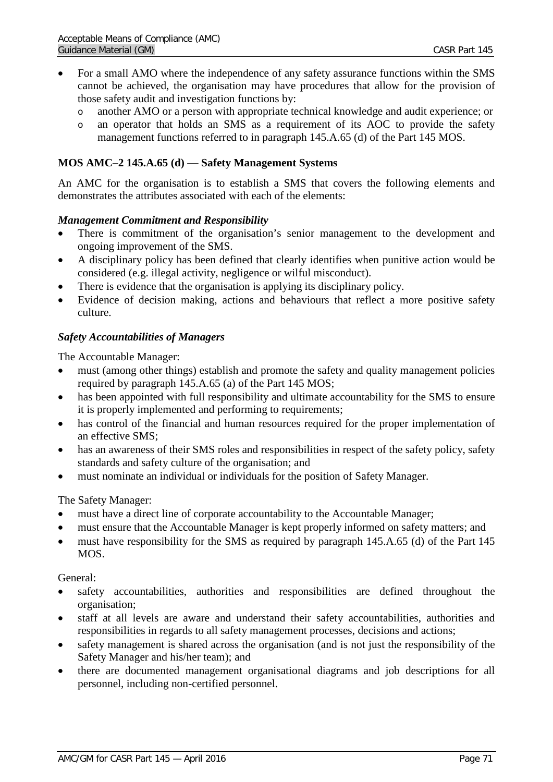- For a small AMO where the independence of any safety assurance functions within the SMS cannot be achieved, the organisation may have procedures that allow for the provision of those safety audit and investigation functions by:
	- o another AMO or a person with appropriate technical knowledge and audit experience; or
	- o an operator that holds an SMS as a requirement of its AOC to provide the safety management functions referred to in paragraph 145.A.65 (d) of the Part 145 MOS.

### **MOS AMC–2 145.A.65 (d) — Safety Management Systems**

An AMC for the organisation is to establish a SMS that covers the following elements and demonstrates the attributes associated with each of the elements:

### *Management Commitment and Responsibility*

- There is commitment of the organisation's senior management to the development and ongoing improvement of the SMS.
- A disciplinary policy has been defined that clearly identifies when punitive action would be considered (e.g. illegal activity, negligence or wilful misconduct).
- There is evidence that the organisation is applying its disciplinary policy.
- Evidence of decision making, actions and behaviours that reflect a more positive safety culture.

### *Safety Accountabilities of Managers*

The Accountable Manager:

- must (among other things) establish and promote the safety and quality management policies required by paragraph 145.A.65 (a) of the Part 145 MOS;
- has been appointed with full responsibility and ultimate accountability for the SMS to ensure it is properly implemented and performing to requirements;
- has control of the financial and human resources required for the proper implementation of an effective SMS;
- has an awareness of their SMS roles and responsibilities in respect of the safety policy, safety standards and safety culture of the organisation; and
- must nominate an individual or individuals for the position of Safety Manager.

The Safety Manager:

- must have a direct line of corporate accountability to the Accountable Manager;
- must ensure that the Accountable Manager is kept properly informed on safety matters; and
- must have responsibility for the SMS as required by paragraph 145.A.65 (d) of the Part 145 MOS.

General:

- safety accountabilities, authorities and responsibilities are defined throughout the organisation;
- staff at all levels are aware and understand their safety accountabilities, authorities and responsibilities in regards to all safety management processes, decisions and actions;
- safety management is shared across the organisation (and is not just the responsibility of the Safety Manager and his/her team); and
- there are documented management organisational diagrams and job descriptions for all personnel, including non-certified personnel.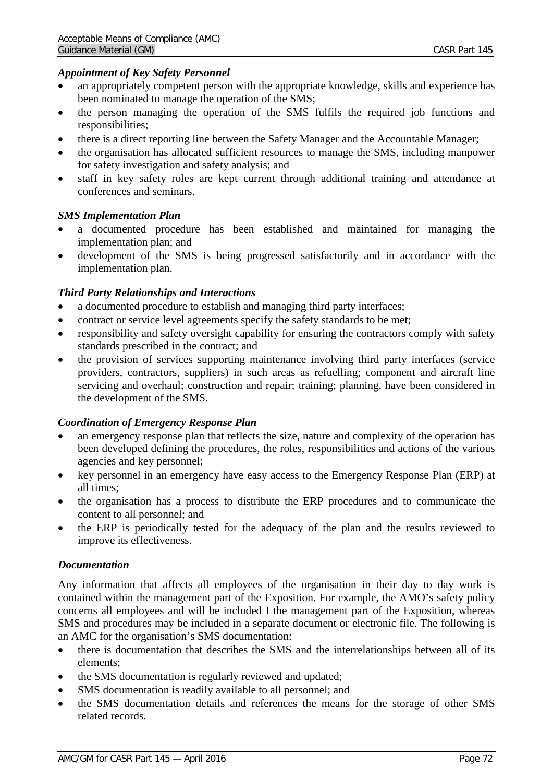## *Appointment of Key Safety Personnel*

- an appropriately competent person with the appropriate knowledge, skills and experience has been nominated to manage the operation of the SMS;
- the person managing the operation of the SMS fulfils the required job functions and responsibilities;
- there is a direct reporting line between the Safety Manager and the Accountable Manager;
- the organisation has allocated sufficient resources to manage the SMS, including manpower for safety investigation and safety analysis; and
- staff in key safety roles are kept current through additional training and attendance at conferences and seminars.

### *SMS Implementation Plan*

- a documented procedure has been established and maintained for managing the implementation plan; and
- development of the SMS is being progressed satisfactorily and in accordance with the implementation plan.

## *Third Party Relationships and Interactions*

- a documented procedure to establish and managing third party interfaces;
- contract or service level agreements specify the safety standards to be met;
- responsibility and safety oversight capability for ensuring the contractors comply with safety standards prescribed in the contract; and
- the provision of services supporting maintenance involving third party interfaces (service providers, contractors, suppliers) in such areas as refuelling; component and aircraft line servicing and overhaul; construction and repair; training; planning, have been considered in the development of the SMS.

## *Coordination of Emergency Response Plan*

- an emergency response plan that reflects the size, nature and complexity of the operation has been developed defining the procedures, the roles, responsibilities and actions of the various agencies and key personnel;
- key personnel in an emergency have easy access to the Emergency Response Plan (ERP) at all times;
- the organisation has a process to distribute the ERP procedures and to communicate the content to all personnel; and
- the ERP is periodically tested for the adequacy of the plan and the results reviewed to improve its effectiveness.

### *Documentation*

Any information that affects all employees of the organisation in their day to day work is contained within the management part of the Exposition. For example, the AMO's safety policy concerns all employees and will be included I the management part of the Exposition, whereas SMS and procedures may be included in a separate document or electronic file. The following is an AMC for the organisation's SMS documentation:

- there is documentation that describes the SMS and the interrelationships between all of its elements;
- the SMS documentation is regularly reviewed and updated;
- SMS documentation is readily available to all personnel; and
- the SMS documentation details and references the means for the storage of other SMS related records.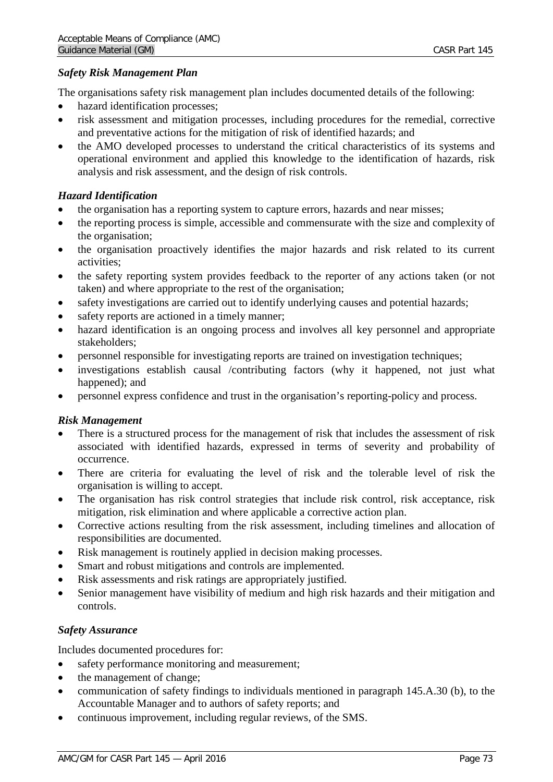### *Safety Risk Management Plan*

The organisations safety risk management plan includes documented details of the following:

- hazard identification processes;
- risk assessment and mitigation processes, including procedures for the remedial, corrective and preventative actions for the mitigation of risk of identified hazards; and
- the AMO developed processes to understand the critical characteristics of its systems and operational environment and applied this knowledge to the identification of hazards, risk analysis and risk assessment, and the design of risk controls.

### *Hazard Identification*

- the organisation has a reporting system to capture errors, hazards and near misses;
- the reporting process is simple, accessible and commensurate with the size and complexity of the organisation;
- the organisation proactively identifies the major hazards and risk related to its current activities;
- the safety reporting system provides feedback to the reporter of any actions taken (or not taken) and where appropriate to the rest of the organisation;
- safety investigations are carried out to identify underlying causes and potential hazards;
- safety reports are actioned in a timely manner;
- hazard identification is an ongoing process and involves all key personnel and appropriate stakeholders;
- personnel responsible for investigating reports are trained on investigation techniques;
- investigations establish causal /contributing factors (why it happened, not just what happened); and
- personnel express confidence and trust in the organisation's reporting-policy and process.

### *Risk Management*

- There is a structured process for the management of risk that includes the assessment of risk associated with identified hazards, expressed in terms of severity and probability of occurrence.
- There are criteria for evaluating the level of risk and the tolerable level of risk the organisation is willing to accept.
- The organisation has risk control strategies that include risk control, risk acceptance, risk mitigation, risk elimination and where applicable a corrective action plan.
- Corrective actions resulting from the risk assessment, including timelines and allocation of responsibilities are documented.
- Risk management is routinely applied in decision making processes.
- Smart and robust mitigations and controls are implemented.
- Risk assessments and risk ratings are appropriately justified.
- Senior management have visibility of medium and high risk hazards and their mitigation and controls.

### *Safety Assurance*

Includes documented procedures for:

- safety performance monitoring and measurement;
- the management of change;
- communication of safety findings to individuals mentioned in paragraph 145.A.30 (b), to the Accountable Manager and to authors of safety reports; and
- continuous improvement, including regular reviews, of the SMS.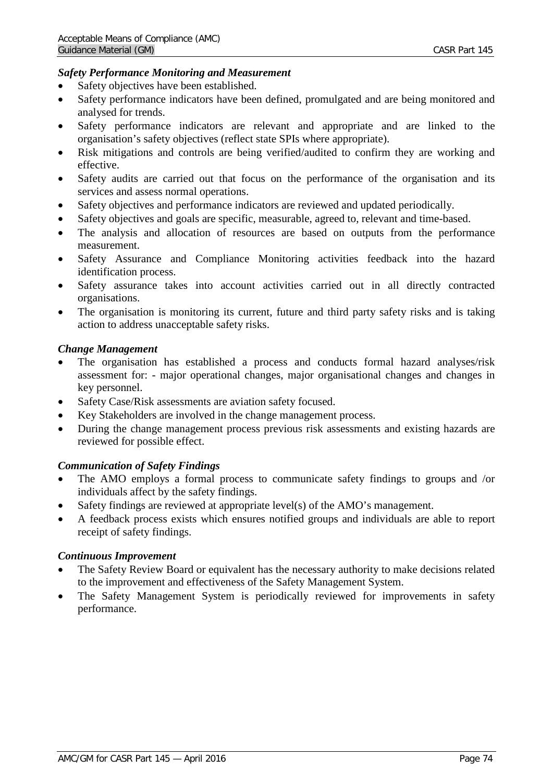### *Safety Performance Monitoring and Measurement*

- Safety objectives have been established.
- Safety performance indicators have been defined, promulgated and are being monitored and analysed for trends.
- Safety performance indicators are relevant and appropriate and are linked to the organisation's safety objectives (reflect state SPIs where appropriate).
- Risk mitigations and controls are being verified/audited to confirm they are working and effective.
- Safety audits are carried out that focus on the performance of the organisation and its services and assess normal operations.
- Safety objectives and performance indicators are reviewed and updated periodically.
- Safety objectives and goals are specific, measurable, agreed to, relevant and time-based.
- The analysis and allocation of resources are based on outputs from the performance measurement.
- Safety Assurance and Compliance Monitoring activities feedback into the hazard identification process.
- Safety assurance takes into account activities carried out in all directly contracted organisations.
- The organisation is monitoring its current, future and third party safety risks and is taking action to address unacceptable safety risks.

### *Change Management*

- The organisation has established a process and conducts formal hazard analyses/risk assessment for: - major operational changes, major organisational changes and changes in key personnel.
- Safety Case/Risk assessments are aviation safety focused.
- Key Stakeholders are involved in the change management process.
- During the change management process previous risk assessments and existing hazards are reviewed for possible effect.

### *Communication of Safety Findings*

- The AMO employs a formal process to communicate safety findings to groups and /or individuals affect by the safety findings.
- Safety findings are reviewed at appropriate level(s) of the AMO's management.
- A feedback process exists which ensures notified groups and individuals are able to report receipt of safety findings.

#### *Continuous Improvement*

- The Safety Review Board or equivalent has the necessary authority to make decisions related to the improvement and effectiveness of the Safety Management System.
- The Safety Management System is periodically reviewed for improvements in safety performance.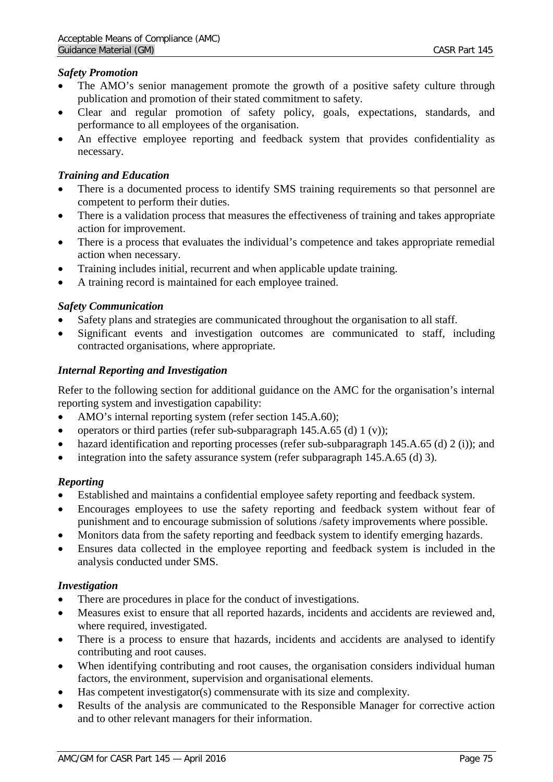### *Safety Promotion*

- The AMO's senior management promote the growth of a positive safety culture through publication and promotion of their stated commitment to safety.
- Clear and regular promotion of safety policy, goals, expectations, standards, and performance to all employees of the organisation.
- An effective employee reporting and feedback system that provides confidentiality as necessary.

### *Training and Education*

- There is a documented process to identify SMS training requirements so that personnel are competent to perform their duties.
- There is a validation process that measures the effectiveness of training and takes appropriate action for improvement.
- There is a process that evaluates the individual's competence and takes appropriate remedial action when necessary.
- Training includes initial, recurrent and when applicable update training.
- A training record is maintained for each employee trained.

### *Safety Communication*

- Safety plans and strategies are communicated throughout the organisation to all staff.
- Significant events and investigation outcomes are communicated to staff, including contracted organisations, where appropriate.

### *Internal Reporting and Investigation*

Refer to the following section for additional guidance on the AMC for the organisation's internal reporting system and investigation capability:

- AMO's internal reporting system (refer section 145.A.60);
- operators or third parties (refer sub-subparagraph  $145.A.65$  (d)  $1 (v)$ ;
- hazard identification and reporting processes (refer sub-subparagraph 145.A.65 (d) 2 (i)); and
- integration into the safety assurance system (refer subparagraph 145.A.65 (d) 3).

### *Reporting*

- Established and maintains a confidential employee safety reporting and feedback system.
- Encourages employees to use the safety reporting and feedback system without fear of punishment and to encourage submission of solutions /safety improvements where possible.
- Monitors data from the safety reporting and feedback system to identify emerging hazards.
- Ensures data collected in the employee reporting and feedback system is included in the analysis conducted under SMS.

### *Investigation*

- There are procedures in place for the conduct of investigations.
- Measures exist to ensure that all reported hazards, incidents and accidents are reviewed and, where required, investigated.
- There is a process to ensure that hazards, incidents and accidents are analysed to identify contributing and root causes.
- When identifying contributing and root causes, the organisation considers individual human factors, the environment, supervision and organisational elements.
- Has competent investigator(s) commensurate with its size and complexity.
- Results of the analysis are communicated to the Responsible Manager for corrective action and to other relevant managers for their information.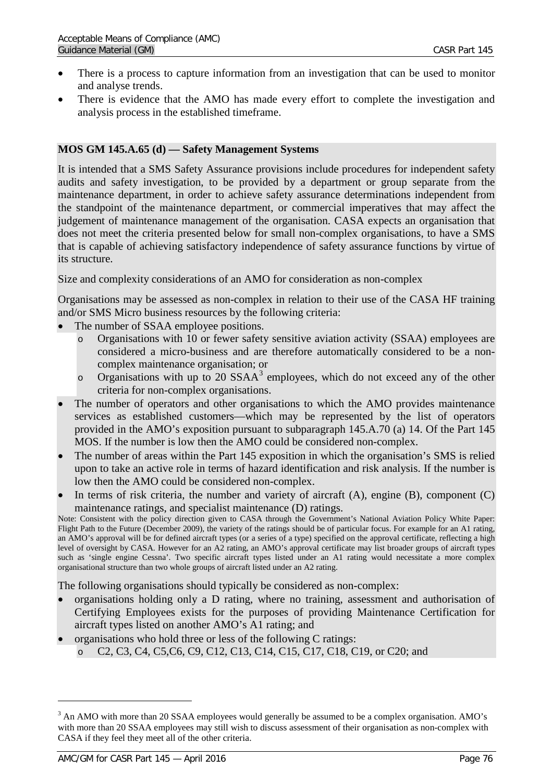- There is a process to capture information from an investigation that can be used to monitor and analyse trends.
- There is evidence that the AMO has made every effort to complete the investigation and analysis process in the established timeframe.

## **MOS GM 145.A.65 (d) — Safety Management Systems**

It is intended that a SMS Safety Assurance provisions include procedures for independent safety audits and safety investigation, to be provided by a department or group separate from the maintenance department, in order to achieve safety assurance determinations independent from the standpoint of the maintenance department, or commercial imperatives that may affect the judgement of maintenance management of the organisation. CASA expects an organisation that does not meet the criteria presented below for small non-complex organisations, to have a SMS that is capable of achieving satisfactory independence of safety assurance functions by virtue of its structure.

Size and complexity considerations of an AMO for consideration as non-complex

Organisations may be assessed as non-complex in relation to their use of the CASA HF training and/or SMS Micro business resources by the following criteria:

- The number of SSAA employee positions.
	- o Organisations with 10 or fewer safety sensitive aviation activity (SSAA) employees are considered a micro-business and are therefore automatically considered to be a noncomplex maintenance organisation; or
	- o Organisations with up to 20  $SSAA<sup>3</sup>$  $SSAA<sup>3</sup>$  $SSAA<sup>3</sup>$  employees, which do not exceed any of the other criteria for non-complex organisations.
- The number of operators and other organisations to which the AMO provides maintenance services as established customers—which may be represented by the list of operators provided in the AMO's exposition pursuant to subparagraph 145.A.70 (a) 14. Of the Part 145 MOS. If the number is low then the AMO could be considered non-complex.
- The number of areas within the Part 145 exposition in which the organisation's SMS is relied upon to take an active role in terms of hazard identification and risk analysis. If the number is low then the AMO could be considered non-complex.
- In terms of risk criteria, the number and variety of aircraft  $(A)$ , engine  $(B)$ , component  $(C)$ maintenance ratings, and specialist maintenance (D) ratings.

Note: Consistent with the policy direction given to CASA through the Government's National Aviation Policy White Paper: Flight Path to the Future (December 2009), the variety of the ratings should be of particular focus. For example for an A1 rating, an AMO's approval will be for defined aircraft types (or a series of a type) specified on the approval certificate, reflecting a high level of oversight by CASA. However for an A2 rating, an AMO's approval certificate may list broader groups of aircraft types such as 'single engine Cessna'. Two specific aircraft types listed under an A1 rating would necessitate a more complex organisational structure than two whole groups of aircraft listed under an A2 rating.

The following organisations should typically be considered as non-complex:

- organisations holding only a D rating, where no training, assessment and authorisation of Certifying Employees exists for the purposes of providing Maintenance Certification for aircraft types listed on another AMO's A1 rating; and
- organisations who hold three or less of the following C ratings:
	- o C2, C3, C4, C5,C6, C9, C12, C13, C14, C15, C17, C18, C19, or C20; and

 $\ddot{\phantom{a}}$ 

<span id="page-75-0"></span><sup>&</sup>lt;sup>3</sup> An AMO with more than 20 SSAA employees would generally be assumed to be a complex organisation. AMO's with more than 20 SSAA employees may still wish to discuss assessment of their organisation as non-complex with CASA if they feel they meet all of the other criteria.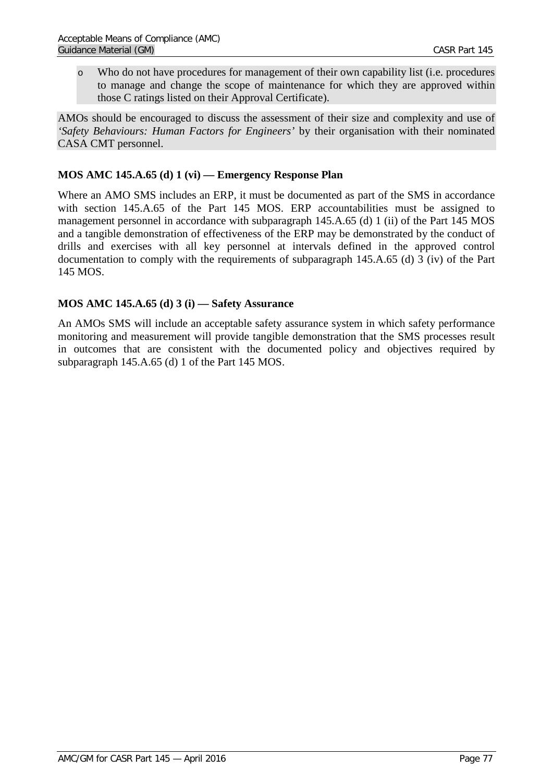o Who do not have procedures for management of their own capability list (i.e. procedures to manage and change the scope of maintenance for which they are approved within those C ratings listed on their Approval Certificate).

AMOs should be encouraged to discuss the assessment of their size and complexity and use of *'Safety Behaviours: Human Factors for Engineers'* by their organisation with their nominated CASA CMT personnel.

## **MOS AMC 145.A.65 (d) 1 (vi) — Emergency Response Plan**

Where an AMO SMS includes an ERP, it must be documented as part of the SMS in accordance with section 145.A.65 of the Part 145 MOS. ERP accountabilities must be assigned to management personnel in accordance with subparagraph 145.A.65 (d) 1 (ii) of the Part 145 MOS and a tangible demonstration of effectiveness of the ERP may be demonstrated by the conduct of drills and exercises with all key personnel at intervals defined in the approved control documentation to comply with the requirements of subparagraph 145.A.65 (d) 3 (iv) of the Part 145 MOS.

## **MOS AMC 145.A.65 (d) 3 (i) — Safety Assurance**

An AMOs SMS will include an acceptable safety assurance system in which safety performance monitoring and measurement will provide tangible demonstration that the SMS processes result in outcomes that are consistent with the documented policy and objectives required by subparagraph 145.A.65 (d) 1 of the Part 145 MOS.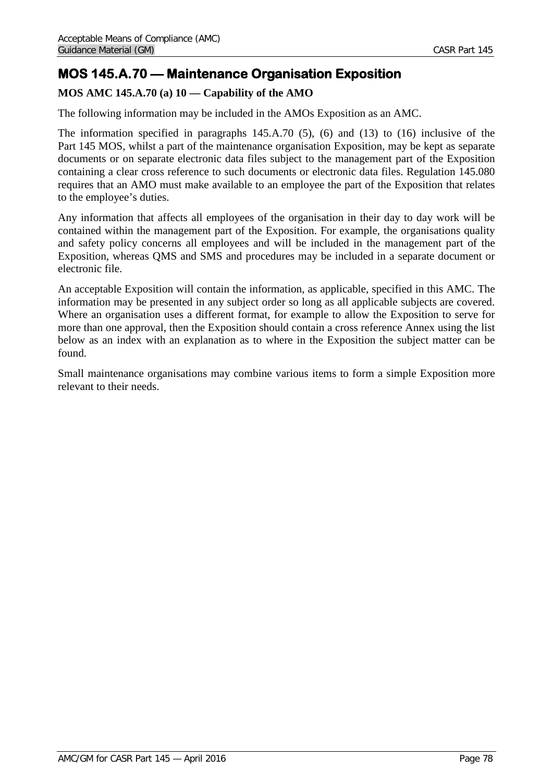# **MOS 145.A.70 — Maintenance Organisation Exposition**

## **MOS AMC 145.A.70 (a) 10 — Capability of the AMO**

The following information may be included in the AMOs Exposition as an AMC.

The information specified in paragraphs 145.A.70 (5), (6) and (13) to (16) inclusive of the Part 145 MOS, whilst a part of the maintenance organisation Exposition, may be kept as separate documents or on separate electronic data files subject to the management part of the Exposition containing a clear cross reference to such documents or electronic data files. Regulation 145.080 requires that an AMO must make available to an employee the part of the Exposition that relates to the employee's duties.

Any information that affects all employees of the organisation in their day to day work will be contained within the management part of the Exposition. For example, the organisations quality and safety policy concerns all employees and will be included in the management part of the Exposition, whereas QMS and SMS and procedures may be included in a separate document or electronic file.

An acceptable Exposition will contain the information, as applicable, specified in this AMC. The information may be presented in any subject order so long as all applicable subjects are covered. Where an organisation uses a different format, for example to allow the Exposition to serve for more than one approval, then the Exposition should contain a cross reference Annex using the list below as an index with an explanation as to where in the Exposition the subject matter can be found.

Small maintenance organisations may combine various items to form a simple Exposition more relevant to their needs.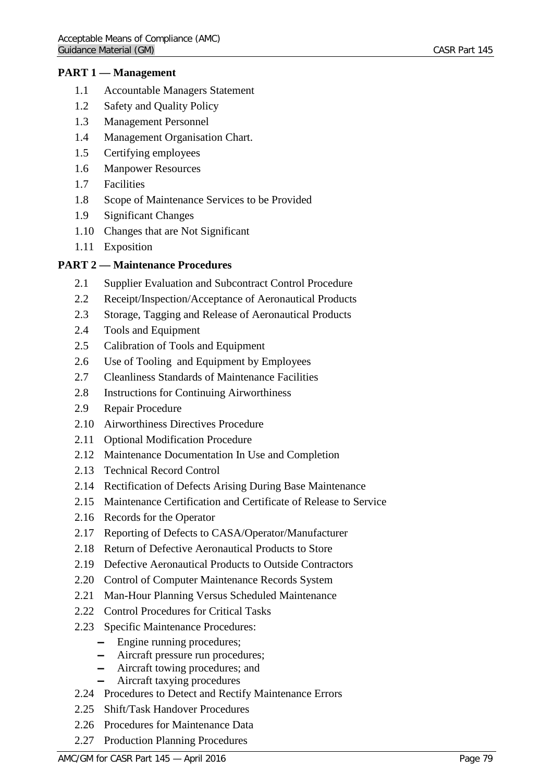### **PART 1 — Management**

- 1.1 Accountable Managers Statement
- 1.2 Safety and Quality Policy
- 1.3 Management Personnel
- 1.4 Management Organisation Chart.
- 1.5 Certifying employees
- 1.6 Manpower Resources
- 1.7 Facilities
- 1.8 Scope of Maintenance Services to be Provided
- 1.9 Significant Changes
- 1.10 Changes that are Not Significant
- 1.11 Exposition

### **PART 2 — Maintenance Procedures**

- 2.1 Supplier Evaluation and Subcontract Control Procedure
- 2.2 Receipt/Inspection/Acceptance of Aeronautical Products
- 2.3 Storage, Tagging and Release of Aeronautical Products
- 2.4 Tools and Equipment
- 2.5 Calibration of Tools and Equipment
- 2.6 Use of Tooling and Equipment by Employees
- 2.7 Cleanliness Standards of Maintenance Facilities
- 2.8 Instructions for Continuing Airworthiness
- 2.9 Repair Procedure
- 2.10 Airworthiness Directives Procedure
- 2.11 Optional Modification Procedure
- 2.12 Maintenance Documentation In Use and Completion
- 2.13 Technical Record Control
- 2.14 Rectification of Defects Arising During Base Maintenance
- 2.15 Maintenance Certification and Certificate of Release to Service
- 2.16 Records for the Operator
- 2.17 Reporting of Defects to CASA/Operator/Manufacturer
- 2.18 Return of Defective Aeronautical Products to Store
- 2.19 Defective Aeronautical Products to Outside Contractors
- 2.20 Control of Computer Maintenance Records System
- 2.21 Man-Hour Planning Versus Scheduled Maintenance
- 2.22 Control Procedures for Critical Tasks
- 2.23 Specific Maintenance Procedures:
	- $-$  Engine running procedures;
	- $-$  Aircraft pressure run procedures;
	- ▬ Aircraft towing procedures; and
	- ▬ Aircraft taxying procedures
- 2.24 Procedures to Detect and Rectify Maintenance Errors
- 2.25 Shift/Task Handover Procedures
- 2.26 Procedures for Maintenance Data
- 2.27 Production Planning Procedures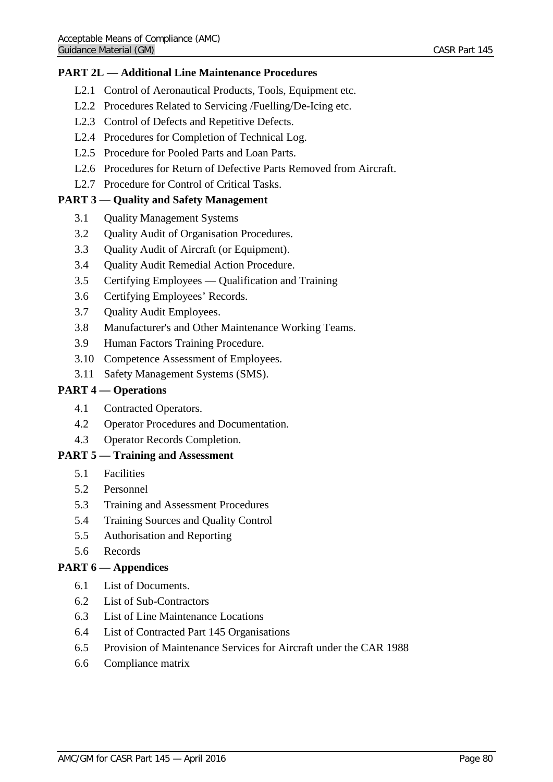### **PART 2L — Additional Line Maintenance Procedures**

- L2.1 Control of Aeronautical Products, Tools, Equipment etc.
- L2.2 Procedures Related to Servicing /Fuelling/De-Icing etc.
- L2.3 Control of Defects and Repetitive Defects.
- L2.4 Procedures for Completion of Technical Log.
- L2.5 Procedure for Pooled Parts and Loan Parts.
- L2.6 Procedures for Return of Defective Parts Removed from Aircraft.
- L2.7 Procedure for Control of Critical Tasks.

## **PART 3 — Quality and Safety Management**

- 3.1 Quality Management Systems
- 3.2 Quality Audit of Organisation Procedures.
- 3.3 Quality Audit of Aircraft (or Equipment).
- 3.4 Quality Audit Remedial Action Procedure.
- 3.5 Certifying Employees Qualification and Training
- 3.6 Certifying Employees' Records.
- 3.7 Quality Audit Employees.
- 3.8 Manufacturer's and Other Maintenance Working Teams.
- 3.9 Human Factors Training Procedure.
- 3.10 Competence Assessment of Employees.
- 3.11 Safety Management Systems (SMS).

### **PART 4 — Operations**

- 4.1 Contracted Operators.
- 4.2 Operator Procedures and Documentation.
- 4.3 Operator Records Completion.

## **PART 5 — Training and Assessment**

- 5.1 Facilities
- 5.2 Personnel
- 5.3 Training and Assessment Procedures
- 5.4 Training Sources and Quality Control
- 5.5 Authorisation and Reporting
- 5.6 Records

### **PART 6 — Appendices**

- 6.1 List of Documents.
- 6.2 List of Sub-Contractors
- 6.3 List of Line Maintenance Locations
- 6.4 List of Contracted Part 145 Organisations
- 6.5 Provision of Maintenance Services for Aircraft under the CAR 1988
- 6.6 Compliance matrix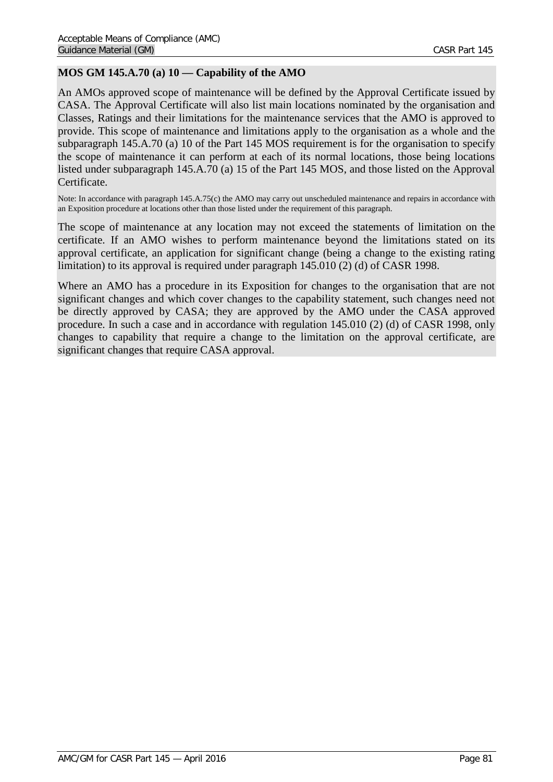## **MOS GM 145.A.70 (a) 10 — Capability of the AMO**

An AMOs approved scope of maintenance will be defined by the Approval Certificate issued by CASA. The Approval Certificate will also list main locations nominated by the organisation and Classes, Ratings and their limitations for the maintenance services that the AMO is approved to provide. This scope of maintenance and limitations apply to the organisation as a whole and the subparagraph 145.A.70 (a) 10 of the Part 145 MOS requirement is for the organisation to specify the scope of maintenance it can perform at each of its normal locations, those being locations listed under subparagraph 145.A.70 (a) 15 of the Part 145 MOS, and those listed on the Approval Certificate.

Note: In accordance with paragraph 145.A.75(c) the AMO may carry out unscheduled maintenance and repairs in accordance with an Exposition procedure at locations other than those listed under the requirement of this paragraph.

The scope of maintenance at any location may not exceed the statements of limitation on the certificate. If an AMO wishes to perform maintenance beyond the limitations stated on its approval certificate, an application for significant change (being a change to the existing rating limitation) to its approval is required under paragraph 145.010 (2) (d) of CASR 1998.

Where an AMO has a procedure in its Exposition for changes to the organisation that are not significant changes and which cover changes to the capability statement, such changes need not be directly approved by CASA; they are approved by the AMO under the CASA approved procedure. In such a case and in accordance with regulation 145.010 (2) (d) of CASR 1998, only changes to capability that require a change to the limitation on the approval certificate, are significant changes that require CASA approval.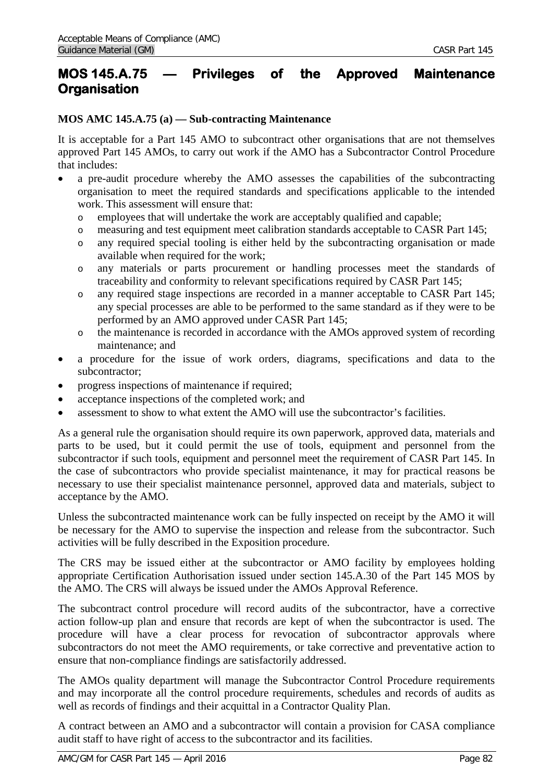## **MOS 145.A.75 — Privileges of the Approved Maintenance Organisation**

### **MOS AMC 145.A.75 (a) — Sub-contracting Maintenance**

It is acceptable for a Part 145 AMO to subcontract other organisations that are not themselves approved Part 145 AMOs, to carry out work if the AMO has a Subcontractor Control Procedure that includes:

- a pre-audit procedure whereby the AMO assesses the capabilities of the subcontracting organisation to meet the required standards and specifications applicable to the intended work. This assessment will ensure that:
	- o employees that will undertake the work are acceptably qualified and capable;
	- o measuring and test equipment meet calibration standards acceptable to CASR Part 145;
	- o any required special tooling is either held by the subcontracting organisation or made available when required for the work;
	- o any materials or parts procurement or handling processes meet the standards of traceability and conformity to relevant specifications required by CASR Part 145;
	- o any required stage inspections are recorded in a manner acceptable to CASR Part 145; any special processes are able to be performed to the same standard as if they were to be performed by an AMO approved under CASR Part 145;
	- o the maintenance is recorded in accordance with the AMOs approved system of recording maintenance; and
- a procedure for the issue of work orders, diagrams, specifications and data to the subcontractor;
- progress inspections of maintenance if required;
- acceptance inspections of the completed work; and
- assessment to show to what extent the AMO will use the subcontractor's facilities.

As a general rule the organisation should require its own paperwork, approved data, materials and parts to be used, but it could permit the use of tools, equipment and personnel from the subcontractor if such tools, equipment and personnel meet the requirement of CASR Part 145. In the case of subcontractors who provide specialist maintenance, it may for practical reasons be necessary to use their specialist maintenance personnel, approved data and materials, subject to acceptance by the AMO.

Unless the subcontracted maintenance work can be fully inspected on receipt by the AMO it will be necessary for the AMO to supervise the inspection and release from the subcontractor. Such activities will be fully described in the Exposition procedure.

The CRS may be issued either at the subcontractor or AMO facility by employees holding appropriate Certification Authorisation issued under section 145.A.30 of the Part 145 MOS by the AMO. The CRS will always be issued under the AMOs Approval Reference.

The subcontract control procedure will record audits of the subcontractor, have a corrective action follow-up plan and ensure that records are kept of when the subcontractor is used. The procedure will have a clear process for revocation of subcontractor approvals where subcontractors do not meet the AMO requirements, or take corrective and preventative action to ensure that non-compliance findings are satisfactorily addressed.

The AMOs quality department will manage the Subcontractor Control Procedure requirements and may incorporate all the control procedure requirements, schedules and records of audits as well as records of findings and their acquittal in a Contractor Quality Plan.

A contract between an AMO and a subcontractor will contain a provision for CASA compliance audit staff to have right of access to the subcontractor and its facilities.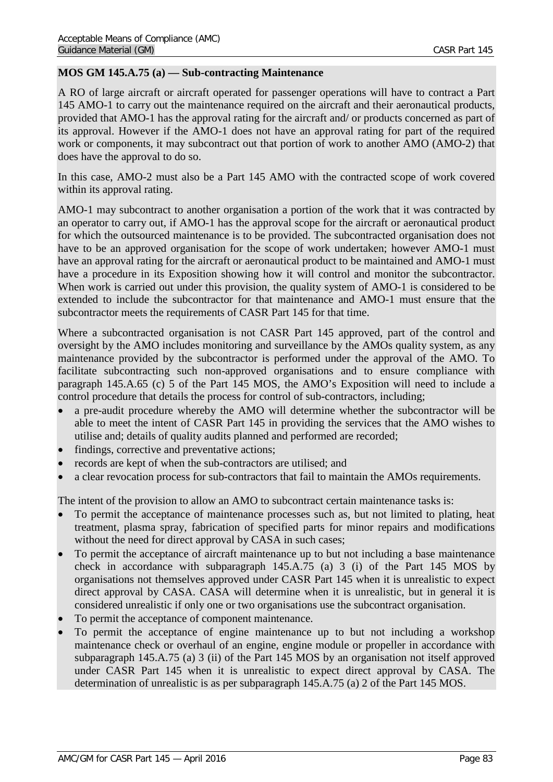### **MOS GM 145.A.75 (a) — Sub-contracting Maintenance**

A RO of large aircraft or aircraft operated for passenger operations will have to contract a Part 145 AMO-1 to carry out the maintenance required on the aircraft and their aeronautical products, provided that AMO-1 has the approval rating for the aircraft and/ or products concerned as part of its approval. However if the AMO-1 does not have an approval rating for part of the required work or components, it may subcontract out that portion of work to another AMO (AMO-2) that does have the approval to do so.

In this case, AMO-2 must also be a Part 145 AMO with the contracted scope of work covered within its approval rating.

AMO-1 may subcontract to another organisation a portion of the work that it was contracted by an operator to carry out, if AMO-1 has the approval scope for the aircraft or aeronautical product for which the outsourced maintenance is to be provided. The subcontracted organisation does not have to be an approved organisation for the scope of work undertaken; however AMO-1 must have an approval rating for the aircraft or aeronautical product to be maintained and AMO-1 must have a procedure in its Exposition showing how it will control and monitor the subcontractor. When work is carried out under this provision, the quality system of AMO-1 is considered to be extended to include the subcontractor for that maintenance and AMO-1 must ensure that the subcontractor meets the requirements of CASR Part 145 for that time.

Where a subcontracted organisation is not CASR Part 145 approved, part of the control and oversight by the AMO includes monitoring and surveillance by the AMOs quality system, as any maintenance provided by the subcontractor is performed under the approval of the AMO. To facilitate subcontracting such non-approved organisations and to ensure compliance with paragraph 145.A.65 (c) 5 of the Part 145 MOS, the AMO's Exposition will need to include a control procedure that details the process for control of sub-contractors, including;

- a pre-audit procedure whereby the AMO will determine whether the subcontractor will be able to meet the intent of CASR Part 145 in providing the services that the AMO wishes to utilise and; details of quality audits planned and performed are recorded;
- findings, corrective and preventative actions;
- records are kept of when the sub-contractors are utilised; and
- a clear revocation process for sub-contractors that fail to maintain the AMOs requirements.

The intent of the provision to allow an AMO to subcontract certain maintenance tasks is:

- To permit the acceptance of maintenance processes such as, but not limited to plating, heat treatment, plasma spray, fabrication of specified parts for minor repairs and modifications without the need for direct approval by CASA in such cases;
- To permit the acceptance of aircraft maintenance up to but not including a base maintenance check in accordance with subparagraph 145.A.75 (a) 3 (i) of the Part 145 MOS by organisations not themselves approved under CASR Part 145 when it is unrealistic to expect direct approval by CASA. CASA will determine when it is unrealistic, but in general it is considered unrealistic if only one or two organisations use the subcontract organisation.
- To permit the acceptance of component maintenance.
- To permit the acceptance of engine maintenance up to but not including a workshop maintenance check or overhaul of an engine, engine module or propeller in accordance with subparagraph 145.A.75 (a) 3 (ii) of the Part 145 MOS by an organisation not itself approved under CASR Part 145 when it is unrealistic to expect direct approval by CASA. The determination of unrealistic is as per subparagraph 145.A.75 (a) 2 of the Part 145 MOS.